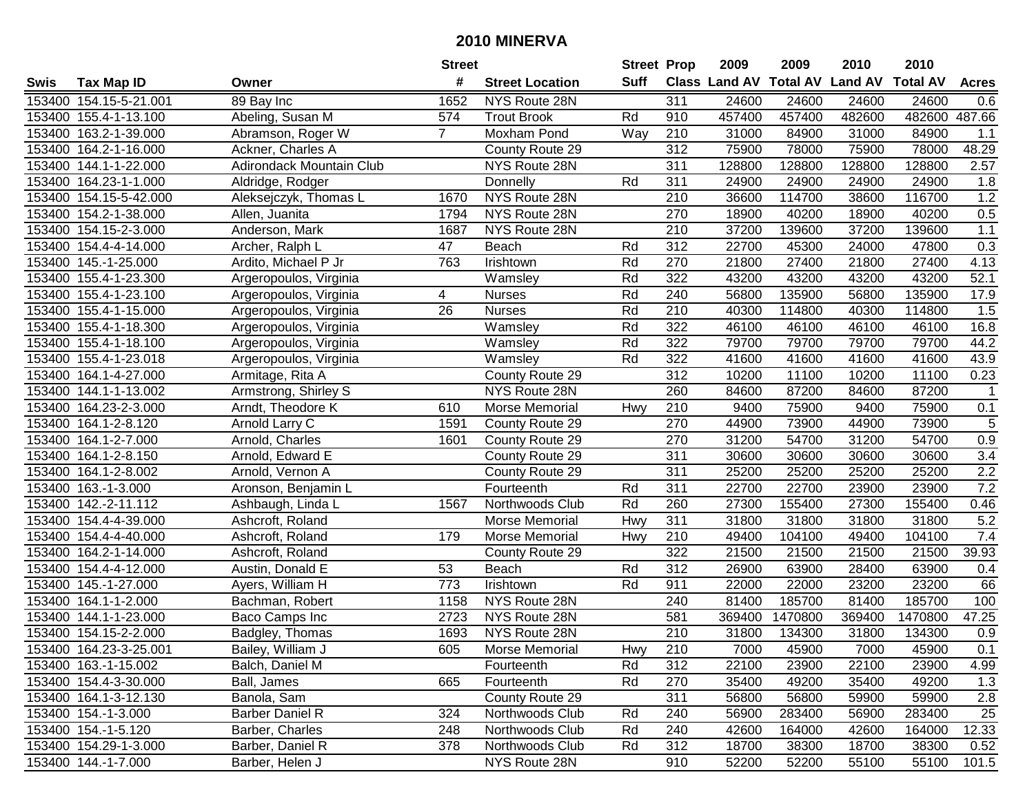|        |                        |                                 | <b>Street</b>   |                        | <b>Street Prop</b> |                  | 2009                          | 2009    | 2010           | 2010            |              |
|--------|------------------------|---------------------------------|-----------------|------------------------|--------------------|------------------|-------------------------------|---------|----------------|-----------------|--------------|
| Swis   | <b>Tax Map ID</b>      | Owner                           | #               | <b>Street Location</b> | Suff               |                  | <b>Class Land AV Total AV</b> |         | <b>Land AV</b> | <b>Total AV</b> | <b>Acres</b> |
|        | 153400 154.15-5-21.001 | 89 Bay Inc                      | 1652            | NYS Route 28N          |                    | 311              | 24600                         | 24600   | 24600          | 24600           | 0.6          |
|        | 153400 155.4-1-13.100  | Abeling, Susan M                | 574             | <b>Trout Brook</b>     | Rd                 | 910              | 457400                        | 457400  | 482600         | 482600          | 487.66       |
|        | 153400 163.2-1-39.000  | Abramson, Roger W               | $\mathbf{7}$    | Moxham Pond            | Way                | 210              | 31000                         | 84900   | 31000          | 84900           | 1.1          |
|        | 153400 164.2-1-16.000  | Ackner, Charles A               |                 | County Route 29        |                    | 312              | 75900                         | 78000   | 75900          | 78000           | 48.29        |
|        | 153400 144.1-1-22.000  | <b>Adirondack Mountain Club</b> |                 | NYS Route 28N          |                    | 311              | 128800                        | 128800  | 128800         | 128800          | 2.57         |
|        | 153400 164.23-1-1.000  | Aldridge, Rodger                |                 | Donnelly               | Rd                 | 311              | 24900                         | 24900   | 24900          | 24900           | 1.8          |
| 153400 | 154.15-5-42.000        | Aleksejczyk, Thomas L           | 1670            | NYS Route 28N          |                    | 210              | 36600                         | 114700  | 38600          | 116700          | 1.2          |
|        | 153400 154.2-1-38.000  | Allen, Juanita                  | 1794            | NYS Route 28N          |                    | 270              | 18900                         | 40200   | 18900          | 40200           | 0.5          |
|        | 153400 154.15-2-3.000  | Anderson, Mark                  | 1687            | NYS Route 28N          |                    | 210              | 37200                         | 139600  | 37200          | 139600          | $1.1$        |
|        | 153400 154.4-4-14.000  | Archer, Ralph L                 | 47              | Beach                  | Rd                 | 312              | 22700                         | 45300   | 24000          | 47800           | 0.3          |
|        | 153400 145.-1-25.000   | Ardito, Michael P Jr            | 763             | Irishtown              | Rd                 | 270              | 21800                         | 27400   | 21800          | 27400           | 4.13         |
|        | 153400 155.4-1-23.300  | Argeropoulos, Virginia          |                 | Wamsley                | Rd                 | 322              | 43200                         | 43200   | 43200          | 43200           | 52.1         |
|        | 153400 155.4-1-23.100  | Argeropoulos, Virginia          | 4               | <b>Nurses</b>          | Rd                 | 240              | 56800                         | 135900  | 56800          | 135900          | 17.9         |
|        | 153400 155.4-1-15.000  | Argeropoulos, Virginia          | $\overline{26}$ | <b>Nurses</b>          | Rd                 | $\overline{210}$ | 40300                         | 114800  | 40300          | 114800          | 1.5          |
|        | 153400 155.4-1-18.300  | Argeropoulos, Virginia          |                 | Wamsley                | Rd                 | 322              | 46100                         | 46100   | 46100          | 46100           | 16.8         |
|        | 153400 155.4-1-18.100  | Argeropoulos, Virginia          |                 | Wamsley                | Rd                 | 322              | 79700                         | 79700   | 79700          | 79700           | 44.2         |
|        | 153400 155.4-1-23.018  | Argeropoulos, Virginia          |                 | Wamsley                | Rd                 | 322              | 41600                         | 41600   | 41600          | 41600           | 43.9         |
|        | 153400 164.1-4-27.000  | Armitage, Rita A                |                 | County Route 29        |                    | $\overline{312}$ | 10200                         | 11100   | 10200          | 11100           | 0.23         |
|        | 153400 144.1-1-13.002  | Armstrong, Shirley S            |                 | NYS Route 28N          |                    | 260              | 84600                         | 87200   | 84600          | 87200           | 1            |
|        | 153400 164.23-2-3.000  | Arndt, Theodore K               | 610             | Morse Memorial         | Hwy                | 210              | 9400                          | 75900   | 9400           | 75900           | 0.1          |
|        | 153400 164.1-2-8.120   | Arnold Larry C                  | 1591            | County Route 29        |                    | 270              | 44900                         | 73900   | 44900          | 73900           | $\sqrt{5}$   |
|        | 153400 164.1-2-7.000   | Arnold, Charles                 | 1601            | County Route 29        |                    | 270              | 31200                         | 54700   | 31200          | 54700           | 0.9          |
|        | 153400 164.1-2-8.150   | Arnold, Edward E                |                 | County Route 29        |                    | 311              | 30600                         | 30600   | 30600          | 30600           | 3.4          |
| 153400 | 164.1-2-8.002          | Arnold, Vernon A                |                 | County Route 29        |                    | 311              | 25200                         | 25200   | 25200          | 25200           | 2.2          |
| 153400 | 163.-1-3.000           | Aronson, Benjamin L             |                 | Fourteenth             | Rd                 | 311              | 22700                         | 22700   | 23900          | 23900           | 7.2          |
| 153400 | 142.-2-11.112          | Ashbaugh, Linda L               | 1567            | Northwoods Club        | Rd                 | 260              | 27300                         | 155400  | 27300          | 155400          | 0.46         |
|        | 153400 154.4-4-39.000  | Ashcroft, Roland                |                 | Morse Memorial         | Hwy                | 311              | 31800                         | 31800   | 31800          | 31800           | 5.2          |
|        | 153400 154.4-4-40.000  | Ashcroft, Roland                | 179             | Morse Memorial         | Hwy                | 210              | 49400                         | 104100  | 49400          | 104100          | 7.4          |
|        | 153400 164.2-1-14.000  | Ashcroft, Roland                |                 | County Route 29        |                    | 322              | 21500                         | 21500   | 21500          | 21500           | 39.93        |
|        | 153400 154.4-4-12.000  | Austin, Donald E                | 53              | Beach                  | Rd                 | 312              | 26900                         | 63900   | 28400          | 63900           | 0.4          |
|        | 153400 145.-1-27.000   | Ayers, William H                | 773             | Irishtown              | Rd                 | 911              | 22000                         | 22000   | 23200          | 23200           | 66           |
| 153400 | 164.1-1-2.000          | Bachman, Robert                 | 1158            | NYS Route 28N          |                    | 240              | 81400                         | 185700  | 81400          | 185700          | 100          |
|        | 153400 144.1-1-23.000  | Baco Camps Inc                  | 2723            | NYS Route 28N          |                    | 581              | 369400                        | 1470800 | 369400         | 1470800         | 47.25        |
|        | 153400 154.15-2-2.000  | Badgley, Thomas                 | 1693            | NYS Route 28N          |                    | 210              | 31800                         | 134300  | 31800          | 134300          | 0.9          |
|        | 153400 164.23-3-25.001 | Bailey, William J               | 605             | Morse Memorial         | Hwy                | 210              | 7000                          | 45900   | 7000           | 45900           | 0.1          |
|        | 153400 163.-1-15.002   | Balch, Daniel M                 |                 | Fourteenth             | Rd                 | 312              | 22100                         | 23900   | 22100          | 23900           | 4.99         |
|        | 153400 154.4-3-30.000  | Ball, James                     | 665             | Fourteenth             | Rd                 | 270              | 35400                         | 49200   | 35400          | 49200           | 1.3          |
|        | 153400 164.1-3-12.130  | Banola, Sam                     |                 | County Route 29        |                    | 311              | 56800                         | 56800   | 59900          | 59900           | 2.8          |
|        | 153400 154.-1-3.000    | <b>Barber Daniel R</b>          | 324             | Northwoods Club        | Rd                 | 240              | 56900                         | 283400  | 56900          | 283400          | 25           |
|        | 153400 154.-1-5.120    | Barber, Charles                 | 248             | Northwoods Club        | Rd                 | 240              | 42600                         | 164000  | 42600          | 164000          | 12.33        |
|        | 153400 154.29-1-3.000  | Barber, Daniel R                | 378             | Northwoods Club        | Rd                 | 312              | 18700                         | 38300   | 18700          | 38300           | 0.52         |
|        | 153400 144 .- 1-7.000  | Barber, Helen J                 |                 | NYS Route 28N          |                    | 910              | 52200                         | 52200   | 55100          | 55100           | 101.5        |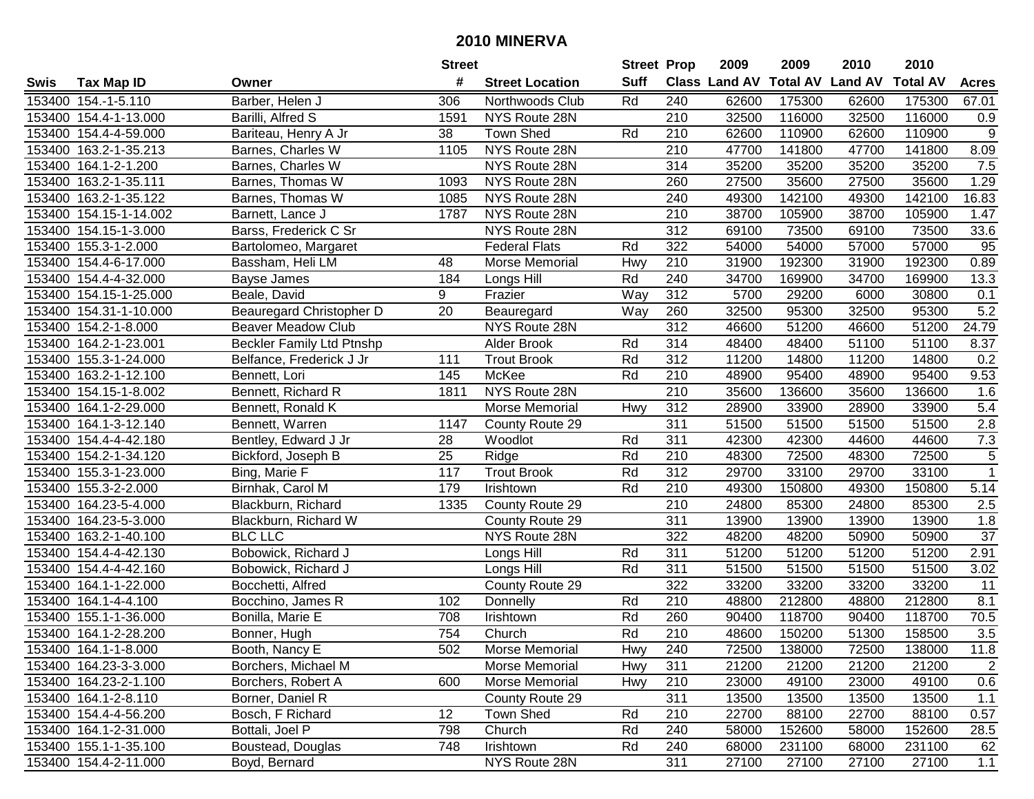|        |                        |                                  | <b>Street</b> |                        | <b>Street Prop</b> |                  | 2009  | 2009   | 2010                           | 2010            |                |
|--------|------------------------|----------------------------------|---------------|------------------------|--------------------|------------------|-------|--------|--------------------------------|-----------------|----------------|
| Swis   | <b>Tax Map ID</b>      | Owner                            | #             | <b>Street Location</b> | <b>Suff</b>        |                  |       |        | Class Land AV Total AV Land AV | <b>Total AV</b> | <b>Acres</b>   |
|        | 153400 154.-1-5.110    | Barber, Helen J                  | 306           | Northwoods Club        | Rd                 | 240              | 62600 | 175300 | 62600                          | 175300          | 67.01          |
|        | 153400 154.4-1-13.000  | Barilli, Alfred S                | 1591          | NYS Route 28N          |                    | 210              | 32500 | 116000 | 32500                          | 116000          | 0.9            |
|        | 153400 154.4-4-59.000  | Bariteau, Henry A Jr             | 38            | Town Shed              | Rd                 | 210              | 62600 | 110900 | 62600                          | 110900          | $9\,$          |
|        | 153400 163.2-1-35.213  | Barnes, Charles W                | 1105          | NYS Route 28N          |                    | 210              | 47700 | 141800 | 47700                          | 141800          | 8.09           |
|        | 153400 164.1-2-1.200   | Barnes, Charles W                |               | NYS Route 28N          |                    | $\overline{314}$ | 35200 | 35200  | 35200                          | 35200           | 7.5            |
|        | 153400 163.2-1-35.111  | Barnes, Thomas W                 | 1093          | NYS Route 28N          |                    | 260              | 27500 | 35600  | 27500                          | 35600           | 1.29           |
|        | 153400 163.2-1-35.122  | Barnes, Thomas W                 | 1085          | NYS Route 28N          |                    | $\overline{240}$ | 49300 | 142100 | 49300                          | 142100          | 16.83          |
|        | 153400 154.15-1-14.002 | Barnett, Lance J                 | 1787          | NYS Route 28N          |                    | 210              | 38700 | 105900 | 38700                          | 105900          | 1.47           |
|        | 153400 154.15-1-3.000  | Barss, Frederick C Sr            |               | NYS Route 28N          |                    | $\overline{312}$ | 69100 | 73500  | 69100                          | 73500           | 33.6           |
|        | 153400 155.3-1-2.000   | Bartolomeo, Margaret             |               | <b>Federal Flats</b>   | Rd                 | 322              | 54000 | 54000  | 57000                          | 57000           | 95             |
|        | 153400 154.4-6-17.000  | Bassham, Heli LM                 | 48            | Morse Memorial         | Hwy                | 210              | 31900 | 192300 | 31900                          | 192300          | 0.89           |
|        | 153400 154.4-4-32.000  | Bayse James                      | 184           | Longs Hill             | Rd                 | 240              | 34700 | 169900 | 34700                          | 169900          | 13.3           |
|        | 153400 154.15-1-25.000 | Beale, David                     | 9             | Frazier                | Way                | 312              | 5700  | 29200  | 6000                           | 30800           | 0.1            |
| 153400 | 154.31-1-10.000        | Beauregard Christopher D         | 20            | Beauregard             | Way                | 260              | 32500 | 95300  | 32500                          | 95300           | 5.2            |
| 153400 | 154.2-1-8.000          | <b>Beaver Meadow Club</b>        |               | NYS Route 28N          |                    | 312              | 46600 | 51200  | 46600                          | 51200           | 24.79          |
| 153400 | 164.2-1-23.001         | <b>Beckler Family Ltd Ptnshp</b> |               | Alder Brook            | Rd                 | 314              | 48400 | 48400  | 51100                          | 51100           | 8.37           |
|        | 153400 155.3-1-24.000  | Belfance, Frederick J Jr         | 111           | <b>Trout Brook</b>     | Rd                 | 312              | 11200 | 14800  | 11200                          | 14800           | 0.2            |
|        | 153400 163.2-1-12.100  | Bennett, Lori                    | 145           | McKee                  | Rd                 | 210              | 48900 | 95400  | 48900                          | 95400           | 9.53           |
|        | 153400 154.15-1-8.002  | Bennett, Richard R               | 1811          | NYS Route 28N          |                    | 210              | 35600 | 136600 | 35600                          | 136600          | 1.6            |
|        | 153400 164.1-2-29.000  | Bennett, Ronald K                |               | Morse Memorial         | Hwy                | 312              | 28900 | 33900  | 28900                          | 33900           | 5.4            |
| 153400 | 164.1-3-12.140         | Bennett, Warren                  | 1147          | County Route 29        |                    | 311              | 51500 | 51500  | 51500                          | 51500           | 2.8            |
|        | 153400 154.4-4-42.180  | Bentley, Edward J Jr             | 28            | Woodlot                | Rd                 | 311              | 42300 | 42300  | 44600                          | 44600           | 7.3            |
|        | 153400 154.2-1-34.120  | Bickford, Joseph B               | 25            | Ridge                  | Rd                 | 210              | 48300 | 72500  | 48300                          | 72500           | 5              |
|        | 153400 155.3-1-23.000  | Bing, Marie F                    | 117           | <b>Trout Brook</b>     | Rd                 | $\overline{312}$ | 29700 | 33100  | 29700                          | 33100           | $\overline{1}$ |
| 153400 | 155.3-2-2.000          | Birnhak, Carol M                 | 179           | Irishtown              | Rd                 | 210              | 49300 | 150800 | 49300                          | 150800          | 5.14           |
|        | 153400 164.23-5-4.000  | Blackburn, Richard               | 1335          | County Route 29        |                    | 210              | 24800 | 85300  | 24800                          | 85300           | 2.5            |
|        | 153400 164.23-5-3.000  | Blackburn, Richard W             |               | County Route 29        |                    | 311              | 13900 | 13900  | 13900                          | 13900           | 1.8            |
|        | 153400 163.2-1-40.100  | <b>BLC LLC</b>                   |               | NYS Route 28N          |                    | 322              | 48200 | 48200  | 50900                          | 50900           | 37             |
|        | 153400 154.4-4-42.130  | Bobowick, Richard J              |               | Longs Hill             | Rd                 | 311              | 51200 | 51200  | 51200                          | 51200           | 2.91           |
|        | 153400 154.4-4-42.160  | Bobowick, Richard J              |               | Longs Hill             | Rd                 | 311              | 51500 | 51500  | 51500                          | 51500           | 3.02           |
|        | 153400 164.1-1-22.000  | Bocchetti, Alfred                |               | County Route 29        |                    | 322              | 33200 | 33200  | 33200                          | 33200           | 11             |
|        | 153400 164.1-4-4.100   | Bocchino, James R                | 102           | Donnelly               | Rd                 | $\overline{210}$ | 48800 | 212800 | 48800                          | 212800          | 8.1            |
|        | 153400 155.1-1-36.000  | Bonilla, Marie E                 | 708           | Irishtown              | Rd                 | 260              | 90400 | 118700 | 90400                          | 118700          | 70.5           |
|        | 153400 164.1-2-28.200  | Bonner, Hugh                     | 754           | Church                 | Rd                 | $\overline{210}$ | 48600 | 150200 | 51300                          | 158500          | 3.5            |
|        | 153400 164.1-1-8.000   | Booth, Nancy E                   | 502           | Morse Memorial         | Hwy                | 240              | 72500 | 138000 | 72500                          | 138000          | 11.8           |
|        | 153400 164.23-3-3.000  | Borchers, Michael M              |               | Morse Memorial         | Hwy                | 311              | 21200 | 21200  | 21200                          | 21200           | $\overline{c}$ |
|        | 153400 164.23-2-1.100  | Borchers, Robert A               | 600           | Morse Memorial         | Hwy                | 210              | 23000 | 49100  | 23000                          | 49100           | 0.6            |
|        | 153400 164.1-2-8.110   | Borner, Daniel R                 |               | County Route 29        |                    | 311              | 13500 | 13500  | 13500                          | 13500           | 1.1            |
|        | 153400 154.4-4-56.200  | Bosch, F Richard                 | 12            | <b>Town Shed</b>       | Rd                 | 210              | 22700 | 88100  | 22700                          | 88100           | 0.57           |
|        | 153400 164.1-2-31.000  | Bottali, Joel P                  | 798           | Church                 | Rd                 | 240              | 58000 | 152600 | 58000                          | 152600          | 28.5           |
|        | 153400 155.1-1-35.100  | Boustead, Douglas                | 748           | Irishtown              | Rd                 | 240              | 68000 | 231100 | 68000                          | 231100          | 62             |
|        | 153400 154.4-2-11.000  | Boyd, Bernard                    |               | NYS Route 28N          |                    | 311              | 27100 | 27100  | 27100                          | 27100           | 1.1            |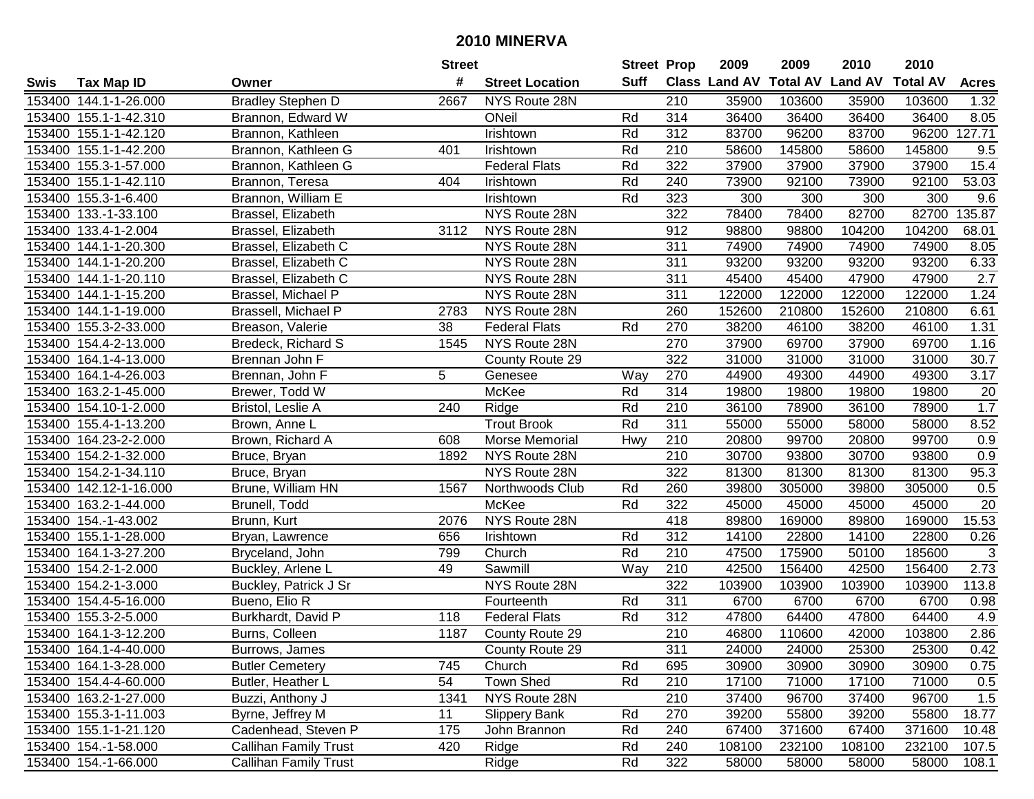|        |                        |                              | <b>Street</b> |                        | <b>Street Prop</b> |                  | 2009                          | 2009   | 2010           | 2010            |              |
|--------|------------------------|------------------------------|---------------|------------------------|--------------------|------------------|-------------------------------|--------|----------------|-----------------|--------------|
| Swis   | <b>Tax Map ID</b>      | Owner                        | #             | <b>Street Location</b> | <b>Suff</b>        |                  | <b>Class Land AV Total AV</b> |        | <b>Land AV</b> | <b>Total AV</b> | <b>Acres</b> |
|        | 153400 144.1-1-26.000  | <b>Bradley Stephen D</b>     | 2667          | NYS Route 28N          |                    | 210              | 35900                         | 103600 | 35900          | 103600          | 1.32         |
|        | 153400 155.1-1-42.310  | Brannon, Edward W            |               | ONeil                  | Rd                 | 314              | 36400                         | 36400  | 36400          | 36400           | 8.05         |
|        | 153400 155.1-1-42.120  | Brannon, Kathleen            |               | Irishtown              | Rd                 | 312              | 83700                         | 96200  | 83700          | 96200           | 127.71       |
|        | 153400 155.1-1-42.200  | Brannon, Kathleen G          | 401           | Irishtown              | Rd                 | 210              | 58600                         | 145800 | 58600          | 145800          | 9.5          |
|        | 153400 155.3-1-57.000  | Brannon, Kathleen G          |               | <b>Federal Flats</b>   | Rd                 | 322              | 37900                         | 37900  | 37900          | 37900           | 15.4         |
|        | 153400 155.1-1-42.110  | Brannon, Teresa              | 404           | Irishtown              | Rd                 | 240              | 73900                         | 92100  | 73900          | 92100           | 53.03        |
|        | 153400 155.3-1-6.400   | Brannon, William E           |               | Irishtown              | Rd                 | 323              | 300                           | 300    | 300            | 300             | 9.6          |
| 153400 | 133.-1-33.100          | Brassel, Elizabeth           |               | NYS Route 28N          |                    | 322              | 78400                         | 78400  | 82700          | 82700           | 135.87       |
|        | 153400 133.4-1-2.004   | Brassel, Elizabeth           | 3112          | NYS Route 28N          |                    | 912              | 98800                         | 98800  | 104200         | 104200          | 68.01        |
|        | 153400 144.1-1-20.300  | Brassel, Elizabeth C         |               | NYS Route 28N          |                    | 311              | 74900                         | 74900  | 74900          | 74900           | 8.05         |
|        | 153400 144.1-1-20.200  | Brassel, Elizabeth C         |               | NYS Route 28N          |                    | 311              | 93200                         | 93200  | 93200          | 93200           | 6.33         |
|        | 153400 144.1-1-20.110  | Brassel, Elizabeth C         |               | NYS Route 28N          |                    | 311              | 45400                         | 45400  | 47900          | 47900           | 2.7          |
|        | 153400 144.1-1-15.200  | Brassel, Michael P           |               | NYS Route 28N          |                    | 311              | 122000                        | 122000 | 122000         | 122000          | 1.24         |
|        | 153400 144.1-1-19.000  | Brassell, Michael P          | 2783          | NYS Route 28N          |                    | 260              | 152600                        | 210800 | 152600         | 210800          | 6.61         |
|        | 153400 155.3-2-33.000  | Breason, Valerie             | 38            | <b>Federal Flats</b>   | Rd                 | 270              | 38200                         | 46100  | 38200          | 46100           | 1.31         |
|        | 153400 154.4-2-13.000  | Bredeck, Richard S           | 1545          | NYS Route 28N          |                    | 270              | 37900                         | 69700  | 37900          | 69700           | 1.16         |
|        | 153400 164.1-4-13.000  | Brennan John F               |               | County Route 29        |                    | 322              | 31000                         | 31000  | 31000          | 31000           | 30.7         |
|        | 153400 164.1-4-26.003  | Brennan, John F              | 5             | Genesee                | Way                | 270              | 44900                         | 49300  | 44900          | 49300           | 3.17         |
|        | 153400 163.2-1-45.000  | Brewer, Todd W               |               | McKee                  | Rd                 | 314              | 19800                         | 19800  | 19800          | 19800           | 20           |
|        | 153400 154.10-1-2.000  | Bristol, Leslie A            | 240           | Ridge                  | Rd                 | 210              | 36100                         | 78900  | 36100          | 78900           | 1.7          |
|        | 153400 155.4-1-13.200  | Brown, Anne L                |               | <b>Trout Brook</b>     | Rd                 | 311              | 55000                         | 55000  | 58000          | 58000           | 8.52         |
| 153400 | 164.23-2-2.000         | Brown, Richard A             | 608           | Morse Memorial         | Hwy                | 210              | 20800                         | 99700  | 20800          | 99700           | 0.9          |
| 153400 | 154.2-1-32.000         | Bruce, Bryan                 | 1892          | NYS Route 28N          |                    | 210              | 30700                         | 93800  | 30700          | 93800           | 0.9          |
| 153400 | 154.2-1-34.110         | Bruce, Bryan                 |               | NYS Route 28N          |                    | 322              | 81300                         | 81300  | 81300          | 81300           | 95.3         |
|        | 153400 142.12-1-16.000 | Brune, William HN            | 1567          | Northwoods Club        | Rd                 | 260              | 39800                         | 305000 | 39800          | 305000          | 0.5          |
|        | 153400 163.2-1-44.000  | Brunell, Todd                |               | McKee                  | Rd                 | 322              | 45000                         | 45000  | 45000          | 45000           | 20           |
|        | 153400 154.-1-43.002   | Brunn, Kurt                  | 2076          | NYS Route 28N          |                    | 418              | 89800                         | 169000 | 89800          | 169000          | 15.53        |
|        | 153400 155.1-1-28.000  | Bryan, Lawrence              | 656           | Irishtown              | Rd                 | 312              | 14100                         | 22800  | 14100          | 22800           | 0.26         |
|        | 153400 164.1-3-27.200  | Bryceland, John              | 799           | Church                 | Rd                 | 210              | 47500                         | 175900 | 50100          | 185600          | 3            |
|        | 153400 154.2-1-2.000   | Buckley, Arlene L            | 49            | Sawmill                | Way                | $\overline{210}$ | 42500                         | 156400 | 42500          | 156400          | 2.73         |
|        | 153400 154.2-1-3.000   | <b>Buckley, Patrick J Sr</b> |               | NYS Route 28N          |                    | 322              | 103900                        | 103900 | 103900         | 103900          | 113.8        |
|        | 153400 154.4-5-16.000  | Bueno, Elio R                |               | Fourteenth             | Rd                 | 311              | 6700                          | 6700   | 6700           | 6700            | 0.98         |
|        | 153400 155.3-2-5.000   | Burkhardt, David P           | 118           | <b>Federal Flats</b>   | Rd                 | $\overline{312}$ | 47800                         | 64400  | 47800          | 64400           | 4.9          |
|        | 153400 164.1-3-12.200  | Burns, Colleen               | 1187          | County Route 29        |                    | $\overline{210}$ | 46800                         | 110600 | 42000          | 103800          | 2.86         |
|        | 153400 164.1-4-40.000  | Burrows, James               |               | County Route 29        |                    | 311              | 24000                         | 24000  | 25300          | 25300           | 0.42         |
|        | 153400 164.1-3-28.000  | <b>Butler Cemetery</b>       | 745           | Church                 | Rd                 | 695              | 30900                         | 30900  | 30900          | 30900           | 0.75         |
|        | 153400 154.4-4-60.000  | Butler, Heather L            | 54            | Town Shed              | Rd                 | 210              | 17100                         | 71000  | 17100          | 71000           | 0.5          |
|        | 153400 163.2-1-27.000  | Buzzi, Anthony J             | 1341          | NYS Route 28N          |                    | 210              | 37400                         | 96700  | 37400          | 96700           | 1.5          |
|        | 153400 155.3-1-11.003  | Byrne, Jeffrey M             | 11            | <b>Slippery Bank</b>   | Rd                 | 270              | 39200                         | 55800  | 39200          | 55800           | 18.77        |
|        | 153400 155.1-1-21.120  | Cadenhead, Steven P          | 175           | John Brannon           | Rd                 | 240              | 67400                         | 371600 | 67400          | 371600          | 10.48        |
|        | 153400 154.-1-58.000   | <b>Callihan Family Trust</b> | 420           | Ridge                  | Rd                 | 240              | 108100                        | 232100 | 108100         | 232100          | 107.5        |
|        | 153400 154.-1-66.000   | Callihan Family Trust        |               | Ridge                  | Rd                 | 322              | 58000                         | 58000  | 58000          | 58000           | 108.1        |
|        |                        |                              |               |                        |                    |                  |                               |        |                |                 |              |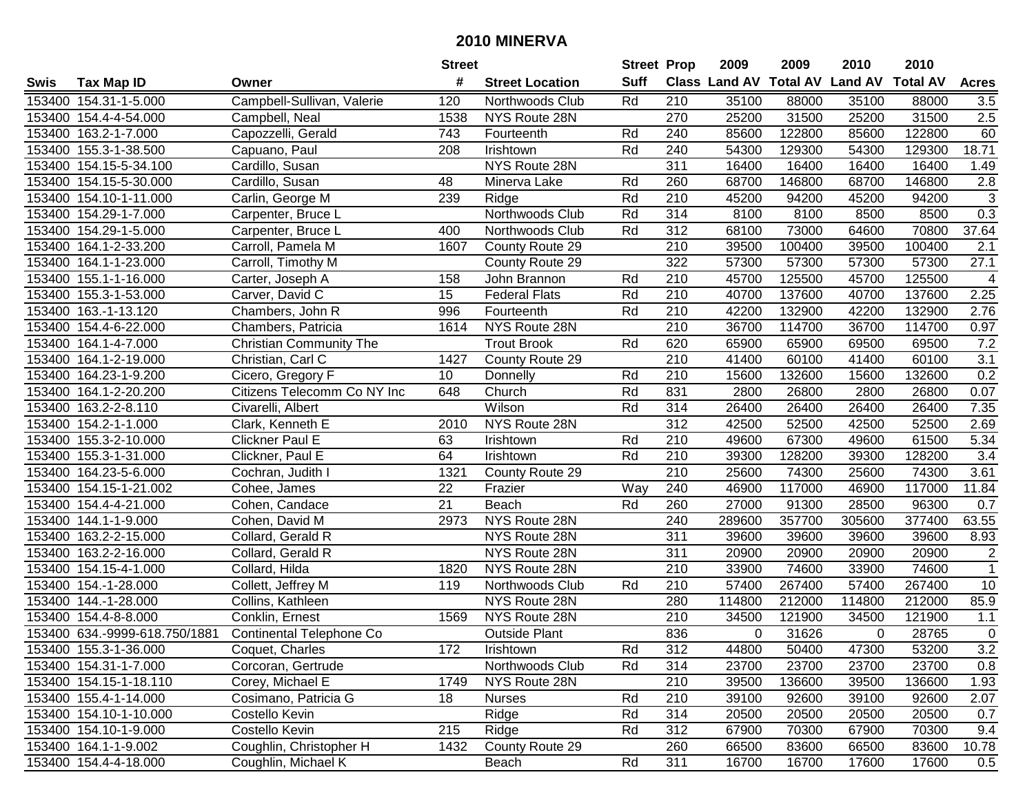|        |                               |                                 | <b>Street</b> |                        | <b>Street Prop</b> |                  | 2009                 | 2009            | 2010           | 2010            |                  |
|--------|-------------------------------|---------------------------------|---------------|------------------------|--------------------|------------------|----------------------|-----------------|----------------|-----------------|------------------|
| Swis   | <b>Tax Map ID</b>             | Owner                           | #             | <b>Street Location</b> | <b>Suff</b>        |                  | <b>Class Land AV</b> | <b>Total AV</b> | <b>Land AV</b> | <b>Total AV</b> | <b>Acres</b>     |
|        | 153400 154.31-1-5.000         | Campbell-Sullivan, Valerie      | 120           | Northwoods Club        | Rd                 | 210              | 35100                | 88000           | 35100          | 88000           | 3.5              |
|        | 153400 154.4-4-54.000         | Campbell, Neal                  | 1538          | NYS Route 28N          |                    | 270              | 25200                | 31500           | 25200          | 31500           | 2.5              |
|        | 153400 163.2-1-7.000          | Capozzelli, Gerald              | 743           | Fourteenth             | Rd                 | 240              | 85600                | 122800          | 85600          | 122800          | 60               |
|        | 153400 155.3-1-38.500         | Capuano, Paul                   | 208           | Irishtown              | Rd                 | 240              | 54300                | 129300          | 54300          | 129300          | 18.71            |
|        | 153400 154.15-5-34.100        | Cardillo, Susan                 |               | NYS Route 28N          |                    | 311              | 16400                | 16400           | 16400          | 16400           | 1.49             |
|        | 153400 154.15-5-30.000        | Cardillo, Susan                 | 48            | Minerva Lake           | Rd                 | 260              | 68700                | 146800          | 68700          | 146800          | $\overline{2.8}$ |
|        | 153400 154.10-1-11.000        | Carlin, George M                | 239           | Ridge                  | Rd                 | 210              | 45200                | 94200           | 45200          | 94200           | 3                |
|        | 153400 154.29-1-7.000         | Carpenter, Bruce L              |               | Northwoods Club        | Rd                 | 314              | 8100                 | 8100            | 8500           | 8500            | 0.3              |
|        | 153400 154.29-1-5.000         | Carpenter, Bruce L              | 400           | Northwoods Club        | Rd                 | $\overline{312}$ | 68100                | 73000           | 64600          | 70800           | 37.64            |
|        | 153400 164.1-2-33.200         | Carroll, Pamela M               | 1607          | County Route 29        |                    | 210              | 39500                | 100400          | 39500          | 100400          | 2.1              |
|        | 153400 164.1-1-23.000         | Carroll, Timothy M              |               | County Route 29        |                    | 322              | 57300                | 57300           | 57300          | 57300           | 27.1             |
|        | 153400 155.1-1-16.000         | Carter, Joseph A                | 158           | John Brannon           | Rd                 | 210              | 45700                | 125500          | 45700          | 125500          | 4                |
|        | 153400 155.3-1-53.000         | Carver, David C                 | 15            | <b>Federal Flats</b>   | Rd                 | 210              | 40700                | 137600          | 40700          | 137600          | 2.25             |
|        | 153400 163.-1-13.120          | Chambers, John R                | 996           | Fourteenth             | Rd                 | 210              | 42200                | 132900          | 42200          | 132900          | 2.76             |
|        | 153400 154.4-6-22.000         | Chambers, Patricia              | 1614          | NYS Route 28N          |                    | 210              | 36700                | 114700          | 36700          | 114700          | 0.97             |
|        | 153400 164.1-4-7.000          | <b>Christian Community The</b>  |               | <b>Trout Brook</b>     | Rd                 | 620              | 65900                | 65900           | 69500          | 69500           | 7.2              |
|        | 153400 164.1-2-19.000         | Christian, Carl C               | 1427          | County Route 29        |                    | 210              | 41400                | 60100           | 41400          | 60100           | $\overline{3.1}$ |
|        | 153400 164.23-1-9.200         | Cicero, Gregory F               | 10            | Donnelly               | Rd                 | 210              | 15600                | 132600          | 15600          | 132600          | 0.2              |
|        | 153400 164.1-2-20.200         | Citizens Telecomm Co NY Inc     | 648           | Church                 | Rd                 | 831              | 2800                 | 26800           | 2800           | 26800           | 0.07             |
|        | 153400 163.2-2-8.110          | Civarelli, Albert               |               | Wilson                 | Rd                 | 314              | 26400                | 26400           | 26400          | 26400           | 7.35             |
|        | 153400 154.2-1-1.000          | Clark, Kenneth E                | 2010          | NYS Route 28N          |                    | 312              | 42500                | 52500           | 42500          | 52500           | 2.69             |
|        | 153400 155.3-2-10.000         | Clickner Paul E                 | 63            | Irishtown              | Rd                 | 210              | 49600                | 67300           | 49600          | 61500           | 5.34             |
| 153400 | 155.3-1-31.000                | Clickner, Paul E                | 64            | Irishtown              | Rd                 | 210              | 39300                | 128200          | 39300          | 128200          | 3.4              |
| 153400 | 164.23-5-6.000                | Cochran, Judith I               | 1321          | County Route 29        |                    | 210              | 25600                | 74300           | 25600          | 74300           | 3.61             |
| 153400 | 154.15-1-21.002               | Cohee, James                    | 22            | Frazier                | Way                | 240              | 46900                | 117000          | 46900          | 117000          | 11.84            |
|        | 153400 154.4-4-21.000         | Cohen, Candace                  | 21            | Beach                  | Rd                 | 260              | 27000                | 91300           | 28500          | 96300           | 0.7              |
|        | 153400 144.1-1-9.000          | Cohen, David M                  | 2973          | NYS Route 28N          |                    | 240              | 289600               | 357700          | 305600         | 377400          | 63.55            |
|        | 153400 163.2-2-15.000         | Collard, Gerald R               |               | NYS Route 28N          |                    | 311              | 39600                | 39600           | 39600          | 39600           | 8.93             |
|        | 153400 163.2-2-16.000         | Collard, Gerald R               |               | NYS Route 28N          |                    | 311              | 20900                | 20900           | 20900          | 20900           | $\sqrt{2}$       |
|        | 153400 154.15-4-1.000         | Collard, Hilda                  | 1820          | NYS Route 28N          |                    | $\overline{210}$ | 33900                | 74600           | 33900          | 74600           | $\overline{1}$   |
|        | 153400 154.-1-28.000          | Collett, Jeffrey M              | 119           | Northwoods Club        | Rd                 | $\overline{210}$ | 57400                | 267400          | 57400          | 267400          | $\overline{10}$  |
|        | 153400 144.-1-28.000          | Collins, Kathleen               |               | NYS Route 28N          |                    | 280              | 114800               | 212000          | 114800         | 212000          | 85.9             |
|        | 153400 154.4-8-8.000          | Conklin, Ernest                 | 1569          | NYS Route 28N          |                    | $\overline{210}$ | 34500                | 121900          | 34500          | 121900          | 1.1              |
|        | 153400 634.-9999-618.750/1881 | <b>Continental Telephone Co</b> |               | <b>Outside Plant</b>   |                    | 836              | 0                    | 31626           | $\Omega$       | 28765           | $\overline{0}$   |
|        | 153400 155.3-1-36.000         | Coquet, Charles                 | 172           | Irishtown              | Rd                 | 312              | 44800                | 50400           | 47300          | 53200           | 3.2              |
|        | 153400 154.31-1-7.000         | Corcoran, Gertrude              |               | Northwoods Club        | Rd                 | 314              | 23700                | 23700           | 23700          | 23700           | 0.8              |
|        | 153400 154.15-1-18.110        | Corey, Michael E                | 1749          | NYS Route 28N          |                    | 210              | 39500                | 136600          | 39500          | 136600          | 1.93             |
|        | 153400 155.4-1-14.000         | Cosimano, Patricia G            | 18            | <b>Nurses</b>          | Rd                 | 210              | 39100                | 92600           | 39100          | 92600           | 2.07             |
|        | 153400 154.10-1-10.000        | Costello Kevin                  |               | Ridge                  | Rd                 | 314              | 20500                | 20500           | 20500          | 20500           | 0.7              |
|        | 153400 154.10-1-9.000         | Costello Kevin                  | 215           | Ridge                  | Rd                 | 312              | 67900                | 70300           | 67900          | 70300           | 9.4              |
|        | 153400 164.1-1-9.002          | Coughlin, Christopher H         | 1432          | County Route 29        |                    | 260              | 66500                | 83600           | 66500          | 83600           | 10.78            |
|        | 153400 154.4-4-18.000         | Coughlin, Michael K             |               | Beach                  | Rd                 | 311              | 16700                | 16700           | 17600          | 17600           | 0.5              |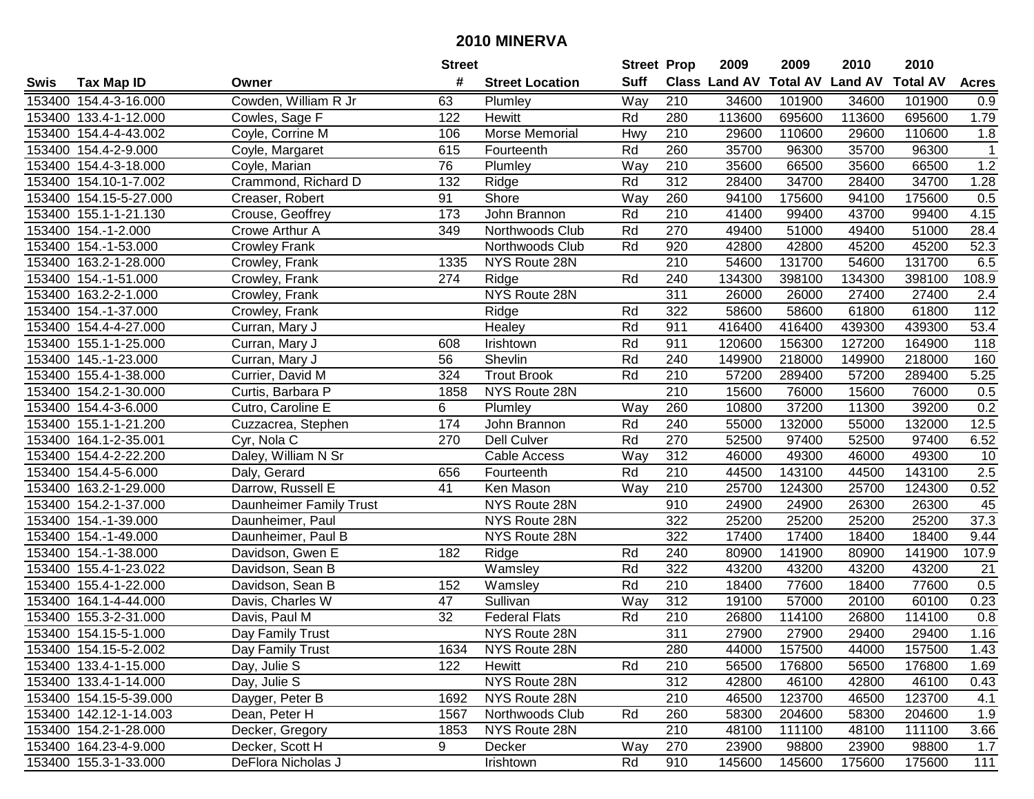|      |                        |                         | <b>Street</b>   |                        | <b>Street Prop</b> |                  | 2009          | 2009   | 2010                    | 2010            |              |
|------|------------------------|-------------------------|-----------------|------------------------|--------------------|------------------|---------------|--------|-------------------------|-----------------|--------------|
| Swis | <b>Tax Map ID</b>      | Owner                   | #               | <b>Street Location</b> | <b>Suff</b>        |                  | Class Land AV |        | <b>Total AV Land AV</b> | <b>Total AV</b> | <b>Acres</b> |
|      | 153400 154.4-3-16.000  | Cowden, William R Jr    | 63              | Plumley                | Way                | 210              | 34600         | 101900 | 34600                   | 101900          | 0.9          |
|      | 153400 133.4-1-12.000  | Cowles, Sage F          | 122             | Hewitt                 | Rd                 | 280              | 113600        | 695600 | 113600                  | 695600          | 1.79         |
|      | 153400 154.4-4-43.002  | Coyle, Corrine M        | 106             | Morse Memorial         | Hwy                | 210              | 29600         | 110600 | 29600                   | 110600          | 1.8          |
|      | 153400 154.4-2-9.000   | Coyle, Margaret         | 615             | Fourteenth             | Rd                 | 260              | 35700         | 96300  | 35700                   | 96300           | $\mathbf{1}$ |
|      | 153400 154.4-3-18.000  | Coyle, Marian           | 76              | Plumley                | Way                | 210              | 35600         | 66500  | 35600                   | 66500           | 1.2          |
|      | 153400 154.10-1-7.002  | Crammond, Richard D     | 132             | Ridge                  | Rd                 | $\overline{312}$ | 28400         | 34700  | 28400                   | 34700           | 1.28         |
|      | 153400 154.15-5-27.000 | Creaser, Robert         | 91              | Shore                  | Way                | 260              | 94100         | 175600 | 94100                   | 175600          | 0.5          |
|      | 153400 155.1-1-21.130  | Crouse, Geoffrey        | 173             | John Brannon           | Rd                 | 210              | 41400         | 99400  | 43700                   | 99400           | 4.15         |
|      | 153400 154.-1-2.000    | Crowe Arthur A          | 349             | Northwoods Club        | Rd                 | 270              | 49400         | 51000  | 49400                   | 51000           | 28.4         |
|      | 153400 154.-1-53.000   | <b>Crowley Frank</b>    |                 | Northwoods Club        | Rd                 | 920              | 42800         | 42800  | 45200                   | 45200           | 52.3         |
|      | 153400 163.2-1-28.000  | Crowley, Frank          | 1335            | NYS Route 28N          |                    | 210              | 54600         | 131700 | 54600                   | 131700          | 6.5          |
|      | 153400 154.-1-51.000   | Crowley, Frank          | 274             | Ridge                  | Rd                 | 240              | 134300        | 398100 | 134300                  | 398100          | 108.9        |
|      | 153400 163.2-2-1.000   | Crowley, Frank          |                 | NYS Route 28N          |                    | $\overline{311}$ | 26000         | 26000  | 27400                   | 27400           | 2.4          |
|      | 153400 154.-1-37.000   | Crowley, Frank          |                 | Ridge                  | Rd                 | 322              | 58600         | 58600  | 61800                   | 61800           | 112          |
|      | 153400 154.4-4-27.000  | Curran, Mary J          |                 | Healey                 | Rd                 | 911              | 416400        | 416400 | 439300                  | 439300          | 53.4         |
|      | 153400 155.1-1-25.000  | Curran, Mary J          | 608             | <b>Irishtown</b>       | Rd                 | 911              | 120600        | 156300 | 127200                  | 164900          | 118          |
|      | 153400 145.-1-23.000   | Curran, Mary J          | 56              | Shevlin                | Rd                 | 240              | 149900        | 218000 | 149900                  | 218000          | 160          |
|      | 153400 155.4-1-38.000  | Currier, David M        | 324             | <b>Trout Brook</b>     | Rd                 | 210              | 57200         | 289400 | 57200                   | 289400          | 5.25         |
|      | 153400 154.2-1-30.000  | Curtis, Barbara P       | 1858            | NYS Route 28N          |                    | 210              | 15600         | 76000  | 15600                   | 76000           | 0.5          |
|      | 153400 154.4-3-6.000   | Cutro, Caroline E       | 6               | Plumley                | Way                | 260              | 10800         | 37200  | 11300                   | 39200           | 0.2          |
|      | 153400 155.1-1-21.200  | Cuzzacrea, Stephen      | 174             | John Brannon           | Rd                 | 240              | 55000         | 132000 | 55000                   | 132000          | 12.5         |
|      | 153400 164.1-2-35.001  | Cyr, Nola C             | 270             | <b>Dell Culver</b>     | Rd                 | 270              | 52500         | 97400  | 52500                   | 97400           | 6.52         |
|      | 153400 154.4-2-22.200  | Daley, William N Sr     |                 | Cable Access           | Way                | 312              | 46000         | 49300  | 46000                   | 49300           | 10           |
|      | 153400 154.4-5-6.000   | Daly, Gerard            | 656             | Fourteenth             | Rd                 | 210              | 44500         | 143100 | 44500                   | 143100          | 2.5          |
|      | 153400 163.2-1-29.000  | Darrow, Russell E       | 41              | Ken Mason              | Way                | 210              | 25700         | 124300 | 25700                   | 124300          | 0.52         |
|      | 153400 154.2-1-37.000  | Daunheimer Family Trust |                 | NYS Route 28N          |                    | 910              | 24900         | 24900  | 26300                   | 26300           | 45           |
|      | 153400 154.-1-39.000   | Daunheimer, Paul        |                 | NYS Route 28N          |                    | 322              | 25200         | 25200  | 25200                   | 25200           | 37.3         |
|      | 153400 154.-1-49.000   | Daunheimer, Paul B      |                 | NYS Route 28N          |                    | 322              | 17400         | 17400  | 18400                   | 18400           | 9.44         |
|      | 153400 154.-1-38.000   | Davidson, Gwen E        | 182             | Ridge                  | Rd                 | 240              | 80900         | 141900 | 80900                   | 141900          | 107.9        |
|      | 153400 155.4-1-23.022  | Davidson, Sean B        |                 | Wamsley                | Rd                 | 322              | 43200         | 43200  | 43200                   | 43200           | 21           |
|      | 153400 155.4-1-22.000  | Davidson, Sean B        | 152             | Wamsley                | Rd                 | $\overline{210}$ | 18400         | 77600  | 18400                   | 77600           | 0.5          |
|      | 153400 164.1-4-44.000  | Davis, Charles W        | 47              | Sullivan               | Way                | 312              | 19100         | 57000  | 20100                   | 60100           | 0.23         |
|      | 153400 155.3-2-31.000  | Davis, Paul M           | $\overline{32}$ | <b>Federal Flats</b>   | Rd                 | 210              | 26800         | 114100 | 26800                   | 114100          | 0.8          |
|      | 153400 154.15-5-1.000  | Day Family Trust        |                 | NYS Route 28N          |                    | 311              | 27900         | 27900  | 29400                   | 29400           | 1.16         |
|      | 153400 154.15-5-2.002  | Day Family Trust        | 1634            | NYS Route 28N          |                    | 280              | 44000         | 157500 | 44000                   | 157500          | 1.43         |
|      | 153400 133.4-1-15.000  | Day, Julie S            | 122             | Hewitt                 | Rd                 | 210              | 56500         | 176800 | 56500                   | 176800          | 1.69         |
|      | 153400 133.4-1-14.000  | Day, Julie S            |                 | NYS Route 28N          |                    | 312              | 42800         | 46100  | 42800                   | 46100           | 0.43         |
|      | 153400 154.15-5-39.000 | Dayger, Peter B         | 1692            | NYS Route 28N          |                    | 210              | 46500         | 123700 | 46500                   | 123700          | 4.1          |
|      | 153400 142.12-1-14.003 | Dean, Peter H           | 1567            | Northwoods Club        | Rd                 | 260              | 58300         | 204600 | 58300                   | 204600          | 1.9          |
|      | 153400 154.2-1-28.000  | Decker, Gregory         | 1853            | NYS Route 28N          |                    | 210              | 48100         | 111100 | 48100                   | 111100          | 3.66         |
|      | 153400 164.23-4-9.000  | Decker, Scott H         | 9               | Decker                 | Way                | 270              | 23900         | 98800  | 23900                   | 98800           | 1.7          |
|      | 153400 155.3-1-33.000  | DeFlora Nicholas J      |                 | Irishtown              | Rd                 | 910              | 145600        | 145600 | 175600                  | 175600          | 111          |
|      |                        |                         |                 |                        |                    |                  |               |        |                         |                 |              |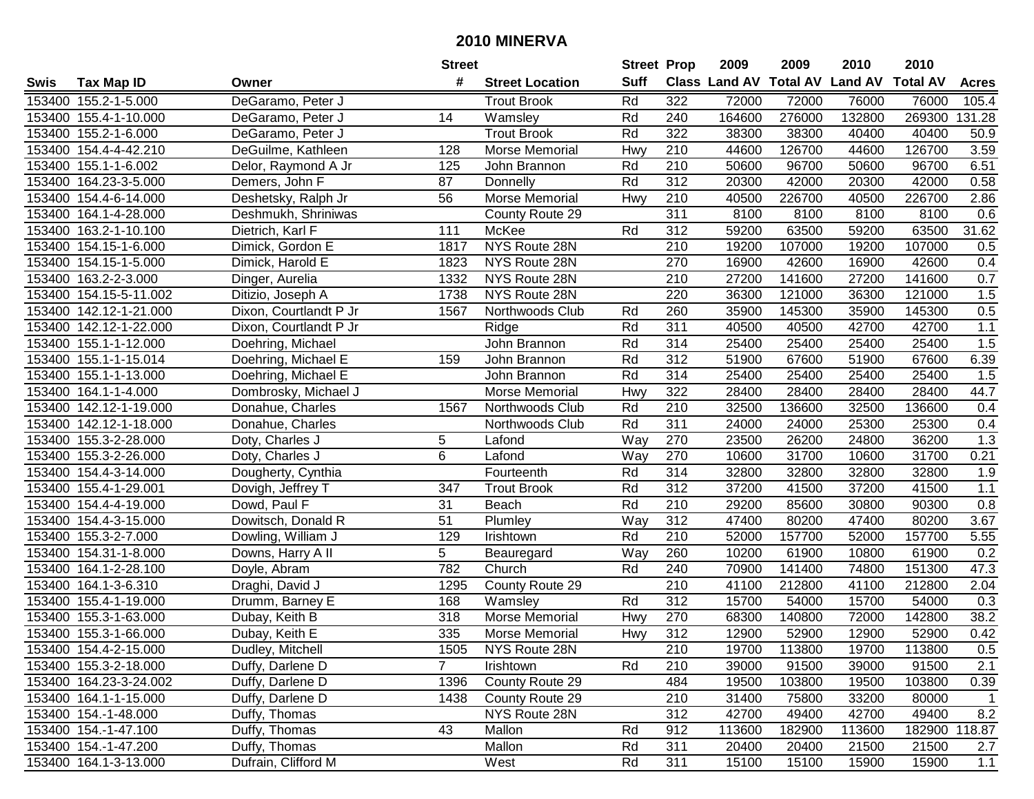|        |                        |                        | <b>Street</b>  |                        | <b>Street Prop</b> |                  | 2009                          | 2009   | 2010           | 2010            |              |
|--------|------------------------|------------------------|----------------|------------------------|--------------------|------------------|-------------------------------|--------|----------------|-----------------|--------------|
| Swis   | <b>Tax Map ID</b>      | Owner                  | #              | <b>Street Location</b> | <b>Suff</b>        |                  | <b>Class Land AV Total AV</b> |        | <b>Land AV</b> | <b>Total AV</b> | <b>Acres</b> |
|        | 153400 155.2-1-5.000   | DeGaramo, Peter J      |                | <b>Trout Brook</b>     | Rd                 | 322              | 72000                         | 72000  | 76000          | 76000           | 105.4        |
|        | 153400 155.4-1-10.000  | DeGaramo, Peter J      | 14             | Wamsley                | Rd                 | 240              | 164600                        | 276000 | 132800         | 269300          | 131.28       |
|        | 153400 155.2-1-6.000   | DeGaramo, Peter J      |                | <b>Trout Brook</b>     | Rd                 | 322              | 38300                         | 38300  | 40400          | 40400           | 50.9         |
|        | 153400 154.4-4-42.210  | DeGuilme, Kathleen     | 128            | Morse Memorial         | Hwy                | 210              | 44600                         | 126700 | 44600          | 126700          | 3.59         |
|        | 153400 155.1-1-6.002   | Delor, Raymond A Jr    | 125            | John Brannon           | Rd                 | 210              | 50600                         | 96700  | 50600          | 96700           | 6.51         |
|        | 153400 164.23-3-5.000  | Demers, John F         | 87             | Donnelly               | Rd                 | 312              | 20300                         | 42000  | 20300          | 42000           | 0.58         |
|        | 153400 154.4-6-14.000  | Deshetsky, Ralph Jr    | 56             | Morse Memorial         | Hwy                | 210              | 40500                         | 226700 | 40500          | 226700          | 2.86         |
|        | 153400 164.1-4-28.000  | Deshmukh, Shriniwas    |                | County Route 29        |                    | 311              | 8100                          | 8100   | 8100           | 8100            | 0.6          |
|        | 153400 163.2-1-10.100  | Dietrich, Karl F       | 111            | McKee                  | Rd                 | 312              | 59200                         | 63500  | 59200          | 63500           | 31.62        |
|        | 153400 154.15-1-6.000  | Dimick, Gordon E       | 1817           | NYS Route 28N          |                    | 210              | 19200                         | 107000 | 19200          | 107000          | 0.5          |
|        | 153400 154.15-1-5.000  | Dimick, Harold E       | 1823           | NYS Route 28N          |                    | 270              | 16900                         | 42600  | 16900          | 42600           | 0.4          |
|        | 153400 163.2-2-3.000   | Dinger, Aurelia        | 1332           | NYS Route 28N          |                    | 210              | 27200                         | 141600 | 27200          | 141600          | 0.7          |
|        | 153400 154.15-5-11.002 | Ditizio, Joseph A      | 1738           | NYS Route 28N          |                    | 220              | 36300                         | 121000 | 36300          | 121000          | 1.5          |
|        | 153400 142.12-1-21.000 | Dixon, Courtlandt P Jr | 1567           | Northwoods Club        | Rd                 | 260              | 35900                         | 145300 | 35900          | 145300          | 0.5          |
|        | 153400 142.12-1-22.000 | Dixon, Courtlandt P Jr |                | Ridge                  | Rd                 | 311              | 40500                         | 40500  | 42700          | 42700           | 1.1          |
|        | 153400 155.1-1-12.000  | Doehring, Michael      |                | John Brannon           | Rd                 | 314              | 25400                         | 25400  | 25400          | 25400           | 1.5          |
|        | 153400 155.1-1-15.014  | Doehring, Michael E    | 159            | John Brannon           | Rd                 | 312              | 51900                         | 67600  | 51900          | 67600           | 6.39         |
| 153400 | 155.1-1-13.000         | Doehring, Michael E    |                | John Brannon           | Rd                 | 314              | 25400                         | 25400  | 25400          | 25400           | 1.5          |
|        | 153400 164.1-1-4.000   | Dombrosky, Michael J   |                | Morse Memorial         | Hwy                | 322              | 28400                         | 28400  | 28400          | 28400           | 44.7         |
|        | 153400 142.12-1-19.000 | Donahue, Charles       | 1567           | Northwoods Club        | Rd                 | 210              | 32500                         | 136600 | 32500          | 136600          | 0.4          |
|        | 153400 142.12-1-18.000 | Donahue, Charles       |                | Northwoods Club        | Rd                 | 311              | 24000                         | 24000  | 25300          | 25300           | 0.4          |
|        | 153400 155.3-2-28.000  | Doty, Charles J        | 5              | Lafond                 | Way                | 270              | 23500                         | 26200  | 24800          | 36200           | 1.3          |
| 153400 | 155.3-2-26.000         | Doty, Charles J        | 6              | Lafond                 | Way                | 270              | 10600                         | 31700  | 10600          | 31700           | 0.21         |
| 153400 | 154.4-3-14.000         | Dougherty, Cynthia     |                | Fourteenth             | Rd                 | 314              | 32800                         | 32800  | 32800          | 32800           | 1.9          |
| 153400 | 155.4-1-29.001         | Dovigh, Jeffrey T      | 347            | <b>Trout Brook</b>     | Rd                 | 312              | 37200                         | 41500  | 37200          | 41500           | 1.1          |
|        | 153400 154.4-4-19.000  | Dowd, Paul F           | 31             | Beach                  | Rd                 | 210              | 29200                         | 85600  | 30800          | 90300           | 0.8          |
|        | 153400 154.4-3-15.000  | Dowitsch, Donald R     | 51             | Plumley                | Way                | 312              | 47400                         | 80200  | 47400          | 80200           | 3.67         |
|        | 153400 155.3-2-7.000   | Dowling, William J     | 129            | Irishtown              | Rd                 | 210              | 52000                         | 157700 | 52000          | 157700          | 5.55         |
|        | 153400 154.31-1-8.000  | Downs, Harry A II      | 5              | Beauregard             | Way                | 260              | 10200                         | 61900  | 10800          | 61900           | 0.2          |
|        | 153400 164.1-2-28.100  | Doyle, Abram           | 782            | Church                 | Rd                 | 240              | 70900                         | 141400 | 74800          | 151300          | 47.3         |
|        | 153400 164.1-3-6.310   | Draghi, David J        | 1295           | County Route 29        |                    | $\overline{210}$ | 41100                         | 212800 | 41100          | 212800          | 2.04         |
|        | 153400 155.4-1-19.000  | Drumm, Barney E        | 168            | Wamsley                | Rd                 | 312              | 15700                         | 54000  | 15700          | 54000           | 0.3          |
|        | 153400 155.3-1-63.000  | Dubay, Keith B         | 318            | Morse Memorial         | Hwy                | 270              | 68300                         | 140800 | 72000          | 142800          | 38.2         |
|        | 153400 155.3-1-66.000  | Dubay, Keith E         | 335            | Morse Memorial         | Hwy                | 312              | 12900                         | 52900  | 12900          | 52900           | 0.42         |
|        | 153400 154.4-2-15.000  | Dudley, Mitchell       | 1505           | NYS Route 28N          |                    | 210              | 19700                         | 113800 | 19700          | 113800          | 0.5          |
|        | 153400 155.3-2-18.000  | Duffy, Darlene D       | $\overline{7}$ | Irishtown              | Rd                 | 210              | 39000                         | 91500  | 39000          | 91500           | 2.1          |
|        | 153400 164.23-3-24.002 | Duffy, Darlene D       | 1396           | County Route 29        |                    | 484              | 19500                         | 103800 | 19500          | 103800          | 0.39         |
|        | 153400 164.1-1-15.000  | Duffy, Darlene D       | 1438           | County Route 29        |                    | 210              | 31400                         | 75800  | 33200          | 80000           | $\mathbf{1}$ |
|        | 153400 154.-1-48.000   | Duffy, Thomas          |                | NYS Route 28N          |                    | 312              | 42700                         | 49400  | 42700          | 49400           | 8.2          |
|        | 153400 154.-1-47.100   | Duffy, Thomas          | 43             | Mallon                 | Rd                 | 912              | 113600                        | 182900 | 113600         | 182900          | 118.87       |
|        | 153400 154.-1-47.200   | Duffy, Thomas          |                | Mallon                 | Rd                 | 311              | 20400                         | 20400  | 21500          | 21500           | 2.7          |
|        | 153400 164.1-3-13.000  | Dufrain, Clifford M    |                | West                   | Rd                 | 311              | 15100                         | 15100  | 15900          | 15900           | 1.1          |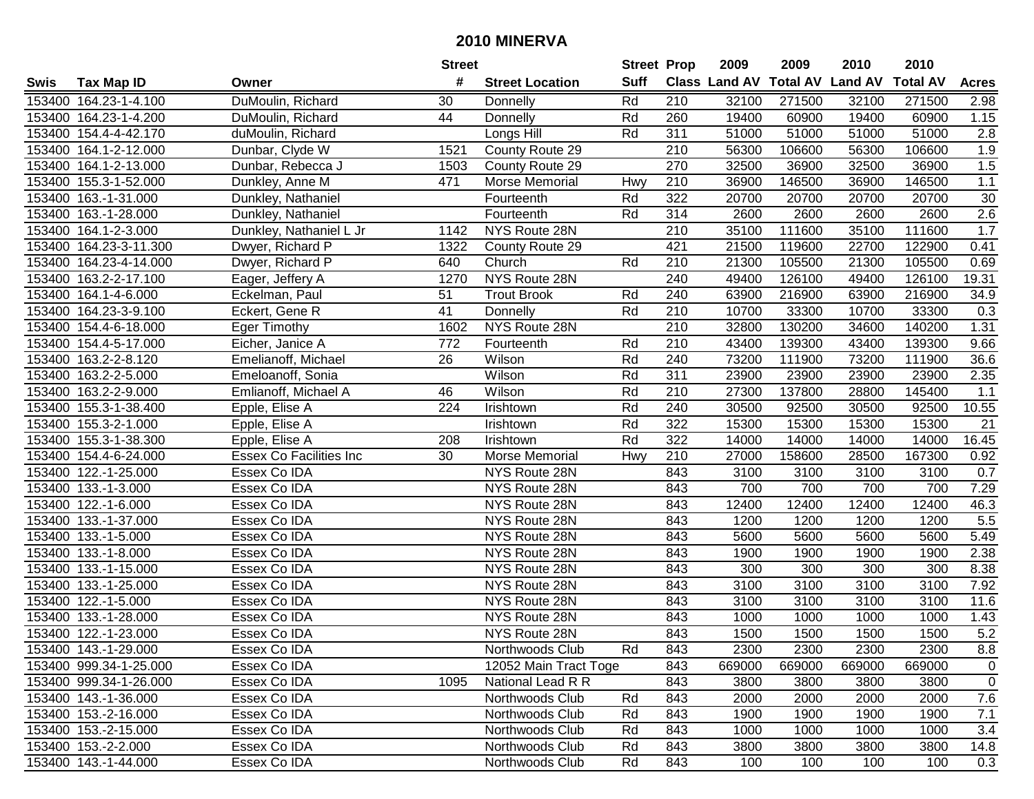|      |                        |                                | <b>Street</b> |                        | <b>Street Prop</b> |                  | 2009                          | 2009   | 2010           | 2010            |              |
|------|------------------------|--------------------------------|---------------|------------------------|--------------------|------------------|-------------------------------|--------|----------------|-----------------|--------------|
| Swis | <b>Tax Map ID</b>      | Owner                          | #             | <b>Street Location</b> | <b>Suff</b>        |                  | <b>Class Land AV Total AV</b> |        | <b>Land AV</b> | <b>Total AV</b> | <b>Acres</b> |
|      | 153400 164.23-1-4.100  | DuMoulin, Richard              | 30            | Donnelly               | Rd                 | 210              | 32100                         | 271500 | 32100          | 271500          | 2.98         |
|      | 153400 164.23-1-4.200  | DuMoulin, Richard              | 44            | Donnelly               | Rd                 | 260              | 19400                         | 60900  | 19400          | 60900           | 1.15         |
|      | 153400 154.4-4-42.170  | duMoulin, Richard              |               | Longs Hill             | Rd                 | 311              | 51000                         | 51000  | 51000          | 51000           | 2.8          |
|      | 153400 164.1-2-12.000  | Dunbar, Clyde W                | 1521          | County Route 29        |                    | 210              | 56300                         | 106600 | 56300          | 106600          | 1.9          |
|      | 153400 164.1-2-13.000  | Dunbar, Rebecca J              | 1503          | County Route 29        |                    | 270              | 32500                         | 36900  | 32500          | 36900           | 1.5          |
|      | 153400 155.3-1-52.000  | Dunkley, Anne M                | 471           | Morse Memorial         | Hwy                | 210              | 36900                         | 146500 | 36900          | 146500          | 1.1          |
|      | 153400 163.-1-31.000   | Dunkley, Nathaniel             |               | Fourteenth             | Rd                 | 322              | 20700                         | 20700  | 20700          | 20700           | 30           |
|      | 153400 163.-1-28.000   | Dunkley, Nathaniel             |               | Fourteenth             | Rd                 | 314              | 2600                          | 2600   | 2600           | 2600            | 2.6          |
|      | 153400 164.1-2-3.000   | Dunkley, Nathaniel L Jr        | 1142          | NYS Route 28N          |                    | $\overline{210}$ | 35100                         | 111600 | 35100          | 111600          | 1.7          |
|      | 153400 164.23-3-11.300 | Dwyer, Richard P               | 1322          | County Route 29        |                    | 421              | 21500                         | 119600 | 22700          | 122900          | 0.41         |
|      | 153400 164.23-4-14.000 | Dwyer, Richard P               | 640           | Church                 | Rd                 | 210              | 21300                         | 105500 | 21300          | 105500          | 0.69         |
|      | 153400 163.2-2-17.100  | Eager, Jeffery A               | 1270          | NYS Route 28N          |                    | 240              | 49400                         | 126100 | 49400          | 126100          | 19.31        |
|      | 153400 164.1-4-6.000   | Eckelman, Paul                 | 51            | <b>Trout Brook</b>     | Rd                 | 240              | 63900                         | 216900 | 63900          | 216900          | 34.9         |
|      | 153400 164.23-3-9.100  | Eckert, Gene R                 | 41            | Donnelly               | Rd                 | 210              | 10700                         | 33300  | 10700          | 33300           | 0.3          |
|      | 153400 154.4-6-18.000  | <b>Eger Timothy</b>            | 1602          | NYS Route 28N          |                    | 210              | 32800                         | 130200 | 34600          | 140200          | 1.31         |
|      | 153400 154.4-5-17.000  | Eicher, Janice A               | 772           | Fourteenth             | Rd                 | 210              | 43400                         | 139300 | 43400          | 139300          | 9.66         |
|      | 153400 163.2-2-8.120   | Emelianoff, Michael            | 26            | Wilson                 | Rd                 | 240              | 73200                         | 111900 | 73200          | 111900          | 36.6         |
|      | 153400 163.2-2-5.000   | Emeloanoff, Sonia              |               | Wilson                 | Rd                 | 311              | 23900                         | 23900  | 23900          | 23900           | 2.35         |
|      | 153400 163.2-2-9.000   | Emlianoff, Michael A           | 46            | Wilson                 | Rd                 | 210              | 27300                         | 137800 | 28800          | 145400          | 1.1          |
|      | 153400 155.3-1-38.400  | Epple, Elise A                 | 224           | Irishtown              | Rd                 | 240              | 30500                         | 92500  | 30500          | 92500           | 10.55        |
|      | 153400 155.3-2-1.000   | Epple, Elise A                 |               | Irishtown              | Rd                 | 322              | 15300                         | 15300  | 15300          | 15300           | 21           |
|      | 153400 155.3-1-38.300  | Epple, Elise A                 | 208           | Irishtown              | Rd                 | 322              | 14000                         | 14000  | 14000          | 14000           | 16.45        |
|      | 153400 154.4-6-24.000  | <b>Essex Co Facilities Inc</b> | 30            | Morse Memorial         | Hwy                | 210              | 27000                         | 158600 | 28500          | 167300          | 0.92         |
|      | 153400 122.-1-25.000   | Essex Co IDA                   |               | NYS Route 28N          |                    | 843              | 3100                          | 3100   | 3100           | 3100            | 0.7          |
|      | 153400 133.-1-3.000    | Essex Co IDA                   |               | NYS Route 28N          |                    | 843              | 700                           | 700    | 700            | 700             | 7.29         |
|      | 153400 122.-1-6.000    | Essex Co IDA                   |               | NYS Route 28N          |                    | 843              | 12400                         | 12400  | 12400          | 12400           | 46.3         |
|      | 153400 133.-1-37.000   | Essex Co IDA                   |               | NYS Route 28N          |                    | 843              | 1200                          | 1200   | 1200           | 1200            | 5.5          |
|      | 153400 133.-1-5.000    | Essex Co IDA                   |               | NYS Route 28N          |                    | 843              | 5600                          | 5600   | 5600           | 5600            | 5.49         |
|      | 153400 133.-1-8.000    | Essex Co IDA                   |               | NYS Route 28N          |                    | 843              | 1900                          | 1900   | 1900           | 1900            | 2.38         |
|      | 153400 133.-1-15.000   | Essex Co IDA                   |               | NYS Route 28N          |                    | 843              | 300                           | 300    | 300            | 300             | 8.38         |
|      | 153400 133.-1-25.000   | Essex Co IDA                   |               | NYS Route 28N          |                    | 843              | 3100                          | 3100   | 3100           | 3100            | 7.92         |
|      | 153400 122.-1-5.000    | Essex Co IDA                   |               | NYS Route 28N          |                    | 843              | 3100                          | 3100   | 3100           | 3100            | 11.6         |
|      | 153400 133.-1-28.000   | Essex Co IDA                   |               | NYS Route 28N          |                    | 843              | 1000                          | 1000   | 1000           | 1000            | 1.43         |
|      | 153400 122.-1-23.000   | Essex Co IDA                   |               | NYS Route 28N          |                    | 843              | 1500                          | 1500   | 1500           | 1500            | 5.2          |
|      | 153400 143.-1-29.000   | Essex Co IDA                   |               | Northwoods Club        | Rd                 | 843              | 2300                          | 2300   | 2300           | 2300            | 8.8          |
|      | 153400 999.34-1-25.000 | Essex Co IDA                   |               | 12052 Main Tract Toge  |                    | 843              | 669000                        | 669000 | 669000         | 669000          | 0            |
|      | 153400 999.34-1-26.000 | Essex Co IDA                   | 1095          | National Lead R R      |                    | 843              | 3800                          | 3800   | 3800           | 3800            | 0            |
|      | 153400 143.-1-36.000   | Essex Co IDA                   |               | Northwoods Club        | Rd                 | 843              | 2000                          | 2000   | 2000           | 2000            | 7.6          |
|      | 153400 153.-2-16.000   | Essex Co IDA                   |               | Northwoods Club        | Rd                 | 843              | 1900                          | 1900   | 1900           | 1900            | 7.1          |
|      | 153400 153.-2-15.000   | Essex Co IDA                   |               | Northwoods Club        | Rd                 | 843              | 1000                          | 1000   | 1000           | 1000            | 3.4          |
|      | 153400 153.-2-2.000    | Essex Co IDA                   |               | Northwoods Club        | Rd                 | 843              | 3800                          | 3800   | 3800           | 3800            | 14.8         |
|      | 153400 143.-1-44.000   | Essex Co IDA                   |               | Northwoods Club        | Rd                 | 843              | 100                           | 100    | 100            | 100             | 0.3          |
|      |                        |                                |               |                        |                    |                  |                               |        |                |                 |              |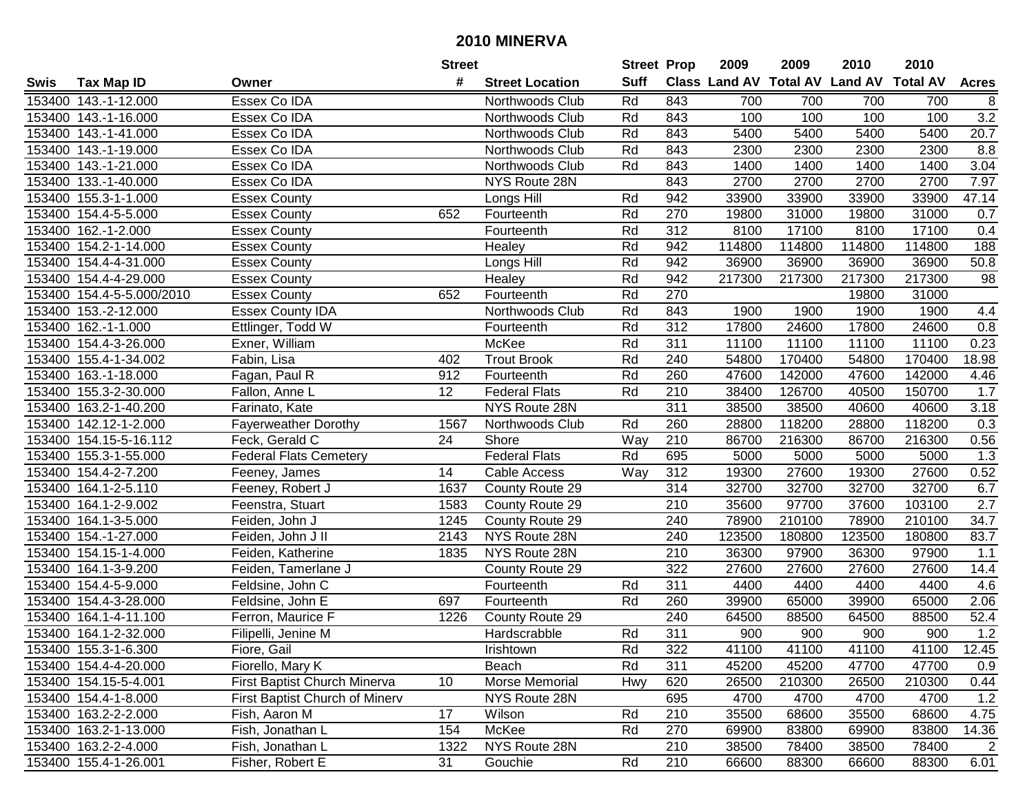|        |                           |                                | <b>Street</b>   |                        | <b>Street Prop</b> |     | 2009   | 2009   | 2010                           | 2010            |                  |
|--------|---------------------------|--------------------------------|-----------------|------------------------|--------------------|-----|--------|--------|--------------------------------|-----------------|------------------|
| Swis   | <b>Tax Map ID</b>         | Owner                          | #               | <b>Street Location</b> | <b>Suff</b>        |     |        |        | Class Land AV Total AV Land AV | <b>Total AV</b> | <b>Acres</b>     |
|        | 153400 143.-1-12.000      | Essex Co IDA                   |                 | Northwoods Club        | Rd                 | 843 | 700    | 700    | 700                            | 700             | 8                |
|        | 153400 143.-1-16.000      | Essex Co IDA                   |                 | Northwoods Club        | Rd                 | 843 | 100    | 100    | 100                            | 100             | 3.2              |
|        | 153400 143.-1-41.000      | Essex Co IDA                   |                 | Northwoods Club        | Rd                 | 843 | 5400   | 5400   | 5400                           | 5400            | 20.7             |
|        | 153400 143.-1-19.000      | Essex Co IDA                   |                 | Northwoods Club        | Rd                 | 843 | 2300   | 2300   | 2300                           | 2300            | 8.8              |
|        | 153400 143.-1-21.000      | Essex Co IDA                   |                 | Northwoods Club        | Rd                 | 843 | 1400   | 1400   | 1400                           | 1400            | 3.04             |
|        | 153400 133.-1-40.000      | Essex Co IDA                   |                 | NYS Route 28N          |                    | 843 | 2700   | 2700   | 2700                           | 2700            | 7.97             |
|        | 153400 155.3-1-1.000      | <b>Essex County</b>            |                 | Longs Hill             | Rd                 | 942 | 33900  | 33900  | 33900                          | 33900           | 47.14            |
|        | 153400 154.4-5-5.000      | <b>Essex County</b>            | 652             | Fourteenth             | Rd                 | 270 | 19800  | 31000  | 19800                          | 31000           | 0.7              |
|        | 153400 162 .- 1-2.000     | <b>Essex County</b>            |                 | Fourteenth             | Rd                 | 312 | 8100   | 17100  | 8100                           | 17100           | 0.4              |
|        | 153400 154.2-1-14.000     | Essex County                   |                 | Healey                 | Rd                 | 942 | 114800 | 114800 | 114800                         | 114800          | 188              |
|        | 153400 154.4-4-31.000     | <b>Essex County</b>            |                 | Longs Hill             | Rd                 | 942 | 36900  | 36900  | 36900                          | 36900           | 50.8             |
|        | 153400 154.4-4-29.000     | <b>Essex County</b>            |                 | Healey                 | Rd                 | 942 | 217300 | 217300 | 217300                         | 217300          | 98               |
|        | 153400 154.4-5-5.000/2010 | <b>Essex County</b>            | 652             | Fourteenth             | Rd                 | 270 |        |        | 19800                          | 31000           |                  |
|        | 153400 153.-2-12.000      | <b>Essex County IDA</b>        |                 | Northwoods Club        | Rd                 | 843 | 1900   | 1900   | 1900                           | 1900            | 4.4              |
|        | 153400 162.-1-1.000       | Ettlinger, Todd W              |                 | Fourteenth             | Rd                 | 312 | 17800  | 24600  | 17800                          | 24600           | 0.8              |
|        | 153400 154.4-3-26.000     | Exner, William                 |                 | McKee                  | Rd                 | 311 | 11100  | 11100  | 11100                          | 11100           | 0.23             |
|        | 153400 155.4-1-34.002     | Fabin, Lisa                    | 402             | <b>Trout Brook</b>     | Rd                 | 240 | 54800  | 170400 | 54800                          | 170400          | 18.98            |
|        | 153400 163.-1-18.000      | Fagan, Paul R                  | 912             | Fourteenth             | Rd                 | 260 | 47600  | 142000 | 47600                          | 142000          | 4.46             |
|        | 153400 155.3-2-30.000     | Fallon, Anne L                 | 12              | <b>Federal Flats</b>   | Rd                 | 210 | 38400  | 126700 | 40500                          | 150700          | 1.7              |
|        | 153400 163.2-1-40.200     | Farinato, Kate                 |                 | NYS Route 28N          |                    | 311 | 38500  | 38500  | 40600                          | 40600           | 3.18             |
|        | 153400 142.12-1-2.000     | <b>Fayerweather Dorothy</b>    | 1567            | Northwoods Club        | Rd                 | 260 | 28800  | 118200 | 28800                          | 118200          | 0.3              |
|        | 153400 154.15-5-16.112    | Feck, Gerald C                 | 24              | Shore                  | Way                | 210 | 86700  | 216300 | 86700                          | 216300          | 0.56             |
| 153400 | 155.3-1-55.000            | <b>Federal Flats Cemetery</b>  |                 | <b>Federal Flats</b>   | Rd                 | 695 | 5000   | 5000   | 5000                           | 5000            | 1.3              |
| 153400 | 154.4-2-7.200             | Feeney, James                  | 14              | Cable Access           | Way                | 312 | 19300  | 27600  | 19300                          | 27600           | 0.52             |
|        | 153400 164.1-2-5.110      | Feeney, Robert J               | 1637            | County Route 29        |                    | 314 | 32700  | 32700  | 32700                          | 32700           | 6.7              |
|        | 153400 164.1-2-9.002      | Feenstra, Stuart               | 1583            | County Route 29        |                    | 210 | 35600  | 97700  | 37600                          | 103100          | $\overline{2.7}$ |
|        | 153400 164.1-3-5.000      | Feiden, John J                 | 1245            | County Route 29        |                    | 240 | 78900  | 210100 | 78900                          | 210100          | 34.7             |
|        | 153400 154.-1-27.000      | Feiden, John J II              | 2143            | NYS Route 28N          |                    | 240 | 123500 | 180800 | 123500                         | 180800          | 83.7             |
|        | 153400 154.15-1-4.000     | Feiden, Katherine              | 1835            | NYS Route 28N          |                    | 210 | 36300  | 97900  | 36300                          | 97900           | 1.1              |
|        | 153400 164.1-3-9.200      | Feiden, Tamerlane J            |                 | County Route 29        |                    | 322 | 27600  | 27600  | 27600                          | 27600           | 14.4             |
|        | 153400 154.4-5-9.000      | Feldsine, John C               |                 | Fourteenth             | Rd                 | 311 | 4400   | 4400   | 4400                           | 4400            | 4.6              |
|        | 153400 154.4-3-28.000     | Feldsine, John E               | 697             | Fourteenth             | Rd                 | 260 | 39900  | 65000  | 39900                          | 65000           | 2.06             |
|        | 153400 164.1-4-11.100     | Ferron, Maurice F              | 1226            | County Route 29        |                    | 240 | 64500  | 88500  | 64500                          | 88500           | 52.4             |
|        | 153400 164.1-2-32.000     | Filipelli, Jenine M            |                 | Hardscrabble           | Rd                 | 311 | 900    | 900    | 900                            | 900             | 1.2              |
|        | 153400 155.3-1-6.300      | Fiore, Gail                    |                 | Irishtown              | Rd                 | 322 | 41100  | 41100  | 41100                          | 41100           | 12.45            |
|        | 153400 154.4-4-20.000     | Fiorello, Mary K               |                 | Beach                  | Rd                 | 311 | 45200  | 45200  | 47700                          | 47700           | 0.9              |
|        | 153400 154.15-5-4.001     | First Baptist Church Minerva   | 10 <sup>1</sup> | Morse Memorial         | Hwy                | 620 | 26500  | 210300 | 26500                          | 210300          | 0.44             |
|        | 153400 154.4-1-8.000      | First Baptist Church of Minerv |                 | NYS Route 28N          |                    | 695 | 4700   | 4700   | 4700                           | 4700            | 1.2              |
|        | 153400 163.2-2-2.000      | Fish, Aaron M                  | 17              | Wilson                 | Rd                 | 210 | 35500  | 68600  | 35500                          | 68600           | 4.75             |
|        | 153400 163.2-1-13.000     | Fish, Jonathan L               | 154             | McKee                  | Rd                 | 270 | 69900  | 83800  | 69900                          | 83800           | 14.36            |
|        | 153400 163.2-2-4.000      | Fish, Jonathan L               | 1322            | NYS Route 28N          |                    | 210 | 38500  | 78400  | 38500                          | 78400           | 2                |
|        | 153400 155.4-1-26.001     | Fisher, Robert E               | 31              | Gouchie                | Rd                 | 210 | 66600  | 88300  | 66600                          | 88300           | 6.01             |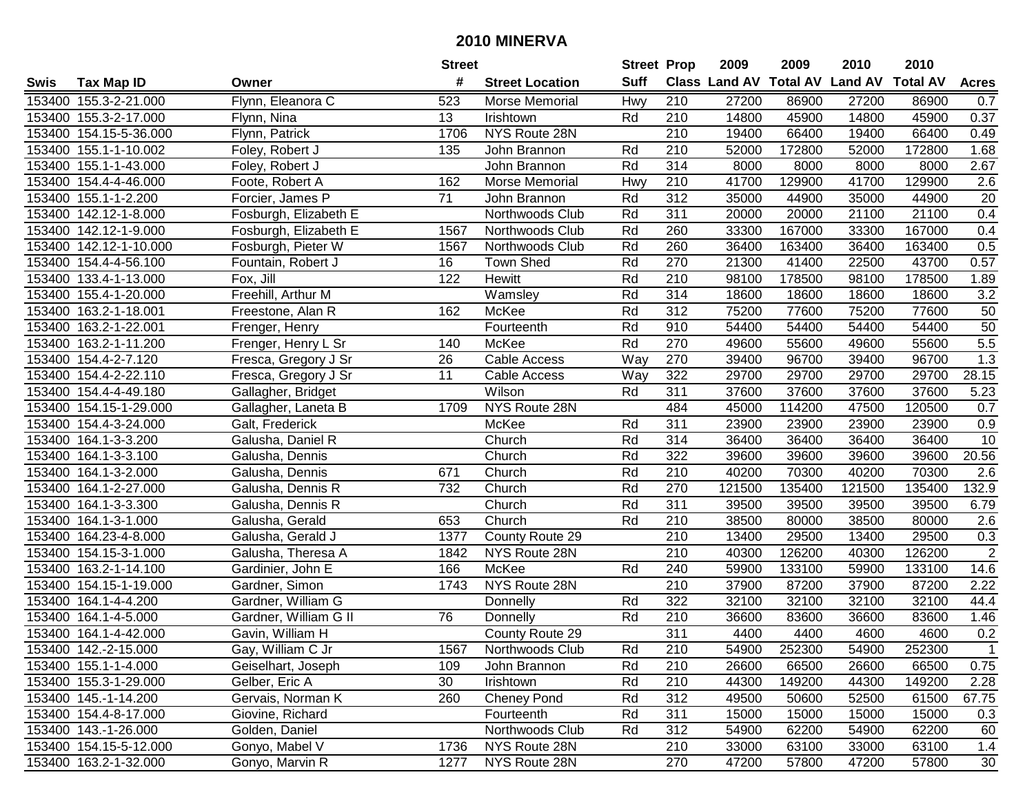| #<br><b>Suff</b><br><b>Class Land AV Total AV</b><br><b>Land AV</b><br><b>Total AV</b><br><b>Tax Map ID</b><br><b>Street Location</b><br><b>Acres</b><br>Swis<br>Owner<br>153400 155.3-2-21.000<br>Flynn, Eleanora C<br>523<br>Morse Memorial<br>Hwy<br>210<br>27200<br>86900<br>27200<br>86900<br>0.7<br>153400 155.3-2-17.000<br>13<br>210<br>14800<br>45900<br>14800<br>45900<br>0.37<br>Flynn, Nina<br>Irishtown<br>Rd<br>153400 154.15-5-36.000<br>Flynn, Patrick<br>NYS Route 28N<br>210<br>19400<br>66400<br>19400<br>66400<br>0.49<br>1706<br>210<br>52000<br>172800<br>1.68<br>153400 155.1-1-10.002<br>Foley, Robert J<br>135<br>John Brannon<br>Rd<br>52000<br>172800<br>153400 155.1-1-43.000<br>John Brannon<br>Rd<br>314<br>8000<br>8000<br>8000<br>8000<br>2.67<br>Foley, Robert J<br>$\overline{210}$<br>41700<br>$\overline{2.6}$<br>153400 154.4-4-46.000<br>162<br>Morse Memorial<br>Hwy<br>129900<br>41700<br>129900<br>Foote, Robert A<br>71<br>Rd<br>312<br>35000<br>35000<br>44900<br>20<br>153400 155.1-1-2.200<br>Forcier, James P<br>44900<br>John Brannon<br>311<br>Rd<br>20000<br>20000<br>21100<br>21100<br>0.4<br>153400 142.12-1-8.000<br>Fosburgh, Elizabeth E<br>Northwoods Club<br>260<br>167000<br>153400 142.12-1-9.000<br>Fosburgh, Elizabeth E<br>1567<br>Rd<br>33300<br>33300<br>167000<br>0.4<br>Northwoods Club<br>260<br>153400 142.12-1-10.000<br>Fosburgh, Pieter W<br>Rd<br>36400<br>163400<br>36400<br>163400<br>0.5<br>1567<br>Northwoods Club<br>270<br>43700<br>153400 154.4-4-56.100<br>16<br>Town Shed<br>Rd<br>21300<br>41400<br>22500<br>0.57<br>Fountain, Robert J<br>153400 133.4-1-13.000<br>122<br>Hewitt<br>Rd<br>210<br>98100<br>178500<br>98100<br>178500<br>Fox, Jill<br>1.89<br>Rd<br>314<br>Freehill, Arthur M<br>18600<br>18600<br>18600<br>3.2<br>153400 155.4-1-20.000<br>Wamsley<br>18600<br>Rd<br>312<br>75200<br>77600<br>153400 163.2-1-18.001<br>McKee<br>75200<br>77600<br>50<br>Freestone, Alan R<br>162<br>50<br>Rd<br>910<br>Fourteenth<br>54400<br>54400<br>54400<br>54400<br>153400 163.2-1-22.001<br>Frenger, Henry<br>5.5<br>Rd<br>McKee<br>270<br>49600<br>55600<br>55600<br>153400 163.2-1-11.200<br>Frenger, Henry L Sr<br>140<br>49600<br>1.3<br>26<br>Way<br>270<br>153400 154.4-2-7.120<br>Cable Access<br>39400<br>96700<br>39400<br>96700<br>Fresca, Gregory J Sr<br>11<br>153400 154.4-2-22.110<br>Cable Access<br>Way<br>322<br>29700<br>29700<br>29700<br>29700<br>28.15<br>Fresca, Gregory J Sr<br>153400 154.4-4-49.180<br>Wilson<br>311<br>37600<br>37600<br>37600<br>37600<br>5.23<br>Gallagher, Bridget<br>Rd<br>153400 154.15-1-29.000<br>NYS Route 28N<br>484<br>45000<br>114200<br>47500<br>120500<br>0.7<br>Gallagher, Laneta B<br>1709<br>311<br>23900<br>23900<br>0.9<br>153400 154.4-3-24.000<br>McKee<br>Rd<br>23900<br>23900<br>Galt, Frederick<br>Rd<br>10<br>153400 164.1-3-3.200<br>Church<br>314<br>36400<br>36400<br>36400<br>36400<br>Galusha, Daniel R<br>Rd<br>322<br>20.56<br>Church<br>39600<br>39600<br>39600<br>39600<br>153400<br>164.1-3-3.100<br>Galusha, Dennis<br>671<br>Church<br>Rd<br>210<br>40200<br>70300<br>40200<br>70300<br>2.6<br>153400<br>164.1-3-2.000<br>Galusha, Dennis<br>Church<br>132.9<br>732<br>Rd<br>270<br>121500<br>135400<br>121500<br>135400<br>153400 164.1-2-27.000<br>Galusha, Dennis R<br>Church<br>Rd<br>311<br>39500<br>39500<br>39500<br>39500<br>6.79<br>153400 164.1-3-3.300<br>Galusha, Dennis R<br>Church<br>Rd<br>38500<br>153400 164.1-3-1.000<br>653<br>210<br>80000<br>38500<br>80000<br>2.6<br>Galusha, Gerald<br>29500<br>153400 164.23-4-8.000<br>1377<br>County Route 29<br>210<br>13400<br>29500<br>13400<br>0.3<br>Galusha, Gerald J<br>$\overline{2}$<br>210<br>NYS Route 28N<br>40300<br>126200<br>40300<br>126200<br>153400 154.15-3-1.000<br>Galusha, Theresa A<br>1842<br>133100<br>153400 163.2-1-14.100<br>166<br>McKee<br>Rd<br>240<br>59900<br>133100<br>59900<br>14.6<br>Gardinier, John E<br>210<br>Gardner, Simon<br>NYS Route 28N<br>37900<br>87200<br>37900<br>87200<br>153400 154.15-1-19.000<br>1743<br>2.22<br>153400 164.1-4-4.200<br>Rd<br>322<br>32100<br>32100<br>32100<br>32100<br>44.4<br>Gardner, William G<br>Donnelly<br>$\overline{76}$<br>Rd<br>$\overline{210}$<br>36600<br>153400 164.1-4-5.000<br>Gardner, William G II<br>83600<br>36600<br>83600<br>1.46<br>Donnelly<br>311<br>0.2<br>153400 164.1-4-42.000<br>Gavin, William H<br>County Route 29<br>4400<br>4400<br>4600<br>4600<br>153400 142.-2-15.000<br>Gay, William C Jr<br>1567<br>Northwoods Club<br>Rd<br>210<br>54900<br>252300<br>54900<br>252300<br>$\mathbf{1}$<br>0.75<br>153400 155.1-1-4.000<br>Geiselhart, Joseph<br>Rd<br>210<br>26600<br>66500<br>66500<br>109<br>John Brannon<br>26600<br>Rd<br>153400 155.3-1-29.000<br>Gelber, Eric A<br>30<br>Irishtown<br>210<br>44300<br>149200<br>44300<br>149200<br>2.28<br>153400 145.-1-14.200<br>Cheney Pond<br>Rd<br>312<br>49500<br>61500<br>Gervais, Norman K<br>260<br>50600<br>52500<br>67.75<br>Rd<br>153400 154.4-8-17.000<br>Giovine, Richard<br>Fourteenth<br>311<br>15000<br>15000<br>15000<br>0.3<br>15000<br>Northwoods Club<br>312<br>153400 143.-1-26.000<br>Golden, Daniel<br>Rd<br>54900<br>62200<br>54900<br>62200<br>60<br>NYS Route 28N<br>153400 154.15-5-12.000<br>Gonyo, Mabel V<br>210<br>33000<br>63100<br>33000<br>63100<br>1.4<br>1736<br>NYS Route 28N<br>153400 163.2-1-32.000<br>Gonyo, Marvin R<br>1277<br>270<br>47200<br>47200<br>57800<br>30<br>57800 |  | <b>Street</b> | <b>Street Prop</b> | 2009 | 2009 | 2010 | 2010 |  |
|--------------------------------------------------------------------------------------------------------------------------------------------------------------------------------------------------------------------------------------------------------------------------------------------------------------------------------------------------------------------------------------------------------------------------------------------------------------------------------------------------------------------------------------------------------------------------------------------------------------------------------------------------------------------------------------------------------------------------------------------------------------------------------------------------------------------------------------------------------------------------------------------------------------------------------------------------------------------------------------------------------------------------------------------------------------------------------------------------------------------------------------------------------------------------------------------------------------------------------------------------------------------------------------------------------------------------------------------------------------------------------------------------------------------------------------------------------------------------------------------------------------------------------------------------------------------------------------------------------------------------------------------------------------------------------------------------------------------------------------------------------------------------------------------------------------------------------------------------------------------------------------------------------------------------------------------------------------------------------------------------------------------------------------------------------------------------------------------------------------------------------------------------------------------------------------------------------------------------------------------------------------------------------------------------------------------------------------------------------------------------------------------------------------------------------------------------------------------------------------------------------------------------------------------------------------------------------------------------------------------------------------------------------------------------------------------------------------------------------------------------------------------------------------------------------------------------------------------------------------------------------------------------------------------------------------------------------------------------------------------------------------------------------------------------------------------------------------------------------------------------------------------------------------------------------------------------------------------------------------------------------------------------------------------------------------------------------------------------------------------------------------------------------------------------------------------------------------------------------------------------------------------------------------------------------------------------------------------------------------------------------------------------------------------------------------------------------------------------------------------------------------------------------------------------------------------------------------------------------------------------------------------------------------------------------------------------------------------------------------------------------------------------------------------------------------------------------------------------------------------------------------------------------------------------------------------------------------------------------------------------------------------------------------------------------------------------------------------------------------------------------------------------------------------------------------------------------------------------------------------------------------------------------------------------------------------------------------------------------------------------------------------------------------------------------------------------------------------------------------------------------------------------------------------------------------------------------------------------------------------------------------------------------------------------------------------------------------------------------------------------------------------------------------------------------------------------------------------------------------------------------------------------------------------------------------------------------------------------------------------------------------------------------------------------------------------------------------------------------------------------------------------------------------------------------------------------------------------------------------------------------------|--|---------------|--------------------|------|------|------|------|--|
|                                                                                                                                                                                                                                                                                                                                                                                                                                                                                                                                                                                                                                                                                                                                                                                                                                                                                                                                                                                                                                                                                                                                                                                                                                                                                                                                                                                                                                                                                                                                                                                                                                                                                                                                                                                                                                                                                                                                                                                                                                                                                                                                                                                                                                                                                                                                                                                                                                                                                                                                                                                                                                                                                                                                                                                                                                                                                                                                                                                                                                                                                                                                                                                                                                                                                                                                                                                                                                                                                                                                                                                                                                                                                                                                                                                                                                                                                                                                                                                                                                                                                                                                                                                                                                                                                                                                                                                                                                                                                                                                                                                                                                                                                                                                                                                                                                                                                                                                                                                                                                                                                                                                                                                                                                                                                                                                                                                                                                                                                                              |  |               |                    |      |      |      |      |  |
|                                                                                                                                                                                                                                                                                                                                                                                                                                                                                                                                                                                                                                                                                                                                                                                                                                                                                                                                                                                                                                                                                                                                                                                                                                                                                                                                                                                                                                                                                                                                                                                                                                                                                                                                                                                                                                                                                                                                                                                                                                                                                                                                                                                                                                                                                                                                                                                                                                                                                                                                                                                                                                                                                                                                                                                                                                                                                                                                                                                                                                                                                                                                                                                                                                                                                                                                                                                                                                                                                                                                                                                                                                                                                                                                                                                                                                                                                                                                                                                                                                                                                                                                                                                                                                                                                                                                                                                                                                                                                                                                                                                                                                                                                                                                                                                                                                                                                                                                                                                                                                                                                                                                                                                                                                                                                                                                                                                                                                                                                                              |  |               |                    |      |      |      |      |  |
|                                                                                                                                                                                                                                                                                                                                                                                                                                                                                                                                                                                                                                                                                                                                                                                                                                                                                                                                                                                                                                                                                                                                                                                                                                                                                                                                                                                                                                                                                                                                                                                                                                                                                                                                                                                                                                                                                                                                                                                                                                                                                                                                                                                                                                                                                                                                                                                                                                                                                                                                                                                                                                                                                                                                                                                                                                                                                                                                                                                                                                                                                                                                                                                                                                                                                                                                                                                                                                                                                                                                                                                                                                                                                                                                                                                                                                                                                                                                                                                                                                                                                                                                                                                                                                                                                                                                                                                                                                                                                                                                                                                                                                                                                                                                                                                                                                                                                                                                                                                                                                                                                                                                                                                                                                                                                                                                                                                                                                                                                                              |  |               |                    |      |      |      |      |  |
|                                                                                                                                                                                                                                                                                                                                                                                                                                                                                                                                                                                                                                                                                                                                                                                                                                                                                                                                                                                                                                                                                                                                                                                                                                                                                                                                                                                                                                                                                                                                                                                                                                                                                                                                                                                                                                                                                                                                                                                                                                                                                                                                                                                                                                                                                                                                                                                                                                                                                                                                                                                                                                                                                                                                                                                                                                                                                                                                                                                                                                                                                                                                                                                                                                                                                                                                                                                                                                                                                                                                                                                                                                                                                                                                                                                                                                                                                                                                                                                                                                                                                                                                                                                                                                                                                                                                                                                                                                                                                                                                                                                                                                                                                                                                                                                                                                                                                                                                                                                                                                                                                                                                                                                                                                                                                                                                                                                                                                                                                                              |  |               |                    |      |      |      |      |  |
|                                                                                                                                                                                                                                                                                                                                                                                                                                                                                                                                                                                                                                                                                                                                                                                                                                                                                                                                                                                                                                                                                                                                                                                                                                                                                                                                                                                                                                                                                                                                                                                                                                                                                                                                                                                                                                                                                                                                                                                                                                                                                                                                                                                                                                                                                                                                                                                                                                                                                                                                                                                                                                                                                                                                                                                                                                                                                                                                                                                                                                                                                                                                                                                                                                                                                                                                                                                                                                                                                                                                                                                                                                                                                                                                                                                                                                                                                                                                                                                                                                                                                                                                                                                                                                                                                                                                                                                                                                                                                                                                                                                                                                                                                                                                                                                                                                                                                                                                                                                                                                                                                                                                                                                                                                                                                                                                                                                                                                                                                                              |  |               |                    |      |      |      |      |  |
|                                                                                                                                                                                                                                                                                                                                                                                                                                                                                                                                                                                                                                                                                                                                                                                                                                                                                                                                                                                                                                                                                                                                                                                                                                                                                                                                                                                                                                                                                                                                                                                                                                                                                                                                                                                                                                                                                                                                                                                                                                                                                                                                                                                                                                                                                                                                                                                                                                                                                                                                                                                                                                                                                                                                                                                                                                                                                                                                                                                                                                                                                                                                                                                                                                                                                                                                                                                                                                                                                                                                                                                                                                                                                                                                                                                                                                                                                                                                                                                                                                                                                                                                                                                                                                                                                                                                                                                                                                                                                                                                                                                                                                                                                                                                                                                                                                                                                                                                                                                                                                                                                                                                                                                                                                                                                                                                                                                                                                                                                                              |  |               |                    |      |      |      |      |  |
|                                                                                                                                                                                                                                                                                                                                                                                                                                                                                                                                                                                                                                                                                                                                                                                                                                                                                                                                                                                                                                                                                                                                                                                                                                                                                                                                                                                                                                                                                                                                                                                                                                                                                                                                                                                                                                                                                                                                                                                                                                                                                                                                                                                                                                                                                                                                                                                                                                                                                                                                                                                                                                                                                                                                                                                                                                                                                                                                                                                                                                                                                                                                                                                                                                                                                                                                                                                                                                                                                                                                                                                                                                                                                                                                                                                                                                                                                                                                                                                                                                                                                                                                                                                                                                                                                                                                                                                                                                                                                                                                                                                                                                                                                                                                                                                                                                                                                                                                                                                                                                                                                                                                                                                                                                                                                                                                                                                                                                                                                                              |  |               |                    |      |      |      |      |  |
|                                                                                                                                                                                                                                                                                                                                                                                                                                                                                                                                                                                                                                                                                                                                                                                                                                                                                                                                                                                                                                                                                                                                                                                                                                                                                                                                                                                                                                                                                                                                                                                                                                                                                                                                                                                                                                                                                                                                                                                                                                                                                                                                                                                                                                                                                                                                                                                                                                                                                                                                                                                                                                                                                                                                                                                                                                                                                                                                                                                                                                                                                                                                                                                                                                                                                                                                                                                                                                                                                                                                                                                                                                                                                                                                                                                                                                                                                                                                                                                                                                                                                                                                                                                                                                                                                                                                                                                                                                                                                                                                                                                                                                                                                                                                                                                                                                                                                                                                                                                                                                                                                                                                                                                                                                                                                                                                                                                                                                                                                                              |  |               |                    |      |      |      |      |  |
|                                                                                                                                                                                                                                                                                                                                                                                                                                                                                                                                                                                                                                                                                                                                                                                                                                                                                                                                                                                                                                                                                                                                                                                                                                                                                                                                                                                                                                                                                                                                                                                                                                                                                                                                                                                                                                                                                                                                                                                                                                                                                                                                                                                                                                                                                                                                                                                                                                                                                                                                                                                                                                                                                                                                                                                                                                                                                                                                                                                                                                                                                                                                                                                                                                                                                                                                                                                                                                                                                                                                                                                                                                                                                                                                                                                                                                                                                                                                                                                                                                                                                                                                                                                                                                                                                                                                                                                                                                                                                                                                                                                                                                                                                                                                                                                                                                                                                                                                                                                                                                                                                                                                                                                                                                                                                                                                                                                                                                                                                                              |  |               |                    |      |      |      |      |  |
|                                                                                                                                                                                                                                                                                                                                                                                                                                                                                                                                                                                                                                                                                                                                                                                                                                                                                                                                                                                                                                                                                                                                                                                                                                                                                                                                                                                                                                                                                                                                                                                                                                                                                                                                                                                                                                                                                                                                                                                                                                                                                                                                                                                                                                                                                                                                                                                                                                                                                                                                                                                                                                                                                                                                                                                                                                                                                                                                                                                                                                                                                                                                                                                                                                                                                                                                                                                                                                                                                                                                                                                                                                                                                                                                                                                                                                                                                                                                                                                                                                                                                                                                                                                                                                                                                                                                                                                                                                                                                                                                                                                                                                                                                                                                                                                                                                                                                                                                                                                                                                                                                                                                                                                                                                                                                                                                                                                                                                                                                                              |  |               |                    |      |      |      |      |  |
|                                                                                                                                                                                                                                                                                                                                                                                                                                                                                                                                                                                                                                                                                                                                                                                                                                                                                                                                                                                                                                                                                                                                                                                                                                                                                                                                                                                                                                                                                                                                                                                                                                                                                                                                                                                                                                                                                                                                                                                                                                                                                                                                                                                                                                                                                                                                                                                                                                                                                                                                                                                                                                                                                                                                                                                                                                                                                                                                                                                                                                                                                                                                                                                                                                                                                                                                                                                                                                                                                                                                                                                                                                                                                                                                                                                                                                                                                                                                                                                                                                                                                                                                                                                                                                                                                                                                                                                                                                                                                                                                                                                                                                                                                                                                                                                                                                                                                                                                                                                                                                                                                                                                                                                                                                                                                                                                                                                                                                                                                                              |  |               |                    |      |      |      |      |  |
|                                                                                                                                                                                                                                                                                                                                                                                                                                                                                                                                                                                                                                                                                                                                                                                                                                                                                                                                                                                                                                                                                                                                                                                                                                                                                                                                                                                                                                                                                                                                                                                                                                                                                                                                                                                                                                                                                                                                                                                                                                                                                                                                                                                                                                                                                                                                                                                                                                                                                                                                                                                                                                                                                                                                                                                                                                                                                                                                                                                                                                                                                                                                                                                                                                                                                                                                                                                                                                                                                                                                                                                                                                                                                                                                                                                                                                                                                                                                                                                                                                                                                                                                                                                                                                                                                                                                                                                                                                                                                                                                                                                                                                                                                                                                                                                                                                                                                                                                                                                                                                                                                                                                                                                                                                                                                                                                                                                                                                                                                                              |  |               |                    |      |      |      |      |  |
|                                                                                                                                                                                                                                                                                                                                                                                                                                                                                                                                                                                                                                                                                                                                                                                                                                                                                                                                                                                                                                                                                                                                                                                                                                                                                                                                                                                                                                                                                                                                                                                                                                                                                                                                                                                                                                                                                                                                                                                                                                                                                                                                                                                                                                                                                                                                                                                                                                                                                                                                                                                                                                                                                                                                                                                                                                                                                                                                                                                                                                                                                                                                                                                                                                                                                                                                                                                                                                                                                                                                                                                                                                                                                                                                                                                                                                                                                                                                                                                                                                                                                                                                                                                                                                                                                                                                                                                                                                                                                                                                                                                                                                                                                                                                                                                                                                                                                                                                                                                                                                                                                                                                                                                                                                                                                                                                                                                                                                                                                                              |  |               |                    |      |      |      |      |  |
|                                                                                                                                                                                                                                                                                                                                                                                                                                                                                                                                                                                                                                                                                                                                                                                                                                                                                                                                                                                                                                                                                                                                                                                                                                                                                                                                                                                                                                                                                                                                                                                                                                                                                                                                                                                                                                                                                                                                                                                                                                                                                                                                                                                                                                                                                                                                                                                                                                                                                                                                                                                                                                                                                                                                                                                                                                                                                                                                                                                                                                                                                                                                                                                                                                                                                                                                                                                                                                                                                                                                                                                                                                                                                                                                                                                                                                                                                                                                                                                                                                                                                                                                                                                                                                                                                                                                                                                                                                                                                                                                                                                                                                                                                                                                                                                                                                                                                                                                                                                                                                                                                                                                                                                                                                                                                                                                                                                                                                                                                                              |  |               |                    |      |      |      |      |  |
|                                                                                                                                                                                                                                                                                                                                                                                                                                                                                                                                                                                                                                                                                                                                                                                                                                                                                                                                                                                                                                                                                                                                                                                                                                                                                                                                                                                                                                                                                                                                                                                                                                                                                                                                                                                                                                                                                                                                                                                                                                                                                                                                                                                                                                                                                                                                                                                                                                                                                                                                                                                                                                                                                                                                                                                                                                                                                                                                                                                                                                                                                                                                                                                                                                                                                                                                                                                                                                                                                                                                                                                                                                                                                                                                                                                                                                                                                                                                                                                                                                                                                                                                                                                                                                                                                                                                                                                                                                                                                                                                                                                                                                                                                                                                                                                                                                                                                                                                                                                                                                                                                                                                                                                                                                                                                                                                                                                                                                                                                                              |  |               |                    |      |      |      |      |  |
|                                                                                                                                                                                                                                                                                                                                                                                                                                                                                                                                                                                                                                                                                                                                                                                                                                                                                                                                                                                                                                                                                                                                                                                                                                                                                                                                                                                                                                                                                                                                                                                                                                                                                                                                                                                                                                                                                                                                                                                                                                                                                                                                                                                                                                                                                                                                                                                                                                                                                                                                                                                                                                                                                                                                                                                                                                                                                                                                                                                                                                                                                                                                                                                                                                                                                                                                                                                                                                                                                                                                                                                                                                                                                                                                                                                                                                                                                                                                                                                                                                                                                                                                                                                                                                                                                                                                                                                                                                                                                                                                                                                                                                                                                                                                                                                                                                                                                                                                                                                                                                                                                                                                                                                                                                                                                                                                                                                                                                                                                                              |  |               |                    |      |      |      |      |  |
|                                                                                                                                                                                                                                                                                                                                                                                                                                                                                                                                                                                                                                                                                                                                                                                                                                                                                                                                                                                                                                                                                                                                                                                                                                                                                                                                                                                                                                                                                                                                                                                                                                                                                                                                                                                                                                                                                                                                                                                                                                                                                                                                                                                                                                                                                                                                                                                                                                                                                                                                                                                                                                                                                                                                                                                                                                                                                                                                                                                                                                                                                                                                                                                                                                                                                                                                                                                                                                                                                                                                                                                                                                                                                                                                                                                                                                                                                                                                                                                                                                                                                                                                                                                                                                                                                                                                                                                                                                                                                                                                                                                                                                                                                                                                                                                                                                                                                                                                                                                                                                                                                                                                                                                                                                                                                                                                                                                                                                                                                                              |  |               |                    |      |      |      |      |  |
|                                                                                                                                                                                                                                                                                                                                                                                                                                                                                                                                                                                                                                                                                                                                                                                                                                                                                                                                                                                                                                                                                                                                                                                                                                                                                                                                                                                                                                                                                                                                                                                                                                                                                                                                                                                                                                                                                                                                                                                                                                                                                                                                                                                                                                                                                                                                                                                                                                                                                                                                                                                                                                                                                                                                                                                                                                                                                                                                                                                                                                                                                                                                                                                                                                                                                                                                                                                                                                                                                                                                                                                                                                                                                                                                                                                                                                                                                                                                                                                                                                                                                                                                                                                                                                                                                                                                                                                                                                                                                                                                                                                                                                                                                                                                                                                                                                                                                                                                                                                                                                                                                                                                                                                                                                                                                                                                                                                                                                                                                                              |  |               |                    |      |      |      |      |  |
|                                                                                                                                                                                                                                                                                                                                                                                                                                                                                                                                                                                                                                                                                                                                                                                                                                                                                                                                                                                                                                                                                                                                                                                                                                                                                                                                                                                                                                                                                                                                                                                                                                                                                                                                                                                                                                                                                                                                                                                                                                                                                                                                                                                                                                                                                                                                                                                                                                                                                                                                                                                                                                                                                                                                                                                                                                                                                                                                                                                                                                                                                                                                                                                                                                                                                                                                                                                                                                                                                                                                                                                                                                                                                                                                                                                                                                                                                                                                                                                                                                                                                                                                                                                                                                                                                                                                                                                                                                                                                                                                                                                                                                                                                                                                                                                                                                                                                                                                                                                                                                                                                                                                                                                                                                                                                                                                                                                                                                                                                                              |  |               |                    |      |      |      |      |  |
|                                                                                                                                                                                                                                                                                                                                                                                                                                                                                                                                                                                                                                                                                                                                                                                                                                                                                                                                                                                                                                                                                                                                                                                                                                                                                                                                                                                                                                                                                                                                                                                                                                                                                                                                                                                                                                                                                                                                                                                                                                                                                                                                                                                                                                                                                                                                                                                                                                                                                                                                                                                                                                                                                                                                                                                                                                                                                                                                                                                                                                                                                                                                                                                                                                                                                                                                                                                                                                                                                                                                                                                                                                                                                                                                                                                                                                                                                                                                                                                                                                                                                                                                                                                                                                                                                                                                                                                                                                                                                                                                                                                                                                                                                                                                                                                                                                                                                                                                                                                                                                                                                                                                                                                                                                                                                                                                                                                                                                                                                                              |  |               |                    |      |      |      |      |  |
|                                                                                                                                                                                                                                                                                                                                                                                                                                                                                                                                                                                                                                                                                                                                                                                                                                                                                                                                                                                                                                                                                                                                                                                                                                                                                                                                                                                                                                                                                                                                                                                                                                                                                                                                                                                                                                                                                                                                                                                                                                                                                                                                                                                                                                                                                                                                                                                                                                                                                                                                                                                                                                                                                                                                                                                                                                                                                                                                                                                                                                                                                                                                                                                                                                                                                                                                                                                                                                                                                                                                                                                                                                                                                                                                                                                                                                                                                                                                                                                                                                                                                                                                                                                                                                                                                                                                                                                                                                                                                                                                                                                                                                                                                                                                                                                                                                                                                                                                                                                                                                                                                                                                                                                                                                                                                                                                                                                                                                                                                                              |  |               |                    |      |      |      |      |  |
|                                                                                                                                                                                                                                                                                                                                                                                                                                                                                                                                                                                                                                                                                                                                                                                                                                                                                                                                                                                                                                                                                                                                                                                                                                                                                                                                                                                                                                                                                                                                                                                                                                                                                                                                                                                                                                                                                                                                                                                                                                                                                                                                                                                                                                                                                                                                                                                                                                                                                                                                                                                                                                                                                                                                                                                                                                                                                                                                                                                                                                                                                                                                                                                                                                                                                                                                                                                                                                                                                                                                                                                                                                                                                                                                                                                                                                                                                                                                                                                                                                                                                                                                                                                                                                                                                                                                                                                                                                                                                                                                                                                                                                                                                                                                                                                                                                                                                                                                                                                                                                                                                                                                                                                                                                                                                                                                                                                                                                                                                                              |  |               |                    |      |      |      |      |  |
|                                                                                                                                                                                                                                                                                                                                                                                                                                                                                                                                                                                                                                                                                                                                                                                                                                                                                                                                                                                                                                                                                                                                                                                                                                                                                                                                                                                                                                                                                                                                                                                                                                                                                                                                                                                                                                                                                                                                                                                                                                                                                                                                                                                                                                                                                                                                                                                                                                                                                                                                                                                                                                                                                                                                                                                                                                                                                                                                                                                                                                                                                                                                                                                                                                                                                                                                                                                                                                                                                                                                                                                                                                                                                                                                                                                                                                                                                                                                                                                                                                                                                                                                                                                                                                                                                                                                                                                                                                                                                                                                                                                                                                                                                                                                                                                                                                                                                                                                                                                                                                                                                                                                                                                                                                                                                                                                                                                                                                                                                                              |  |               |                    |      |      |      |      |  |
|                                                                                                                                                                                                                                                                                                                                                                                                                                                                                                                                                                                                                                                                                                                                                                                                                                                                                                                                                                                                                                                                                                                                                                                                                                                                                                                                                                                                                                                                                                                                                                                                                                                                                                                                                                                                                                                                                                                                                                                                                                                                                                                                                                                                                                                                                                                                                                                                                                                                                                                                                                                                                                                                                                                                                                                                                                                                                                                                                                                                                                                                                                                                                                                                                                                                                                                                                                                                                                                                                                                                                                                                                                                                                                                                                                                                                                                                                                                                                                                                                                                                                                                                                                                                                                                                                                                                                                                                                                                                                                                                                                                                                                                                                                                                                                                                                                                                                                                                                                                                                                                                                                                                                                                                                                                                                                                                                                                                                                                                                                              |  |               |                    |      |      |      |      |  |
|                                                                                                                                                                                                                                                                                                                                                                                                                                                                                                                                                                                                                                                                                                                                                                                                                                                                                                                                                                                                                                                                                                                                                                                                                                                                                                                                                                                                                                                                                                                                                                                                                                                                                                                                                                                                                                                                                                                                                                                                                                                                                                                                                                                                                                                                                                                                                                                                                                                                                                                                                                                                                                                                                                                                                                                                                                                                                                                                                                                                                                                                                                                                                                                                                                                                                                                                                                                                                                                                                                                                                                                                                                                                                                                                                                                                                                                                                                                                                                                                                                                                                                                                                                                                                                                                                                                                                                                                                                                                                                                                                                                                                                                                                                                                                                                                                                                                                                                                                                                                                                                                                                                                                                                                                                                                                                                                                                                                                                                                                                              |  |               |                    |      |      |      |      |  |
|                                                                                                                                                                                                                                                                                                                                                                                                                                                                                                                                                                                                                                                                                                                                                                                                                                                                                                                                                                                                                                                                                                                                                                                                                                                                                                                                                                                                                                                                                                                                                                                                                                                                                                                                                                                                                                                                                                                                                                                                                                                                                                                                                                                                                                                                                                                                                                                                                                                                                                                                                                                                                                                                                                                                                                                                                                                                                                                                                                                                                                                                                                                                                                                                                                                                                                                                                                                                                                                                                                                                                                                                                                                                                                                                                                                                                                                                                                                                                                                                                                                                                                                                                                                                                                                                                                                                                                                                                                                                                                                                                                                                                                                                                                                                                                                                                                                                                                                                                                                                                                                                                                                                                                                                                                                                                                                                                                                                                                                                                                              |  |               |                    |      |      |      |      |  |
|                                                                                                                                                                                                                                                                                                                                                                                                                                                                                                                                                                                                                                                                                                                                                                                                                                                                                                                                                                                                                                                                                                                                                                                                                                                                                                                                                                                                                                                                                                                                                                                                                                                                                                                                                                                                                                                                                                                                                                                                                                                                                                                                                                                                                                                                                                                                                                                                                                                                                                                                                                                                                                                                                                                                                                                                                                                                                                                                                                                                                                                                                                                                                                                                                                                                                                                                                                                                                                                                                                                                                                                                                                                                                                                                                                                                                                                                                                                                                                                                                                                                                                                                                                                                                                                                                                                                                                                                                                                                                                                                                                                                                                                                                                                                                                                                                                                                                                                                                                                                                                                                                                                                                                                                                                                                                                                                                                                                                                                                                                              |  |               |                    |      |      |      |      |  |
|                                                                                                                                                                                                                                                                                                                                                                                                                                                                                                                                                                                                                                                                                                                                                                                                                                                                                                                                                                                                                                                                                                                                                                                                                                                                                                                                                                                                                                                                                                                                                                                                                                                                                                                                                                                                                                                                                                                                                                                                                                                                                                                                                                                                                                                                                                                                                                                                                                                                                                                                                                                                                                                                                                                                                                                                                                                                                                                                                                                                                                                                                                                                                                                                                                                                                                                                                                                                                                                                                                                                                                                                                                                                                                                                                                                                                                                                                                                                                                                                                                                                                                                                                                                                                                                                                                                                                                                                                                                                                                                                                                                                                                                                                                                                                                                                                                                                                                                                                                                                                                                                                                                                                                                                                                                                                                                                                                                                                                                                                                              |  |               |                    |      |      |      |      |  |
|                                                                                                                                                                                                                                                                                                                                                                                                                                                                                                                                                                                                                                                                                                                                                                                                                                                                                                                                                                                                                                                                                                                                                                                                                                                                                                                                                                                                                                                                                                                                                                                                                                                                                                                                                                                                                                                                                                                                                                                                                                                                                                                                                                                                                                                                                                                                                                                                                                                                                                                                                                                                                                                                                                                                                                                                                                                                                                                                                                                                                                                                                                                                                                                                                                                                                                                                                                                                                                                                                                                                                                                                                                                                                                                                                                                                                                                                                                                                                                                                                                                                                                                                                                                                                                                                                                                                                                                                                                                                                                                                                                                                                                                                                                                                                                                                                                                                                                                                                                                                                                                                                                                                                                                                                                                                                                                                                                                                                                                                                                              |  |               |                    |      |      |      |      |  |
|                                                                                                                                                                                                                                                                                                                                                                                                                                                                                                                                                                                                                                                                                                                                                                                                                                                                                                                                                                                                                                                                                                                                                                                                                                                                                                                                                                                                                                                                                                                                                                                                                                                                                                                                                                                                                                                                                                                                                                                                                                                                                                                                                                                                                                                                                                                                                                                                                                                                                                                                                                                                                                                                                                                                                                                                                                                                                                                                                                                                                                                                                                                                                                                                                                                                                                                                                                                                                                                                                                                                                                                                                                                                                                                                                                                                                                                                                                                                                                                                                                                                                                                                                                                                                                                                                                                                                                                                                                                                                                                                                                                                                                                                                                                                                                                                                                                                                                                                                                                                                                                                                                                                                                                                                                                                                                                                                                                                                                                                                                              |  |               |                    |      |      |      |      |  |
|                                                                                                                                                                                                                                                                                                                                                                                                                                                                                                                                                                                                                                                                                                                                                                                                                                                                                                                                                                                                                                                                                                                                                                                                                                                                                                                                                                                                                                                                                                                                                                                                                                                                                                                                                                                                                                                                                                                                                                                                                                                                                                                                                                                                                                                                                                                                                                                                                                                                                                                                                                                                                                                                                                                                                                                                                                                                                                                                                                                                                                                                                                                                                                                                                                                                                                                                                                                                                                                                                                                                                                                                                                                                                                                                                                                                                                                                                                                                                                                                                                                                                                                                                                                                                                                                                                                                                                                                                                                                                                                                                                                                                                                                                                                                                                                                                                                                                                                                                                                                                                                                                                                                                                                                                                                                                                                                                                                                                                                                                                              |  |               |                    |      |      |      |      |  |
|                                                                                                                                                                                                                                                                                                                                                                                                                                                                                                                                                                                                                                                                                                                                                                                                                                                                                                                                                                                                                                                                                                                                                                                                                                                                                                                                                                                                                                                                                                                                                                                                                                                                                                                                                                                                                                                                                                                                                                                                                                                                                                                                                                                                                                                                                                                                                                                                                                                                                                                                                                                                                                                                                                                                                                                                                                                                                                                                                                                                                                                                                                                                                                                                                                                                                                                                                                                                                                                                                                                                                                                                                                                                                                                                                                                                                                                                                                                                                                                                                                                                                                                                                                                                                                                                                                                                                                                                                                                                                                                                                                                                                                                                                                                                                                                                                                                                                                                                                                                                                                                                                                                                                                                                                                                                                                                                                                                                                                                                                                              |  |               |                    |      |      |      |      |  |
|                                                                                                                                                                                                                                                                                                                                                                                                                                                                                                                                                                                                                                                                                                                                                                                                                                                                                                                                                                                                                                                                                                                                                                                                                                                                                                                                                                                                                                                                                                                                                                                                                                                                                                                                                                                                                                                                                                                                                                                                                                                                                                                                                                                                                                                                                                                                                                                                                                                                                                                                                                                                                                                                                                                                                                                                                                                                                                                                                                                                                                                                                                                                                                                                                                                                                                                                                                                                                                                                                                                                                                                                                                                                                                                                                                                                                                                                                                                                                                                                                                                                                                                                                                                                                                                                                                                                                                                                                                                                                                                                                                                                                                                                                                                                                                                                                                                                                                                                                                                                                                                                                                                                                                                                                                                                                                                                                                                                                                                                                                              |  |               |                    |      |      |      |      |  |
|                                                                                                                                                                                                                                                                                                                                                                                                                                                                                                                                                                                                                                                                                                                                                                                                                                                                                                                                                                                                                                                                                                                                                                                                                                                                                                                                                                                                                                                                                                                                                                                                                                                                                                                                                                                                                                                                                                                                                                                                                                                                                                                                                                                                                                                                                                                                                                                                                                                                                                                                                                                                                                                                                                                                                                                                                                                                                                                                                                                                                                                                                                                                                                                                                                                                                                                                                                                                                                                                                                                                                                                                                                                                                                                                                                                                                                                                                                                                                                                                                                                                                                                                                                                                                                                                                                                                                                                                                                                                                                                                                                                                                                                                                                                                                                                                                                                                                                                                                                                                                                                                                                                                                                                                                                                                                                                                                                                                                                                                                                              |  |               |                    |      |      |      |      |  |
|                                                                                                                                                                                                                                                                                                                                                                                                                                                                                                                                                                                                                                                                                                                                                                                                                                                                                                                                                                                                                                                                                                                                                                                                                                                                                                                                                                                                                                                                                                                                                                                                                                                                                                                                                                                                                                                                                                                                                                                                                                                                                                                                                                                                                                                                                                                                                                                                                                                                                                                                                                                                                                                                                                                                                                                                                                                                                                                                                                                                                                                                                                                                                                                                                                                                                                                                                                                                                                                                                                                                                                                                                                                                                                                                                                                                                                                                                                                                                                                                                                                                                                                                                                                                                                                                                                                                                                                                                                                                                                                                                                                                                                                                                                                                                                                                                                                                                                                                                                                                                                                                                                                                                                                                                                                                                                                                                                                                                                                                                                              |  |               |                    |      |      |      |      |  |
|                                                                                                                                                                                                                                                                                                                                                                                                                                                                                                                                                                                                                                                                                                                                                                                                                                                                                                                                                                                                                                                                                                                                                                                                                                                                                                                                                                                                                                                                                                                                                                                                                                                                                                                                                                                                                                                                                                                                                                                                                                                                                                                                                                                                                                                                                                                                                                                                                                                                                                                                                                                                                                                                                                                                                                                                                                                                                                                                                                                                                                                                                                                                                                                                                                                                                                                                                                                                                                                                                                                                                                                                                                                                                                                                                                                                                                                                                                                                                                                                                                                                                                                                                                                                                                                                                                                                                                                                                                                                                                                                                                                                                                                                                                                                                                                                                                                                                                                                                                                                                                                                                                                                                                                                                                                                                                                                                                                                                                                                                                              |  |               |                    |      |      |      |      |  |
|                                                                                                                                                                                                                                                                                                                                                                                                                                                                                                                                                                                                                                                                                                                                                                                                                                                                                                                                                                                                                                                                                                                                                                                                                                                                                                                                                                                                                                                                                                                                                                                                                                                                                                                                                                                                                                                                                                                                                                                                                                                                                                                                                                                                                                                                                                                                                                                                                                                                                                                                                                                                                                                                                                                                                                                                                                                                                                                                                                                                                                                                                                                                                                                                                                                                                                                                                                                                                                                                                                                                                                                                                                                                                                                                                                                                                                                                                                                                                                                                                                                                                                                                                                                                                                                                                                                                                                                                                                                                                                                                                                                                                                                                                                                                                                                                                                                                                                                                                                                                                                                                                                                                                                                                                                                                                                                                                                                                                                                                                                              |  |               |                    |      |      |      |      |  |
|                                                                                                                                                                                                                                                                                                                                                                                                                                                                                                                                                                                                                                                                                                                                                                                                                                                                                                                                                                                                                                                                                                                                                                                                                                                                                                                                                                                                                                                                                                                                                                                                                                                                                                                                                                                                                                                                                                                                                                                                                                                                                                                                                                                                                                                                                                                                                                                                                                                                                                                                                                                                                                                                                                                                                                                                                                                                                                                                                                                                                                                                                                                                                                                                                                                                                                                                                                                                                                                                                                                                                                                                                                                                                                                                                                                                                                                                                                                                                                                                                                                                                                                                                                                                                                                                                                                                                                                                                                                                                                                                                                                                                                                                                                                                                                                                                                                                                                                                                                                                                                                                                                                                                                                                                                                                                                                                                                                                                                                                                                              |  |               |                    |      |      |      |      |  |
|                                                                                                                                                                                                                                                                                                                                                                                                                                                                                                                                                                                                                                                                                                                                                                                                                                                                                                                                                                                                                                                                                                                                                                                                                                                                                                                                                                                                                                                                                                                                                                                                                                                                                                                                                                                                                                                                                                                                                                                                                                                                                                                                                                                                                                                                                                                                                                                                                                                                                                                                                                                                                                                                                                                                                                                                                                                                                                                                                                                                                                                                                                                                                                                                                                                                                                                                                                                                                                                                                                                                                                                                                                                                                                                                                                                                                                                                                                                                                                                                                                                                                                                                                                                                                                                                                                                                                                                                                                                                                                                                                                                                                                                                                                                                                                                                                                                                                                                                                                                                                                                                                                                                                                                                                                                                                                                                                                                                                                                                                                              |  |               |                    |      |      |      |      |  |
|                                                                                                                                                                                                                                                                                                                                                                                                                                                                                                                                                                                                                                                                                                                                                                                                                                                                                                                                                                                                                                                                                                                                                                                                                                                                                                                                                                                                                                                                                                                                                                                                                                                                                                                                                                                                                                                                                                                                                                                                                                                                                                                                                                                                                                                                                                                                                                                                                                                                                                                                                                                                                                                                                                                                                                                                                                                                                                                                                                                                                                                                                                                                                                                                                                                                                                                                                                                                                                                                                                                                                                                                                                                                                                                                                                                                                                                                                                                                                                                                                                                                                                                                                                                                                                                                                                                                                                                                                                                                                                                                                                                                                                                                                                                                                                                                                                                                                                                                                                                                                                                                                                                                                                                                                                                                                                                                                                                                                                                                                                              |  |               |                    |      |      |      |      |  |
|                                                                                                                                                                                                                                                                                                                                                                                                                                                                                                                                                                                                                                                                                                                                                                                                                                                                                                                                                                                                                                                                                                                                                                                                                                                                                                                                                                                                                                                                                                                                                                                                                                                                                                                                                                                                                                                                                                                                                                                                                                                                                                                                                                                                                                                                                                                                                                                                                                                                                                                                                                                                                                                                                                                                                                                                                                                                                                                                                                                                                                                                                                                                                                                                                                                                                                                                                                                                                                                                                                                                                                                                                                                                                                                                                                                                                                                                                                                                                                                                                                                                                                                                                                                                                                                                                                                                                                                                                                                                                                                                                                                                                                                                                                                                                                                                                                                                                                                                                                                                                                                                                                                                                                                                                                                                                                                                                                                                                                                                                                              |  |               |                    |      |      |      |      |  |
|                                                                                                                                                                                                                                                                                                                                                                                                                                                                                                                                                                                                                                                                                                                                                                                                                                                                                                                                                                                                                                                                                                                                                                                                                                                                                                                                                                                                                                                                                                                                                                                                                                                                                                                                                                                                                                                                                                                                                                                                                                                                                                                                                                                                                                                                                                                                                                                                                                                                                                                                                                                                                                                                                                                                                                                                                                                                                                                                                                                                                                                                                                                                                                                                                                                                                                                                                                                                                                                                                                                                                                                                                                                                                                                                                                                                                                                                                                                                                                                                                                                                                                                                                                                                                                                                                                                                                                                                                                                                                                                                                                                                                                                                                                                                                                                                                                                                                                                                                                                                                                                                                                                                                                                                                                                                                                                                                                                                                                                                                                              |  |               |                    |      |      |      |      |  |
|                                                                                                                                                                                                                                                                                                                                                                                                                                                                                                                                                                                                                                                                                                                                                                                                                                                                                                                                                                                                                                                                                                                                                                                                                                                                                                                                                                                                                                                                                                                                                                                                                                                                                                                                                                                                                                                                                                                                                                                                                                                                                                                                                                                                                                                                                                                                                                                                                                                                                                                                                                                                                                                                                                                                                                                                                                                                                                                                                                                                                                                                                                                                                                                                                                                                                                                                                                                                                                                                                                                                                                                                                                                                                                                                                                                                                                                                                                                                                                                                                                                                                                                                                                                                                                                                                                                                                                                                                                                                                                                                                                                                                                                                                                                                                                                                                                                                                                                                                                                                                                                                                                                                                                                                                                                                                                                                                                                                                                                                                                              |  |               |                    |      |      |      |      |  |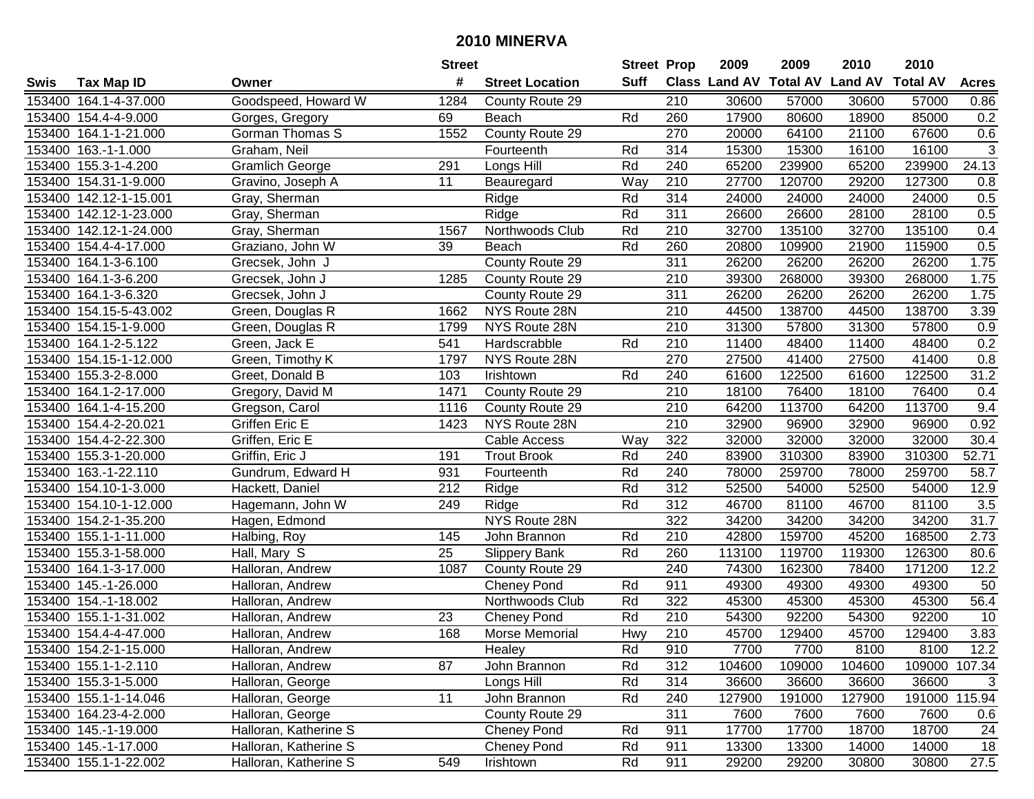|        |                        |                        | <b>Street</b>    |                        | <b>Street Prop</b> |                  | 2009   | 2009   | 2010                           | 2010            |                |
|--------|------------------------|------------------------|------------------|------------------------|--------------------|------------------|--------|--------|--------------------------------|-----------------|----------------|
| Swis   | <b>Tax Map ID</b>      | Owner                  | #                | <b>Street Location</b> | <b>Suff</b>        |                  |        |        | Class Land AV Total AV Land AV | <b>Total AV</b> | <b>Acres</b>   |
|        | 153400 164.1-4-37.000  | Goodspeed, Howard W    | 1284             | County Route 29        |                    | 210              | 30600  | 57000  | 30600                          | 57000           | 0.86           |
|        | 153400 154.4-4-9.000   | Gorges, Gregory        | 69               | Beach                  | Rd                 | 260              | 17900  | 80600  | 18900                          | 85000           | 0.2            |
|        | 153400 164.1-1-21.000  | Gorman Thomas S        | 1552             | County Route 29        |                    | 270              | 20000  | 64100  | 21100                          | 67600           | 0.6            |
|        | 153400 163.-1-1.000    | Graham, Neil           |                  | Fourteenth             | Rd                 | 314              | 15300  | 15300  | 16100                          | 16100           | $\overline{3}$ |
|        | 153400 155.3-1-4.200   | <b>Gramlich George</b> | 291              | Longs Hill             | Rd                 | 240              | 65200  | 239900 | 65200                          | 239900          | 24.13          |
|        | 153400 154.31-1-9.000  | Gravino, Joseph A      | 11               | Beauregard             | Way                | 210              | 27700  | 120700 | 29200                          | 127300          | 0.8            |
|        | 153400 142.12-1-15.001 | Gray, Sherman          |                  | Ridge                  | Rd                 | 314              | 24000  | 24000  | 24000                          | 24000           | 0.5            |
|        | 153400 142.12-1-23.000 | Gray, Sherman          |                  | Ridge                  | Rd                 | 311              | 26600  | 26600  | 28100                          | 28100           | 0.5            |
|        | 153400 142.12-1-24.000 | Gray, Sherman          | 1567             | Northwoods Club        | Rd                 | $\overline{210}$ | 32700  | 135100 | 32700                          | 135100          | 0.4            |
|        | 153400 154.4-4-17.000  | Graziano, John W       | 39               | Beach                  | Rd                 | 260              | 20800  | 109900 | 21900                          | 115900          | 0.5            |
|        | 153400 164.1-3-6.100   | Grecsek, John J        |                  | County Route 29        |                    | 311              | 26200  | 26200  | 26200                          | 26200           | 1.75           |
|        | 153400 164.1-3-6.200   | Grecsek, John J        | 1285             | County Route 29        |                    | 210              | 39300  | 268000 | 39300                          | 268000          | 1.75           |
|        | 153400 164.1-3-6.320   | Grecsek, John J        |                  | County Route 29        |                    | 311              | 26200  | 26200  | 26200                          | 26200           | 1.75           |
|        | 153400 154.15-5-43.002 | Green, Douglas R       | 1662             | NYS Route 28N          |                    | 210              | 44500  | 138700 | 44500                          | 138700          | 3.39           |
|        | 153400 154.15-1-9.000  | Green, Douglas R       | 1799             | NYS Route 28N          |                    | 210              | 31300  | 57800  | 31300                          | 57800           | 0.9            |
|        | 153400 164.1-2-5.122   | Green, Jack E          | 541              | Hardscrabble           | Rd                 | 210              | 11400  | 48400  | 11400                          | 48400           | 0.2            |
|        | 153400 154.15-1-12.000 | Green, Timothy K       | 1797             | NYS Route 28N          |                    | 270              | 27500  | 41400  | 27500                          | 41400           | 0.8            |
|        | 153400 155.3-2-8.000   | Greet, Donald B        | 103              | Irishtown              | Rd                 | 240              | 61600  | 122500 | 61600                          | 122500          | 31.2           |
|        | 153400 164.1-2-17.000  | Gregory, David M       | 1471             | County Route 29        |                    | 210              | 18100  | 76400  | 18100                          | 76400           | 0.4            |
|        | 153400 164.1-4-15.200  | Gregson, Carol         | 1116             | County Route 29        |                    | 210              | 64200  | 113700 | 64200                          | 113700          | 9.4            |
|        | 153400 154.4-2-20.021  | Griffen Eric E         | 1423             | NYS Route 28N          |                    | 210              | 32900  | 96900  | 32900                          | 96900           | 0.92           |
| 153400 | 154.4-2-22.300         | Griffen, Eric E        |                  | <b>Cable Access</b>    | Way                | 322              | 32000  | 32000  | 32000                          | 32000           | 30.4           |
| 153400 | 155.3-1-20.000         | Griffin, Eric J        | 191              | <b>Trout Brook</b>     | Rd                 | 240              | 83900  | 310300 | 83900                          | 310300          | 52.71          |
| 153400 | 163.-1-22.110          | Gundrum, Edward H      | 931              | Fourteenth             | Rd                 | 240              | 78000  | 259700 | 78000                          | 259700          | 58.7           |
| 153400 | 154.10-1-3.000         | Hackett, Daniel        | $\overline{212}$ | Ridge                  | Rd                 | 312              | 52500  | 54000  | 52500                          | 54000           | 12.9           |
|        | 153400 154.10-1-12.000 | Hagemann, John W       | 249              | Ridge                  | Rd                 | 312              | 46700  | 81100  | 46700                          | 81100           | 3.5            |
|        | 153400 154.2-1-35.200  | Hagen, Edmond          |                  | NYS Route 28N          |                    | 322              | 34200  | 34200  | 34200                          | 34200           | 31.7           |
|        | 153400 155.1-1-11.000  | Halbing, Roy           | 145              | John Brannon           | Rd                 | 210              | 42800  | 159700 | 45200                          | 168500          | 2.73           |
|        | 153400 155.3-1-58.000  | Hall, Mary S           | 25               | <b>Slippery Bank</b>   | Rd                 | 260              | 113100 | 119700 | 119300                         | 126300          | 80.6           |
|        | 153400 164.1-3-17.000  | Halloran, Andrew       | 1087             | County Route 29        |                    | 240              | 74300  | 162300 | 78400                          | 171200          | 12.2           |
|        | 153400 145.-1-26.000   | Halloran, Andrew       |                  | <b>Cheney Pond</b>     | Rd                 | 911              | 49300  | 49300  | 49300                          | 49300           | 50             |
|        | 153400 154.-1-18.002   | Halloran, Andrew       |                  | Northwoods Club        | Rd                 | 322              | 45300  | 45300  | 45300                          | 45300           | 56.4           |
|        | 153400 155.1-1-31.002  | Halloran, Andrew       | 23               | <b>Cheney Pond</b>     | Rd                 | $\overline{210}$ | 54300  | 92200  | 54300                          | 92200           | 10             |
|        | 153400 154.4-4-47.000  | Halloran, Andrew       | 168              | Morse Memorial         | Hwy                | $\overline{210}$ | 45700  | 129400 | 45700                          | 129400          | 3.83           |
|        | 153400 154.2-1-15.000  | Halloran, Andrew       |                  | Healey                 | Rd                 | 910              | 7700   | 7700   | 8100                           | 8100            | 12.2           |
|        | 153400 155.1-1-2.110   | Halloran, Andrew       | 87               | John Brannon           | Rd                 | 312              | 104600 | 109000 | 104600                         | 109000 107.34   |                |
|        | 153400 155.3-1-5.000   | Halloran, George       |                  | Longs Hill             | Rd                 | 314              | 36600  | 36600  | 36600                          | 36600           | 3              |
|        | 153400 155.1-1-14.046  | Halloran, George       | 11               | John Brannon           | Rd                 | 240              | 127900 | 191000 | 127900                         | 191000 115.94   |                |
|        | 153400 164.23-4-2.000  | Halloran, George       |                  | County Route 29        |                    | 311              | 7600   | 7600   | 7600                           | 7600            | 0.6            |
|        | 153400 145.-1-19.000   | Halloran, Katherine S  |                  | <b>Cheney Pond</b>     | Rd                 | 911              | 17700  | 17700  | 18700                          | 18700           | 24             |
|        | 153400 145.-1-17.000   | Halloran, Katherine S  |                  | <b>Cheney Pond</b>     | Rd                 | 911              | 13300  | 13300  | 14000                          | 14000           | 18             |
|        | 153400 155.1-1-22.002  | Halloran, Katherine S  | 549              | Irishtown              | Rd                 | 911              | 29200  | 29200  | 30800                          | 30800           | 27.5           |
|        |                        |                        |                  |                        |                    |                  |        |        |                                |                 |                |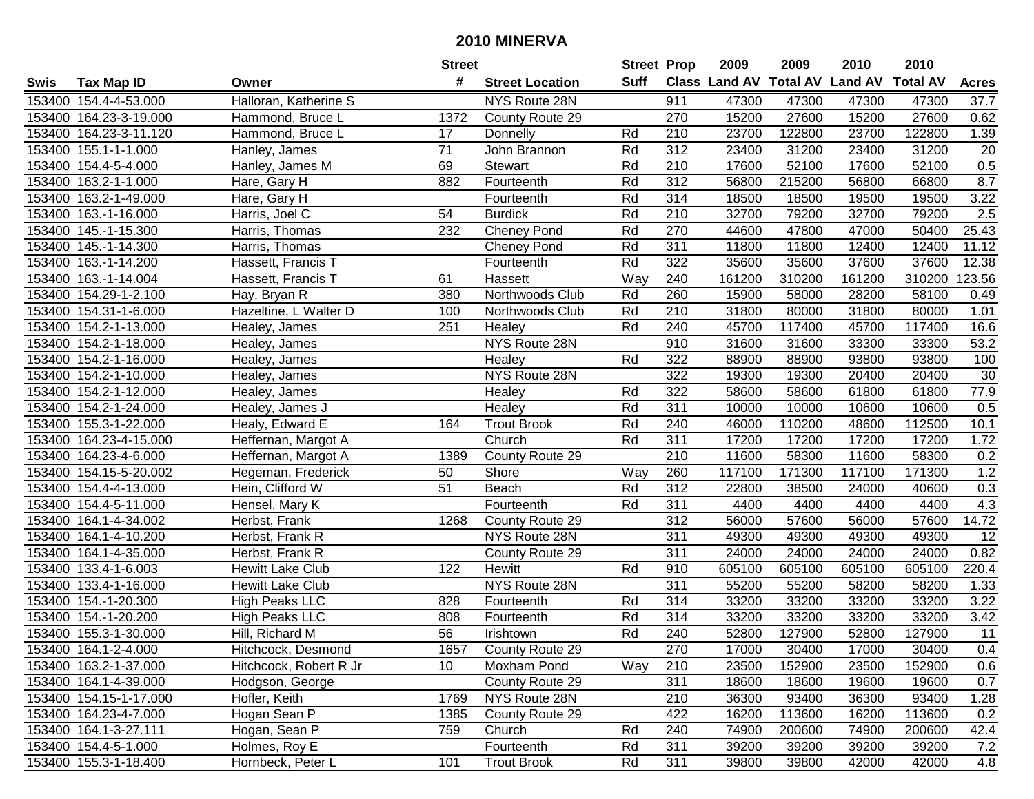|      |                        |                         | <b>Street</b>   |                        | <b>Street Prop</b> |                  | 2009   | 2009   | 2010                           | 2010            |              |
|------|------------------------|-------------------------|-----------------|------------------------|--------------------|------------------|--------|--------|--------------------------------|-----------------|--------------|
| Swis | <b>Tax Map ID</b>      | Owner                   | #               | <b>Street Location</b> | Suff               |                  |        |        | Class Land AV Total AV Land AV | <b>Total AV</b> | <b>Acres</b> |
|      | 153400 154.4-4-53.000  | Halloran, Katherine S   |                 | NYS Route 28N          |                    | 911              | 47300  | 47300  | 47300                          | 47300           | 37.7         |
|      | 153400 164.23-3-19.000 | Hammond, Bruce L        | 1372            | County Route 29        |                    | 270              | 15200  | 27600  | 15200                          | 27600           | 0.62         |
|      | 153400 164.23-3-11.120 | Hammond, Bruce L        | 17              | Donnelly               | Rd                 | 210              | 23700  | 122800 | 23700                          | 122800          | 1.39         |
|      | 153400 155.1-1-1.000   | Hanley, James           | 71              | John Brannon           | Rd                 | 312              | 23400  | 31200  | 23400                          | 31200           | 20           |
|      | 153400 154.4-5-4.000   | Hanley, James M         | 69              | <b>Stewart</b>         | Rd                 | 210              | 17600  | 52100  | 17600                          | 52100           | 0.5          |
|      | 153400 163.2-1-1.000   | Hare, Gary H            | 882             | Fourteenth             | Rd                 | $\overline{312}$ | 56800  | 215200 | 56800                          | 66800           | 8.7          |
|      | 153400 163.2-1-49.000  | Hare, Gary H            |                 | Fourteenth             | Rd                 | 314              | 18500  | 18500  | 19500                          | 19500           | 3.22         |
|      | 153400 163.-1-16.000   | Harris, Joel C          | $\overline{54}$ | <b>Burdick</b>         | Rd                 | $\overline{210}$ | 32700  | 79200  | 32700                          | 79200           | 2.5          |
|      | 153400 145.-1-15.300   | Harris, Thomas          | 232             | <b>Cheney Pond</b>     | Rd                 | 270              | 44600  | 47800  | 47000                          | 50400           | 25.43        |
|      | 153400 145.-1-14.300   | Harris, Thomas          |                 | <b>Cheney Pond</b>     | Rd                 | 311              | 11800  | 11800  | 12400                          | 12400           | 11.12        |
|      | 153400 163.-1-14.200   | Hassett, Francis T      |                 | Fourteenth             | Rd                 | 322              | 35600  | 35600  | 37600                          | 37600           | 12.38        |
|      | 153400 163.-1-14.004   | Hassett, Francis T      | 61              | Hassett                | Way                | 240              | 161200 | 310200 | 161200                         | 310200          | 123.56       |
|      | 153400 154.29-1-2.100  | Hay, Bryan R            | 380             | Northwoods Club        | Rd                 | 260              | 15900  | 58000  | 28200                          | 58100           | 0.49         |
|      | 153400 154.31-1-6.000  | Hazeltine, L Walter D   | 100             | Northwoods Club        | Rd                 | 210              | 31800  | 80000  | 31800                          | 80000           | 1.01         |
|      | 153400 154.2-1-13.000  | Healey, James           | 251             | Healey                 | Rd                 | 240              | 45700  | 117400 | 45700                          | 117400          | 16.6         |
|      | 153400 154.2-1-18.000  | Healey, James           |                 | NYS Route 28N          |                    | 910              | 31600  | 31600  | 33300                          | 33300           | 53.2         |
|      | 153400 154.2-1-16.000  | Healey, James           |                 | Healey                 | Rd                 | 322              | 88900  | 88900  | 93800                          | 93800           | 100          |
|      | 153400 154.2-1-10.000  | Healey, James           |                 | NYS Route 28N          |                    | 322              | 19300  | 19300  | 20400                          | 20400           | 30           |
|      | 153400 154.2-1-12.000  | Healey, James           |                 | Healey                 | Rd                 | 322              | 58600  | 58600  | 61800                          | 61800           | 77.9         |
|      | 153400 154.2-1-24.000  | Healey, James J         |                 | Healey                 | Rd                 | 311              | 10000  | 10000  | 10600                          | 10600           | 0.5          |
|      | 153400 155.3-1-22.000  | Healy, Edward E         | 164             | <b>Trout Brook</b>     | Rd                 | 240              | 46000  | 110200 | 48600                          | 112500          | 10.1         |
|      | 153400 164.23-4-15.000 | Heffernan, Margot A     |                 | Church                 | Rd                 | 311              | 17200  | 17200  | 17200                          | 17200           | 1.72         |
|      | 153400 164.23-4-6.000  | Heffernan, Margot A     | 1389            | County Route 29        |                    | 210              | 11600  | 58300  | 11600                          | 58300           | 0.2          |
|      | 153400 154.15-5-20.002 | Hegeman, Frederick      | 50              | Shore                  | Way                | 260              | 117100 | 171300 | 117100                         | 171300          | 1.2          |
|      | 153400 154.4-4-13.000  | Hein, Clifford W        | 51              | Beach                  | Rd                 | 312              | 22800  | 38500  | 24000                          | 40600           | 0.3          |
|      | 153400 154.4-5-11.000  | Hensel, Mary K          |                 | Fourteenth             | Rd                 | 311              | 4400   | 4400   | 4400                           | 4400            | 4.3          |
|      | 153400 164.1-4-34.002  | Herbst, Frank           | 1268            | County Route 29        |                    | 312              | 56000  | 57600  | 56000                          | 57600           | 14.72        |
|      | 153400 164.1-4-10.200  | Herbst, Frank R         |                 | NYS Route 28N          |                    | 311              | 49300  | 49300  | 49300                          | 49300           | 12           |
|      | 153400 164.1-4-35.000  | Herbst, Frank R         |                 | County Route 29        |                    | 311              | 24000  | 24000  | 24000                          | 24000           | 0.82         |
|      | 153400 133.4-1-6.003   | Hewitt Lake Club        | 122             | Hewitt                 | Rd                 | 910              | 605100 | 605100 | 605100                         | 605100          | 220.4        |
|      | 153400 133.4-1-16.000  | <b>Hewitt Lake Club</b> |                 | NYS Route 28N          |                    | $\overline{311}$ | 55200  | 55200  | 58200                          | 58200           | 1.33         |
|      | 153400 154.-1-20.300   | <b>High Peaks LLC</b>   | 828             | Fourteenth             | Rd                 | 314              | 33200  | 33200  | 33200                          | 33200           | 3.22         |
|      | 153400 154.-1-20.200   | High Peaks LLC          | 808             | Fourteenth             | Rd                 | $\overline{314}$ | 33200  | 33200  | 33200                          | 33200           | 3.42         |
|      | 153400 155.3-1-30.000  | Hill, Richard M         | 56              | Irishtown              | Rd                 | 240              | 52800  | 127900 | 52800                          | 127900          | 11           |
|      | 153400 164.1-2-4.000   | Hitchcock, Desmond      | 1657            | County Route 29        |                    | 270              | 17000  | 30400  | 17000                          | 30400           | 0.4          |
|      | 153400 163.2-1-37.000  | Hitchcock, Robert R Jr  | 10              | Moxham Pond            | Way                | 210              | 23500  | 152900 | 23500                          | 152900          | 0.6          |
|      | 153400 164.1-4-39.000  | Hodgson, George         |                 | County Route 29        |                    | 311              | 18600  | 18600  | 19600                          | 19600           | 0.7          |
|      | 153400 154.15-1-17.000 | Hofler, Keith           | 1769            | NYS Route 28N          |                    | 210              | 36300  | 93400  | 36300                          | 93400           | 1.28         |
|      | 153400 164.23-4-7.000  | Hogan Sean P            | 1385            | County Route 29        |                    | 422              | 16200  | 113600 | 16200                          | 113600          | 0.2          |
|      | 153400 164.1-3-27.111  | Hogan, Sean P           | 759             | Church                 | Rd                 | 240              | 74900  | 200600 | 74900                          | 200600          | 42.4         |
|      | 153400 154.4-5-1.000   | Holmes, Roy E           |                 | Fourteenth             | Rd                 | 311              | 39200  | 39200  | 39200                          | 39200           | 7.2          |
|      | 153400 155.3-1-18.400  | Hornbeck, Peter L       | 101             | <b>Trout Brook</b>     | Rd                 | 311              | 39800  | 39800  | 42000                          | 42000           | 4.8          |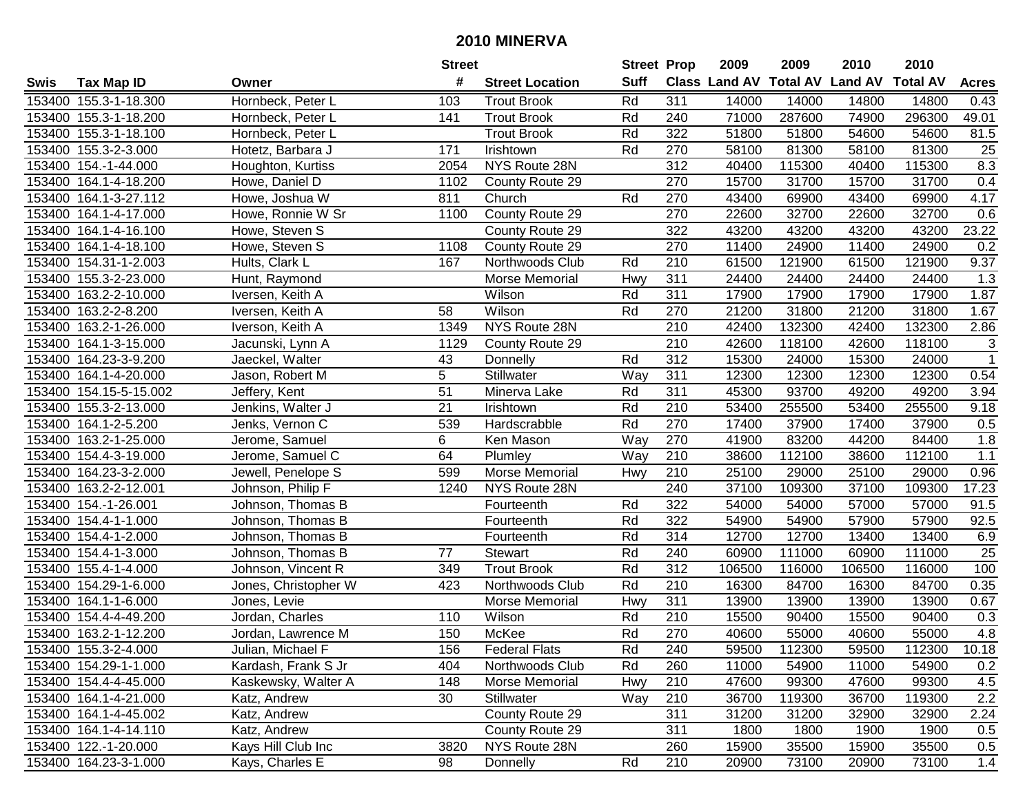|        |                        |                      | <b>Street</b>   |                        | <b>Street Prop</b> |                  | 2009                          | 2009   | 2010           | 2010            |                 |
|--------|------------------------|----------------------|-----------------|------------------------|--------------------|------------------|-------------------------------|--------|----------------|-----------------|-----------------|
| Swis   | <b>Tax Map ID</b>      | Owner                | #               | <b>Street Location</b> | <b>Suff</b>        |                  | <b>Class Land AV Total AV</b> |        | <b>Land AV</b> | <b>Total AV</b> | <b>Acres</b>    |
|        | 153400 155.3-1-18.300  | Hornbeck, Peter L    | 103             | <b>Trout Brook</b>     | Rd                 | 311              | 14000                         | 14000  | 14800          | 14800           | 0.43            |
|        | 153400 155.3-1-18.200  | Hornbeck, Peter L    | 141             | <b>Trout Brook</b>     | Rd                 | 240              | 71000                         | 287600 | 74900          | 296300          | 49.01           |
|        | 153400 155.3-1-18.100  | Hornbeck, Peter L    |                 | <b>Trout Brook</b>     | Rd                 | 322              | 51800                         | 51800  | 54600          | 54600           | 81.5            |
|        | 153400 155.3-2-3.000   | Hotetz, Barbara J    | 171             | Irishtown              | Rd                 | 270              | 58100                         | 81300  | 58100          | 81300           | 25              |
|        | 153400 154.-1-44.000   | Houghton, Kurtiss    | 2054            | NYS Route 28N          |                    | $\overline{312}$ | 40400                         | 115300 | 40400          | 115300          | 8.3             |
|        | 153400 164.1-4-18.200  | Howe, Daniel D       | 1102            | County Route 29        |                    | 270              | 15700                         | 31700  | 15700          | 31700           | 0.4             |
|        | 153400 164.1-3-27.112  | Howe, Joshua W       | 811             | Church                 | Rd                 | 270              | 43400                         | 69900  | 43400          | 69900           | 4.17            |
|        | 153400 164.1-4-17.000  | Howe, Ronnie W Sr    | 1100            | County Route 29        |                    | 270              | 22600                         | 32700  | 22600          | 32700           | 0.6             |
|        | 153400 164.1-4-16.100  | Howe, Steven S       |                 | County Route 29        |                    | 322              | 43200                         | 43200  | 43200          | 43200           | 23.22           |
|        | 153400 164.1-4-18.100  | Howe, Steven S       | 1108            | County Route 29        |                    | 270              | 11400                         | 24900  | 11400          | 24900           | 0.2             |
|        | 153400 154.31-1-2.003  | Hults, Clark L       | 167             | Northwoods Club        | Rd                 | 210              | 61500                         | 121900 | 61500          | 121900          | 9.37            |
|        | 153400 155.3-2-23.000  | Hunt, Raymond        |                 | Morse Memorial         | Hwy                | 311              | 24400                         | 24400  | 24400          | 24400           | 1.3             |
|        | 153400 163.2-2-10.000  | Iversen, Keith A     |                 | Wilson                 | Rd                 | 311              | 17900                         | 17900  | 17900          | 17900           | 1.87            |
|        | 153400 163.2-2-8.200   | Iversen, Keith A     | 58              | Wilson                 | Rd                 | 270              | 21200                         | 31800  | 21200          | 31800           | 1.67            |
|        | 153400 163.2-1-26.000  | Iverson, Keith A     | 1349            | NYS Route 28N          |                    | 210              | 42400                         | 132300 | 42400          | 132300          | 2.86            |
|        | 153400 164.1-3-15.000  | Jacunski, Lynn A     | 1129            | County Route 29        |                    | 210              | 42600                         | 118100 | 42600          | 118100          | 3               |
|        | 153400 164.23-3-9.200  | Jaeckel, Walter      | 43              | Donnelly               | Rd                 | 312              | 15300                         | 24000  | 15300          | 24000           | $\overline{1}$  |
| 153400 | 164.1-4-20.000         | Jason, Robert M      | 5               | Stillwater             | Way                | 311              | 12300                         | 12300  | 12300          | 12300           | 0.54            |
|        | 153400 154.15-5-15.002 | Jeffery, Kent        | $\overline{51}$ | Minerva Lake           | Rd                 | 311              | 45300                         | 93700  | 49200          | 49200           | 3.94            |
|        | 153400 155.3-2-13.000  | Jenkins, Walter J    | 21              | Irishtown              | Rd                 | 210              | 53400                         | 255500 | 53400          | 255500          | 9.18            |
|        | 153400 164.1-2-5.200   | Jenks, Vernon C      | 539             | Hardscrabble           | Rd                 | 270              | 17400                         | 37900  | 17400          | 37900           | 0.5             |
| 153400 | 163.2-1-25.000         | Jerome, Samuel       | 6               | Ken Mason              | Way                | 270              | 41900                         | 83200  | 44200          | 84400           | 1.8             |
| 153400 | 154.4-3-19.000         | Jerome, Samuel C     | 64              | Plumley                | Way                | 210              | 38600                         | 112100 | 38600          | 112100          | 1.1             |
| 153400 | 164.23-3-2.000         | Jewell, Penelope S   | 599             | Morse Memorial         | Hwy                | 210              | 25100                         | 29000  | 25100          | 29000           | 0.96            |
|        | 153400 163.2-2-12.001  | Johnson, Philip F    | 1240            | NYS Route 28N          |                    | 240              | 37100                         | 109300 | 37100          | 109300          | 17.23           |
|        | 153400 154.-1-26.001   | Johnson, Thomas B    |                 | Fourteenth             | Rd                 | 322              | 54000                         | 54000  | 57000          | 57000           | 91.5            |
|        | 153400 154.4-1-1.000   | Johnson, Thomas B    |                 | Fourteenth             | Rd                 | 322              | 54900                         | 54900  | 57900          | 57900           | 92.5            |
|        | 153400 154.4-1-2.000   | Johnson, Thomas B    |                 | Fourteenth             | Rd                 | 314              | 12700                         | 12700  | 13400          | 13400           | 6.9             |
|        | 153400 154.4-1-3.000   | Johnson, Thomas B    | 77              | Stewart                | Rd                 | 240              | 60900                         | 111000 | 60900          | 111000          | $\overline{25}$ |
|        | 153400 155.4-1-4.000   | Johnson, Vincent R   | 349             | <b>Trout Brook</b>     | Rd                 | $\overline{312}$ | 106500                        | 116000 | 106500         | 116000          | 100             |
|        | 153400 154.29-1-6.000  | Jones, Christopher W | 423             | Northwoods Club        | Rd                 | $\overline{210}$ | 16300                         | 84700  | 16300          | 84700           | 0.35            |
|        | 153400 164.1-1-6.000   | Jones, Levie         |                 | Morse Memorial         | Hwy                | 311              | 13900                         | 13900  | 13900          | 13900           | 0.67            |
|        | 153400 154.4-4-49.200  | Jordan, Charles      | 110             | Wilson                 | Rd                 | $\overline{210}$ | 15500                         | 90400  | 15500          | 90400           | 0.3             |
|        | 153400 163.2-1-12.200  | Jordan, Lawrence M   | 150             | McKee                  | Rd                 | 270              | 40600                         | 55000  | 40600          | 55000           | 4.8             |
|        | 153400 155.3-2-4.000   | Julian, Michael F    | 156             | <b>Federal Flats</b>   | Rd                 | 240              | 59500                         | 112300 | 59500          | 112300          | 10.18           |
|        | 153400 154.29-1-1.000  | Kardash, Frank S Jr  | 404             | Northwoods Club        | Rd                 | 260              | 11000                         | 54900  | 11000          | 54900           | 0.2             |
|        | 153400 154.4-4-45.000  | Kaskewsky, Walter A  | 148             | Morse Memorial         | Hwy                | 210              | 47600                         | 99300  | 47600          | 99300           | 4.5             |
|        | 153400 164.1-4-21.000  | Katz, Andrew         | 30              | Stillwater             | Way                | 210              | 36700                         | 119300 | 36700          | 119300          | 2.2             |
|        | 153400 164.1-4-45.002  | Katz, Andrew         |                 | County Route 29        |                    | 311              | 31200                         | 31200  | 32900          | 32900           | 2.24            |
|        | 153400 164.1-4-14.110  | Katz, Andrew         |                 | County Route 29        |                    | 311              | 1800                          | 1800   | 1900           | 1900            | 0.5             |
|        | 153400 122.-1-20.000   | Kays Hill Club Inc   | 3820            | NYS Route 28N          |                    | 260              | 15900                         | 35500  | 15900          | 35500           | 0.5             |
|        | 153400 164.23-3-1.000  | Kays, Charles E      | 98              | Donnelly               | Rd                 | 210              | 20900                         | 73100  | 20900          | 73100           | 1.4             |
|        |                        |                      |                 |                        |                    |                  |                               |        |                |                 |                 |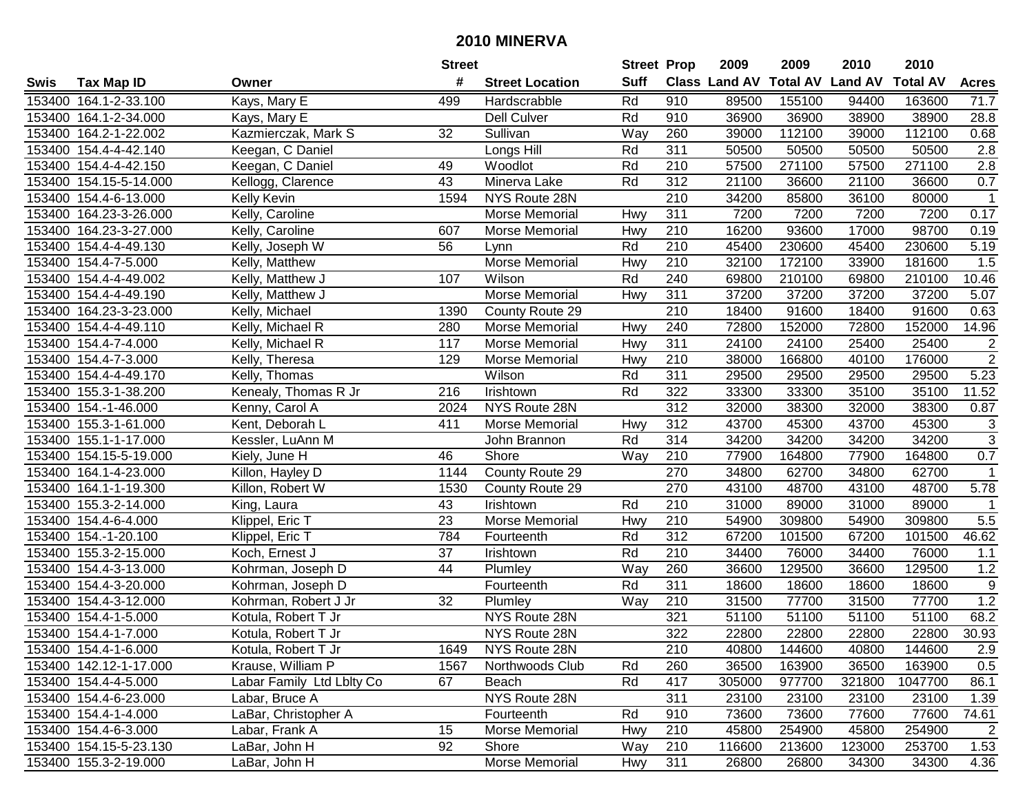|        |                        |                           | <b>Street</b> |                        | <b>Street Prop</b> |                  | 2009                 | 2009   | 2010                    | 2010            |                           |
|--------|------------------------|---------------------------|---------------|------------------------|--------------------|------------------|----------------------|--------|-------------------------|-----------------|---------------------------|
| Swis   | <b>Tax Map ID</b>      | Owner                     | #             | <b>Street Location</b> | <b>Suff</b>        |                  | <b>Class Land AV</b> |        | <b>Total AV Land AV</b> | <b>Total AV</b> | <b>Acres</b>              |
|        | 153400 164.1-2-33.100  | Kays, Mary E              | 499           | Hardscrabble           | Rd                 | 910              | 89500                | 155100 | 94400                   | 163600          | 71.7                      |
|        | 153400 164.1-2-34.000  | Kays, Mary E              |               | Dell Culver            | Rd                 | 910              | 36900                | 36900  | 38900                   | 38900           | 28.8                      |
|        | 153400 164.2-1-22.002  | Kazmierczak, Mark S       | 32            | Sullivan               | Way                | 260              | 39000                | 112100 | 39000                   | 112100          | 0.68                      |
|        | 153400 154.4-4-42.140  | Keegan, C Daniel          |               | Longs Hill             | Rd                 | 311              | 50500                | 50500  | 50500                   | 50500           | 2.8                       |
|        | 153400 154.4-4-42.150  | Keegan, C Daniel          | 49            | Woodlot                | Rd                 | 210              | 57500                | 271100 | 57500                   | 271100          | 2.8                       |
|        | 153400 154.15-5-14.000 | Kellogg, Clarence         | 43            | Minerva Lake           | Rd                 | $\overline{312}$ | 21100                | 36600  | 21100                   | 36600           | 0.7                       |
|        | 153400 154.4-6-13.000  | Kelly Kevin               | 1594          | NYS Route 28N          |                    | 210              | 34200                | 85800  | 36100                   | 80000           | $\mathbf 1$               |
|        | 153400 164.23-3-26.000 | Kelly, Caroline           |               | Morse Memorial         | Hwy                | 311              | 7200                 | 7200   | 7200                    | 7200            | 0.17                      |
|        | 153400 164.23-3-27.000 | Kelly, Caroline           | 607           | Morse Memorial         | Hwy                | $\overline{210}$ | 16200                | 93600  | 17000                   | 98700           | 0.19                      |
|        | 153400 154.4-4-49.130  | Kelly, Joseph W           | 56            | Lynn                   | Rd                 | 210              | 45400                | 230600 | 45400                   | 230600          | 5.19                      |
|        | 153400 154.4-7-5.000   | Kelly, Matthew            |               | Morse Memorial         | Hwy                | 210              | 32100                | 172100 | 33900                   | 181600          | 1.5                       |
|        | 153400 154.4-4-49.002  | Kelly, Matthew J          | 107           | Wilson                 | Rd                 | 240              | 69800                | 210100 | 69800                   | 210100          | 10.46                     |
|        | 153400 154.4-4-49.190  | Kelly, Matthew J          |               | Morse Memorial         | Hwy                | 311              | 37200                | 37200  | 37200                   | 37200           | 5.07                      |
|        | 153400 164.23-3-23.000 | Kelly, Michael            | 1390          | County Route 29        |                    | 210              | 18400                | 91600  | 18400                   | 91600           | 0.63                      |
|        | 153400 154.4-4-49.110  | Kelly, Michael R          | 280           | Morse Memorial         | Hwy                | 240              | 72800                | 152000 | 72800                   | 152000          | 14.96                     |
|        | 153400 154.4-7-4.000   | Kelly, Michael R          | 117           | Morse Memorial         | Hwy                | 311              | 24100                | 24100  | 25400                   | 25400           | $\overline{2}$            |
|        | 153400 154.4-7-3.000   | Kelly, Theresa            | 129           | Morse Memorial         | Hwy                | 210              | 38000                | 166800 | 40100                   | 176000          | $\overline{2}$            |
|        | 153400 154.4-4-49.170  | Kelly, Thomas             |               | Wilson                 | Rd                 | 311              | 29500                | 29500  | 29500                   | 29500           | 5.23                      |
|        | 153400 155.3-1-38.200  | Kenealy, Thomas R Jr      | 216           | Irishtown              | Rd                 | 322              | 33300                | 33300  | 35100                   | 35100           | 11.52                     |
|        | 153400 154.-1-46.000   | Kenny, Carol A            | 2024          | NYS Route 28N          |                    | 312              | 32000                | 38300  | 32000                   | 38300           | 0.87                      |
|        | 153400 155.3-1-61.000  | Kent, Deborah L           | 411           | Morse Memorial         | Hwy                | 312              | 43700                | 45300  | 43700                   | 45300           | $\ensuremath{\mathsf{3}}$ |
| 153400 | 155.1-1-17.000         | Kessler, LuAnn M          |               | John Brannon           | Rd                 | 314              | 34200                | 34200  | 34200                   | 34200           | $\overline{\omega}$       |
| 153400 | 154.15-5-19.000        | Kiely, June H             | 46            | Shore                  | Way                | 210              | 77900                | 164800 | 77900                   | 164800          | 0.7                       |
| 153400 | 164.1-4-23.000         | Killon, Hayley D          | 1144          | County Route 29        |                    | 270              | 34800                | 62700  | 34800                   | 62700           | $\mathbf 1$               |
|        | 153400 164.1-1-19.300  | Killon, Robert W          | 1530          | County Route 29        |                    | 270              | 43100                | 48700  | 43100                   | 48700           | $\overline{5.78}$         |
|        | 153400 155.3-2-14.000  | King, Laura               | 43            | Irishtown              | Rd                 | 210              | 31000                | 89000  | 31000                   | 89000           | $\overline{1}$            |
|        | 153400 154.4-6-4.000   | Klippel, Eric T           | 23            | Morse Memorial         | Hwy                | 210              | 54900                | 309800 | 54900                   | 309800          | 5.5                       |
|        | 153400 154.-1-20.100   | Klippel, Eric T           | 784           | Fourteenth             | Rd                 | 312              | 67200                | 101500 | 67200                   | 101500          | 46.62                     |
|        | 153400 155.3-2-15.000  | Koch, Ernest J            | 37            | Irishtown              | Rd                 | 210              | 34400                | 76000  | 34400                   | 76000           | 1.1                       |
|        | 153400 154.4-3-13.000  | Kohrman, Joseph D         | 44            | Plumley                | Way                | 260              | 36600                | 129500 | 36600                   | 129500          | 1.2                       |
|        | 153400 154.4-3-20.000  | Kohrman, Joseph D         |               | Fourteenth             | Rd                 | 311              | 18600                | 18600  | 18600                   | 18600           | $\overline{9}$            |
|        | 153400 154.4-3-12.000  | Kohrman, Robert J Jr      | 32            | Plumley                | Way                | 210              | 31500                | 77700  | 31500                   | 77700           | 1.2                       |
|        | 153400 154.4-1-5.000   | Kotula, Robert T Jr       |               | NYS Route 28N          |                    | 321              | 51100                | 51100  | 51100                   | 51100           | 68.2                      |
|        | 153400 154.4-1-7.000   | Kotula, Robert T Jr       |               | NYS Route 28N          |                    | 322              | 22800                | 22800  | 22800                   | 22800           | 30.93                     |
|        | 153400 154.4-1-6.000   | Kotula, Robert T Jr       | 1649          | NYS Route 28N          |                    | 210              | 40800                | 144600 | 40800                   | 144600          | 2.9                       |
|        | 153400 142.12-1-17.000 | Krause, William P         | 1567          | Northwoods Club        | Rd                 | 260              | 36500                | 163900 | 36500                   | 163900          | 0.5                       |
|        | 153400 154.4-4-5.000   | Labar Family Ltd Lblty Co | 67            | Beach                  | Rd                 | 417              | 305000               | 977700 | 321800                  | 1047700         | 86.1                      |
|        | 153400 154.4-6-23.000  | Labar, Bruce A            |               | NYS Route 28N          |                    | 311              | 23100                | 23100  | 23100                   | 23100           | 1.39                      |
|        | 153400 154.4-1-4.000   | LaBar, Christopher A      |               | Fourteenth             | Rd                 | 910              | 73600                | 73600  | 77600                   | 77600           | 74.61                     |
|        | 153400 154.4-6-3.000   | Labar, Frank A            | 15            | Morse Memorial         | Hwy                | 210              | 45800                | 254900 | 45800                   | 254900          | $\overline{2}$            |
|        | 153400 154.15-5-23.130 | LaBar, John H             | 92            | Shore                  | Way                | 210              | 116600               | 213600 | 123000                  | 253700          | 1.53                      |
|        | 153400 155.3-2-19.000  | LaBar, John H             |               | Morse Memorial         | Hwy                | 311              | 26800                | 26800  | 34300                   | 34300           | 4.36                      |
|        |                        |                           |               |                        |                    |                  |                      |        |                         |                 |                           |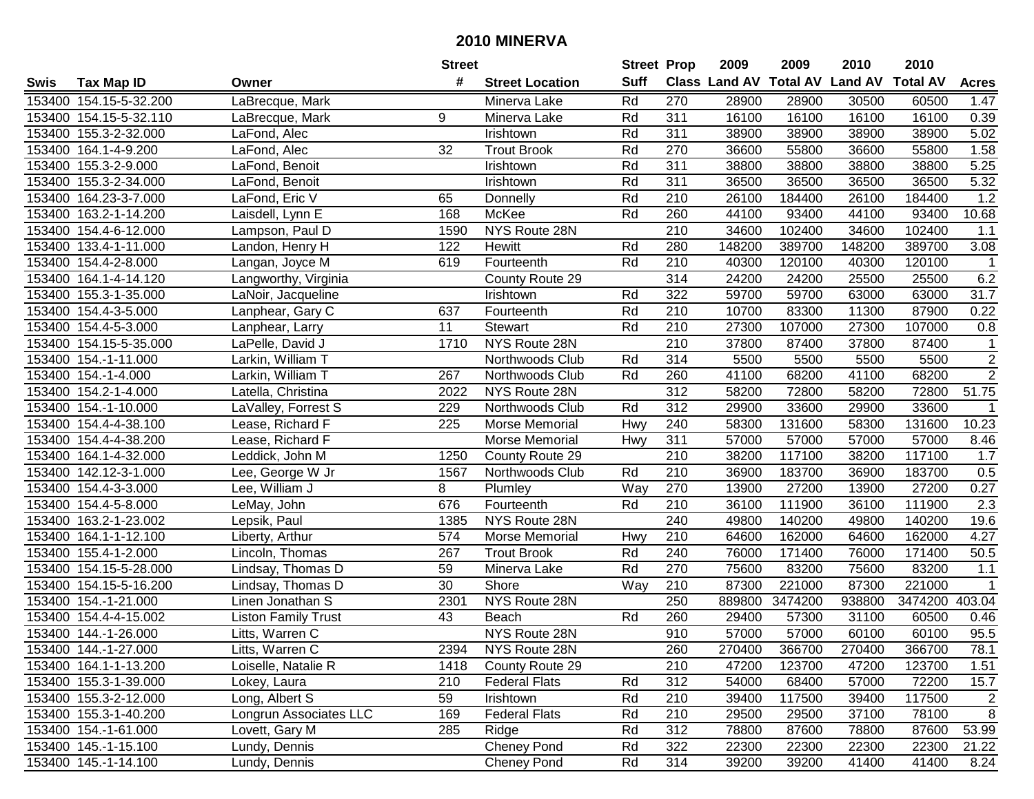|        |                        |                            | <b>Street</b> |                        | <b>Street Prop</b> |                  | 2009   | 2009    | 2010                           | 2010            |                |
|--------|------------------------|----------------------------|---------------|------------------------|--------------------|------------------|--------|---------|--------------------------------|-----------------|----------------|
| Swis   | <b>Tax Map ID</b>      | Owner                      | #             | <b>Street Location</b> | <b>Suff</b>        |                  |        |         | Class Land AV Total AV Land AV | <b>Total AV</b> | <b>Acres</b>   |
|        | 153400 154.15-5-32.200 | LaBrecque, Mark            |               | Minerva Lake           | Rd                 | 270              | 28900  | 28900   | 30500                          | 60500           | 1.47           |
|        | 153400 154.15-5-32.110 | LaBrecque, Mark            | 9             | Minerva Lake           | Rd                 | 311              | 16100  | 16100   | 16100                          | 16100           | 0.39           |
|        | 153400 155.3-2-32.000  | LaFond, Alec               |               | Irishtown              | Rd                 | 311              | 38900  | 38900   | 38900                          | 38900           | 5.02           |
|        | 153400 164.1-4-9.200   | LaFond, Alec               | 32            | <b>Trout Brook</b>     | Rd                 | 270              | 36600  | 55800   | 36600                          | 55800           | 1.58           |
|        | 153400 155.3-2-9.000   | LaFond, Benoit             |               | Irishtown              | Rd                 | 311              | 38800  | 38800   | 38800                          | 38800           | 5.25           |
|        | 153400 155.3-2-34.000  | LaFond, Benoit             |               | Irishtown              | Rd                 | 311              | 36500  | 36500   | 36500                          | 36500           | 5.32           |
|        | 153400 164.23-3-7.000  | LaFond, Eric V             | 65            | Donnelly               | Rd                 | 210              | 26100  | 184400  | 26100                          | 184400          | 1.2            |
| 153400 | 163.2-1-14.200         | Laisdell, Lynn E           | 168           | McKee                  | Rd                 | 260              | 44100  | 93400   | 44100                          | 93400           | 10.68          |
|        | 153400 154.4-6-12.000  | Lampson, Paul D            | 1590          | NYS Route 28N          |                    | $\overline{210}$ | 34600  | 102400  | 34600                          | 102400          | 1.1            |
|        | 153400 133.4-1-11.000  | Landon, Henry H            | 122           | Hewitt                 | Rd                 | 280              | 148200 | 389700  | 148200                         | 389700          | 3.08           |
|        | 153400 154.4-2-8.000   | Langan, Joyce M            | 619           | Fourteenth             | Rd                 | 210              | 40300  | 120100  | 40300                          | 120100          | -1             |
|        | 153400 164.1-4-14.120  | Langworthy, Virginia       |               | County Route 29        |                    | 314              | 24200  | 24200   | 25500                          | 25500           | 6.2            |
|        | 153400 155.3-1-35.000  | LaNoir, Jacqueline         |               | Irishtown              | Rd                 | 322              | 59700  | 59700   | 63000                          | 63000           | 31.7           |
|        | 153400 154.4-3-5.000   | Lanphear, Gary C           | 637           | Fourteenth             | Rd                 | 210              | 10700  | 83300   | 11300                          | 87900           | 0.22           |
|        | 153400 154.4-5-3.000   | Lanphear, Larry            | 11            | <b>Stewart</b>         | Rd                 | 210              | 27300  | 107000  | 27300                          | 107000          | 0.8            |
|        | 153400 154.15-5-35.000 | LaPelle, David J           | 1710          | NYS Route 28N          |                    | 210              | 37800  | 87400   | 37800                          | 87400           | $\mathbf 1$    |
|        | 153400 154.-1-11.000   | Larkin, William T          |               | Northwoods Club        | Rd                 | 314              | 5500   | 5500    | 5500                           | 5500            | $\overline{2}$ |
|        | 153400 154.-1-4.000    | Larkin, William T          | 267           | Northwoods Club        | Rd                 | 260              | 41100  | 68200   | 41100                          | 68200           | $\overline{2}$ |
|        | 153400 154.2-1-4.000   | Latella, Christina         | 2022          | NYS Route 28N          |                    | 312              | 58200  | 72800   | 58200                          | 72800           | 51.75          |
|        | 153400 154.-1-10.000   | LaValley, Forrest S        | 229           | Northwoods Club        | Rd                 | 312              | 29900  | 33600   | 29900                          | 33600           | $\mathbf{1}$   |
|        | 153400 154.4-4-38.100  | Lease, Richard F           | 225           | Morse Memorial         | Hwy                | 240              | 58300  | 131600  | 58300                          | 131600          | 10.23          |
|        | 153400 154.4-4-38.200  | Lease, Richard F           |               | Morse Memorial         | Hwy                | 311              | 57000  | 57000   | 57000                          | 57000           | 8.46           |
| 153400 | 164.1-4-32.000         | Leddick, John M            | 1250          | County Route 29        |                    | 210              | 38200  | 117100  | 38200                          | 117100          | 1.7            |
| 153400 | 142.12-3-1.000         | Lee, George W Jr           | 1567          | Northwoods Club        | Rd                 | 210              | 36900  | 183700  | 36900                          | 183700          | 0.5            |
|        | 153400 154.4-3-3.000   | Lee, William J             | 8             | Plumley                | Way                | 270              | 13900  | 27200   | 13900                          | 27200           | 0.27           |
|        | 153400 154.4-5-8.000   | LeMay, John                | 676           | Fourteenth             | Rd                 | 210              | 36100  | 111900  | 36100                          | 111900          | 2.3            |
|        | 153400 163.2-1-23.002  | Lepsik, Paul               | 1385          | NYS Route 28N          |                    | 240              | 49800  | 140200  | 49800                          | 140200          | 19.6           |
|        | 153400 164.1-1-12.100  | Liberty, Arthur            | 574           | Morse Memorial         | Hwy                | 210              | 64600  | 162000  | 64600                          | 162000          | 4.27           |
|        | 153400 155.4-1-2.000   | Lincoln, Thomas            | 267           | <b>Trout Brook</b>     | Rd                 | 240              | 76000  | 171400  | 76000                          | 171400          | 50.5           |
|        | 153400 154.15-5-28.000 | Lindsay, Thomas D          | 59            | Minerva Lake           | Rd                 | 270              | 75600  | 83200   | 75600                          | 83200           | 1.1            |
|        | 153400 154.15-5-16.200 | Lindsay, Thomas D          | 30            | Shore                  | Way                | $\overline{210}$ | 87300  | 221000  | 87300                          | 221000          | $\mathbf{1}$   |
|        | 153400 154.-1-21.000   | Linen Jonathan S           | 2301          | NYS Route 28N          |                    | 250              | 889800 | 3474200 | 938800                         | 3474200         | 403.04         |
|        | 153400 154.4-4-15.002  | <b>Liston Family Trust</b> | 43            | <b>Beach</b>           | Rd                 | 260              | 29400  | 57300   | 31100                          | 60500           | 0.46           |
|        | 153400 144.-1-26.000   | Litts, Warren C            |               | NYS Route 28N          |                    | 910              | 57000  | 57000   | 60100                          | 60100           | 95.5           |
|        | 153400 144.-1-27.000   | Litts, Warren C            | 2394          | NYS Route 28N          |                    | 260              | 270400 | 366700  | 270400                         | 366700          | 78.1           |
|        | 153400 164.1-1-13.200  | Loiselle, Natalie R        | 1418          | County Route 29        |                    | 210              | 47200  | 123700  | 47200                          | 123700          | 1.51           |
|        | 153400 155.3-1-39.000  | Lokey, Laura               | 210           | <b>Federal Flats</b>   | Rd                 | 312              | 54000  | 68400   | 57000                          | 72200           | 15.7           |
|        | 153400 155.3-2-12.000  | Long, Albert S             | 59            | Irishtown              | Rd                 | 210              | 39400  | 117500  | 39400                          | 117500          | 2              |
|        | 153400 155.3-1-40.200  | Longrun Associates LLC     | 169           | <b>Federal Flats</b>   | Rd                 | 210              | 29500  | 29500   | 37100                          | 78100           | 8              |
|        | 153400 154.-1-61.000   | Lovett, Gary M             | 285           | Ridge                  | Rd                 | 312              | 78800  | 87600   | 78800                          | 87600           | 53.99          |
|        | 153400 145.-1-15.100   | Lundy, Dennis              |               | <b>Cheney Pond</b>     | Rd                 | 322              | 22300  | 22300   | 22300                          | 22300           | 21.22          |
|        | 153400 145.-1-14.100   | Lundy, Dennis              |               | <b>Cheney Pond</b>     | Rd                 | 314              | 39200  | 39200   | 41400                          | 41400           | 8.24           |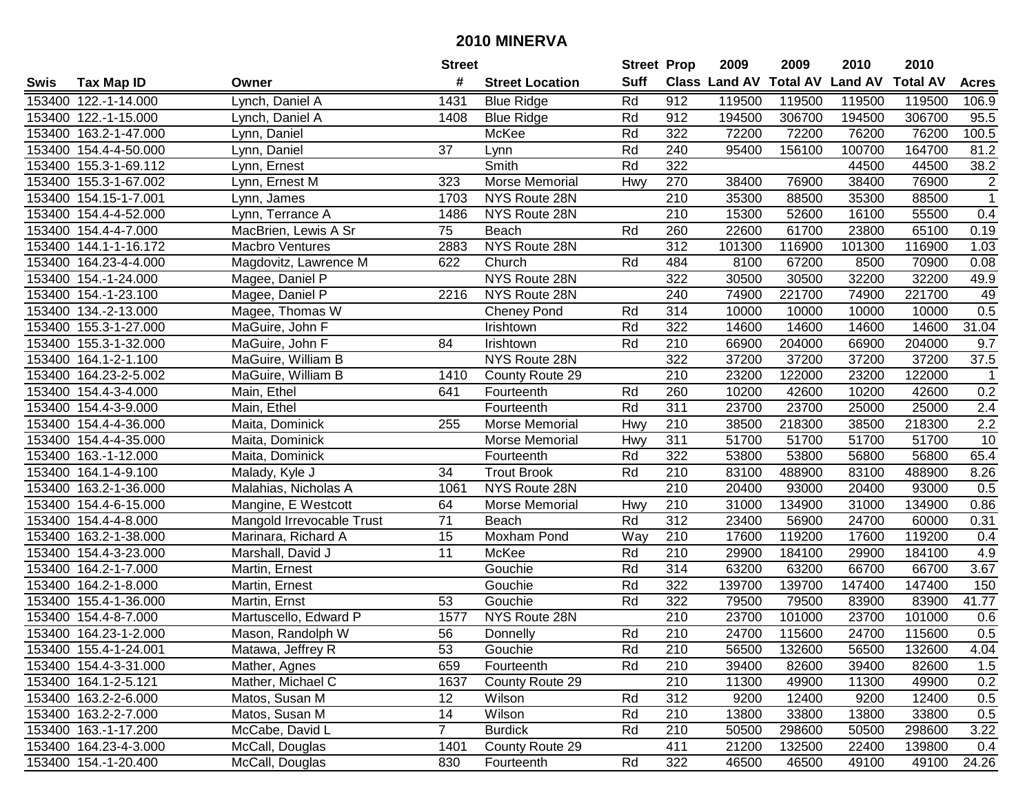|      |                       |                           | <b>Street</b>   |                        | <b>Street Prop</b> |                  | 2009          | 2009            | 2010           | 2010            |                |
|------|-----------------------|---------------------------|-----------------|------------------------|--------------------|------------------|---------------|-----------------|----------------|-----------------|----------------|
| Swis | <b>Tax Map ID</b>     | Owner                     | #               | <b>Street Location</b> | <b>Suff</b>        |                  | Class Land AV | <b>Total AV</b> | <b>Land AV</b> | <b>Total AV</b> | <b>Acres</b>   |
|      | 153400 122.-1-14.000  | Lynch, Daniel A           | 1431            | <b>Blue Ridge</b>      | Rd                 | 912              | 119500        | 119500          | 119500         | 119500          | 106.9          |
|      | 153400 122.-1-15.000  | Lynch, Daniel A           | 1408            | <b>Blue Ridge</b>      | Rd                 | 912              | 194500        | 306700          | 194500         | 306700          | 95.5           |
|      | 153400 163.2-1-47.000 | Lynn, Daniel              |                 | McKee                  | Rd                 | 322              | 72200         | 72200           | 76200          | 76200           | 100.5          |
|      | 153400 154.4-4-50.000 | Lynn, Daniel              | 37              | Lynn                   | Rd                 | 240              | 95400         | 156100          | 100700         | 164700          | 81.2           |
|      | 153400 155.3-1-69.112 | Lynn, Ernest              |                 | Smith                  | Rd                 | 322              |               |                 | 44500          | 44500           | 38.2           |
|      | 153400 155.3-1-67.002 | Lynn, Ernest M            | 323             | Morse Memorial         | Hwy                | 270              | 38400         | 76900           | 38400          | 76900           | $\overline{2}$ |
|      | 153400 154.15-1-7.001 | Lynn, James               | 1703            | NYS Route 28N          |                    | 210              | 35300         | 88500           | 35300          | 88500           | $\overline{1}$ |
|      | 153400 154.4-4-52.000 | Lynn, Terrance A          | 1486            | NYS Route 28N          |                    | $\overline{210}$ | 15300         | 52600           | 16100          | 55500           | 0.4            |
|      | 153400 154.4-4-7.000  | MacBrien, Lewis A Sr      | $\overline{75}$ | Beach                  | Rd                 | 260              | 22600         | 61700           | 23800          | 65100           | 0.19           |
|      | 153400 144.1-1-16.172 | <b>Macbro Ventures</b>    | 2883            | NYS Route 28N          |                    | $\overline{312}$ | 101300        | 116900          | 101300         | 116900          | 1.03           |
|      | 153400 164.23-4-4.000 | Magdovitz, Lawrence M     | 622             | Church                 | Rd                 | 484              | 8100          | 67200           | 8500           | 70900           | 0.08           |
|      | 153400 154.-1-24.000  | Magee, Daniel P           |                 | NYS Route 28N          |                    | 322              | 30500         | 30500           | 32200          | 32200           | 49.9           |
|      | 153400 154.-1-23.100  | Magee, Daniel P           | 2216            | NYS Route 28N          |                    | 240              | 74900         | 221700          | 74900          | 221700          | 49             |
|      | 153400 134.-2-13.000  | Magee, Thomas W           |                 | <b>Cheney Pond</b>     | Rd                 | 314              | 10000         | 10000           | 10000          | 10000           | 0.5            |
|      | 153400 155.3-1-27.000 | MaGuire, John F           |                 | Irishtown              | Rd                 | 322              | 14600         | 14600           | 14600          | 14600           | 31.04          |
|      | 153400 155.3-1-32.000 | MaGuire, John F           | 84              | <b>Irishtown</b>       | Rd                 | 210              | 66900         | 204000          | 66900          | 204000          | 9.7            |
|      | 153400 164.1-2-1.100  | MaGuire, William B        |                 | NYS Route 28N          |                    | 322              | 37200         | 37200           | 37200          | 37200           | 37.5           |
|      | 153400 164.23-2-5.002 | MaGuire, William B        | 1410            | County Route 29        |                    | 210              | 23200         | 122000          | 23200          | 122000          | $\mathbf{1}$   |
|      | 153400 154.4-3-4.000  | Main, Ethel               | 641             | Fourteenth             | Rd                 | 260              | 10200         | 42600           | 10200          | 42600           | 0.2            |
|      | 153400 154.4-3-9.000  | Main, Ethel               |                 | Fourteenth             | Rd                 | 311              | 23700         | 23700           | 25000          | 25000           | 2.4            |
|      | 153400 154.4-4-36.000 | Maita, Dominick           | 255             | Morse Memorial         | Hwy                | 210              | 38500         | 218300          | 38500          | 218300          | 2.2            |
|      | 153400 154.4-4-35.000 | Maita, Dominick           |                 | Morse Memorial         | Hwy                | 311              | 51700         | 51700           | 51700          | 51700           | 10             |
|      | 153400 163.-1-12.000  | Maita, Dominick           |                 | Fourteenth             | Rd                 | 322              | 53800         | 53800           | 56800          | 56800           | 65.4           |
|      | 153400 164.1-4-9.100  | Malady, Kyle J            | 34              | <b>Trout Brook</b>     | Rd                 | 210              | 83100         | 488900          | 83100          | 488900          | 8.26           |
|      | 153400 163.2-1-36.000 | Malahias, Nicholas A      | 1061            | NYS Route 28N          |                    | $\overline{210}$ | 20400         | 93000           | 20400          | 93000           | 0.5            |
|      | 153400 154.4-6-15.000 | Mangine, E Westcott       | 64              | Morse Memorial         | Hwy                | 210              | 31000         | 134900          | 31000          | 134900          | 0.86           |
|      | 153400 154.4-4-8.000  | Mangold Irrevocable Trust | 71              | Beach                  | Rd                 | $\overline{312}$ | 23400         | 56900           | 24700          | 60000           | 0.31           |
|      | 153400 163.2-1-38.000 | Marinara, Richard A       | 15              | Moxham Pond            | Way                | 210              | 17600         | 119200          | 17600          | 119200          | 0.4            |
|      | 153400 154.4-3-23.000 | Marshall, David J         | $\overline{11}$ | McKee                  | Rd                 | 210              | 29900         | 184100          | 29900          | 184100          | 4.9            |
|      | 153400 164.2-1-7.000  | Martin, Ernest            |                 | Gouchie                | Rd                 | $\overline{314}$ | 63200         | 63200           | 66700          | 66700           | 3.67           |
|      | 153400 164.2-1-8.000  | Martin, Ernest            |                 | Gouchie                | Rd                 | 322              | 139700        | 139700          | 147400         | 147400          | 150            |
|      | 153400 155.4-1-36.000 | Martin, Ernst             | 53              | Gouchie                | Rd                 | 322              | 79500         | 79500           | 83900          | 83900           | 41.77          |
|      | 153400 154.4-8-7.000  | Martuscello, Edward P     | 1577            | NYS Route 28N          |                    | 210              | 23700         | 101000          | 23700          | 101000          | 0.6            |
|      | 153400 164.23-1-2.000 | Mason, Randolph W         | 56              | Donnelly               | Rd                 | $\overline{210}$ | 24700         | 115600          | 24700          | 115600          | 0.5            |
|      | 153400 155.4-1-24.001 | Matawa, Jeffrey R         | 53              | Gouchie                | Rd                 | 210              | 56500         | 132600          | 56500          | 132600          | 4.04           |
|      | 153400 154.4-3-31.000 | Mather, Agnes             | 659             | Fourteenth             | Rd                 | 210              | 39400         | 82600           | 39400          | 82600           | 1.5            |
|      | 153400 164.1-2-5.121  | Mather, Michael C         | 1637            | County Route 29        |                    | 210              | 11300         | 49900           | 11300          | 49900           | 0.2            |
|      | 153400 163.2-2-6.000  | Matos, Susan M            | 12 <sup>°</sup> | Wilson                 | Rd                 | 312              | 9200          | 12400           | 9200           | 12400           | 0.5            |
|      | 153400 163.2-2-7.000  | Matos, Susan M            | 14              | Wilson                 | Rd                 | 210              | 13800         | 33800           | 13800          | 33800           | 0.5            |
|      | 153400 163.-1-17.200  | McCabe, David L           | $\overline{7}$  | <b>Burdick</b>         | Rd                 | 210              | 50500         | 298600          | 50500          | 298600          | 3.22           |
|      | 153400 164.23-4-3.000 | McCall, Douglas           | 1401            | County Route 29        |                    | 411              | 21200         | 132500          | 22400          | 139800          | 0.4            |
|      | 153400 154.-1-20.400  | McCall, Douglas           | 830             | Fourteenth             | Rd                 | 322              | 46500         | 46500           | 49100          | 49100           | 24.26          |
|      |                       |                           |                 |                        |                    |                  |               |                 |                |                 |                |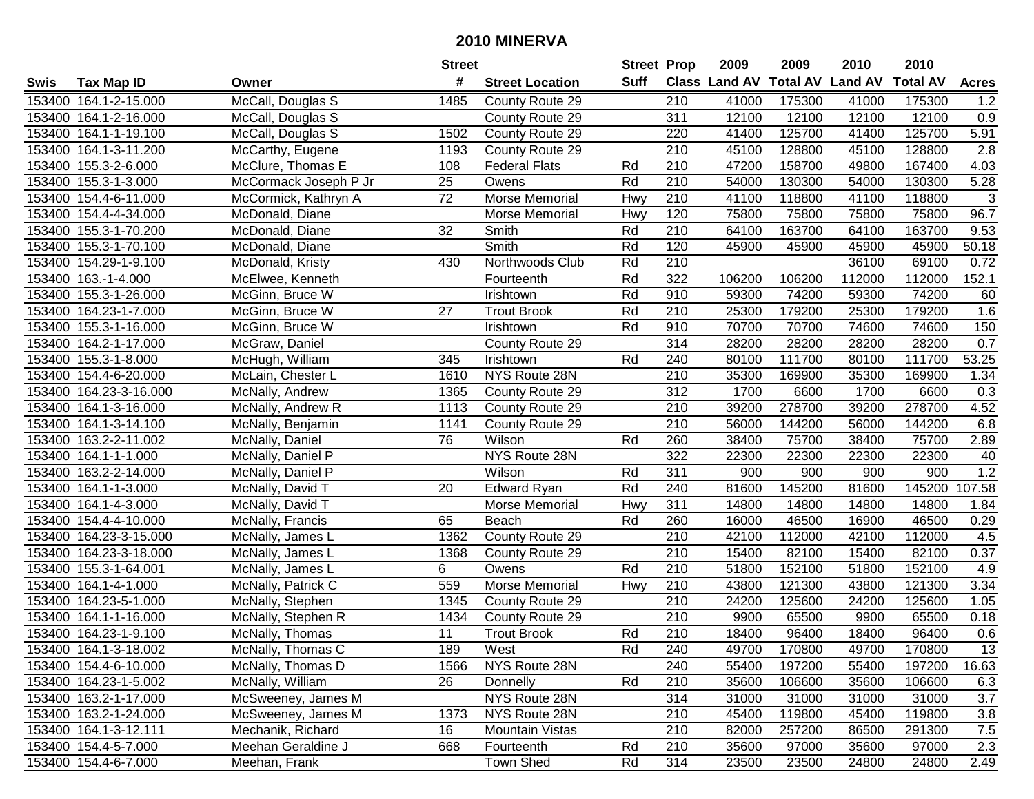|        |                        |                       | <b>Street</b> |                        | <b>Street Prop</b> |                  | 2009                          | 2009   | 2010           | 2010            |                  |
|--------|------------------------|-----------------------|---------------|------------------------|--------------------|------------------|-------------------------------|--------|----------------|-----------------|------------------|
| Swis   | <b>Tax Map ID</b>      | Owner                 | #             | <b>Street Location</b> | <b>Suff</b>        |                  | <b>Class Land AV Total AV</b> |        | <b>Land AV</b> | <b>Total AV</b> | <b>Acres</b>     |
|        | 153400 164.1-2-15.000  | McCall, Douglas S     | 1485          | County Route 29        |                    | 210              | 41000                         | 175300 | 41000          | 175300          | 1.2              |
|        | 153400 164.1-2-16.000  | McCall, Douglas S     |               | County Route 29        |                    | 311              | 12100                         | 12100  | 12100          | 12100           | 0.9              |
|        | 153400 164.1-1-19.100  | McCall, Douglas S     | 1502          | County Route 29        |                    | 220              | 41400                         | 125700 | 41400          | 125700          | 5.91             |
|        | 153400 164.1-3-11.200  | McCarthy, Eugene      | 1193          | County Route 29        |                    | 210              | 45100                         | 128800 | 45100          | 128800          | $\overline{2.8}$ |
|        | 153400 155.3-2-6.000   | McClure, Thomas E     | 108           | <b>Federal Flats</b>   | Rd                 | 210              | 47200                         | 158700 | 49800          | 167400          | 4.03             |
|        | 153400 155.3-1-3.000   | McCormack Joseph P Jr | 25            | Owens                  | Rd                 | 210              | 54000                         | 130300 | 54000          | 130300          | 5.28             |
|        | 153400 154.4-6-11.000  | McCormick, Kathryn A  | 72            | Morse Memorial         | Hwy                | 210              | 41100                         | 118800 | 41100          | 118800          | $\mathbf{3}$     |
|        | 153400 154.4-4-34.000  | McDonald, Diane       |               | Morse Memorial         | Hwy                | 120              | 75800                         | 75800  | 75800          | 75800           | 96.7             |
|        | 153400 155.3-1-70.200  | McDonald, Diane       | 32            | Smith                  | Rd                 | $\overline{210}$ | 64100                         | 163700 | 64100          | 163700          | 9.53             |
|        | 153400 155.3-1-70.100  | McDonald, Diane       |               | Smith                  | Rd                 | 120              | 45900                         | 45900  | 45900          | 45900           | 50.18            |
|        | 153400 154.29-1-9.100  | McDonald, Kristy      | 430           | Northwoods Club        | Rd                 | 210              |                               |        | 36100          | 69100           | 0.72             |
|        | 153400 163.-1-4.000    | McElwee, Kenneth      |               | Fourteenth             | Rd                 | 322              | 106200                        | 106200 | 112000         | 112000          | 152.1            |
|        | 153400 155.3-1-26.000  | McGinn, Bruce W       |               | Irishtown              | Rd                 | 910              | 59300                         | 74200  | 59300          | 74200           | 60               |
|        | 153400 164.23-1-7.000  | McGinn, Bruce W       | 27            | <b>Trout Brook</b>     | Rd                 | 210              | 25300                         | 179200 | 25300          | 179200          | 1.6              |
|        | 153400 155.3-1-16.000  | McGinn, Bruce W       |               | Irishtown              | Rd                 | 910              | 70700                         | 70700  | 74600          | 74600           | 150              |
|        | 153400 164.2-1-17.000  | McGraw, Daniel        |               | County Route 29        |                    | 314              | 28200                         | 28200  | 28200          | 28200           | 0.7              |
|        | 153400 155.3-1-8.000   | McHugh, William       | 345           | Irishtown              | Rd                 | 240              | 80100                         | 111700 | 80100          | 111700          | 53.25            |
|        | 153400 154.4-6-20.000  | McLain, Chester L     | 1610          | NYS Route 28N          |                    | 210              | 35300                         | 169900 | 35300          | 169900          | 1.34             |
|        | 153400 164.23-3-16.000 | McNally, Andrew       | 1365          | County Route 29        |                    | 312              | 1700                          | 6600   | 1700           | 6600            | 0.3              |
|        | 153400 164.1-3-16.000  | McNally, Andrew R     | 1113          | County Route 29        |                    | 210              | 39200                         | 278700 | 39200          | 278700          | 4.52             |
|        | 153400 164.1-3-14.100  | McNally, Benjamin     | 1141          | County Route 29        |                    | 210              | 56000                         | 144200 | 56000          | 144200          | 6.8              |
|        | 153400 163.2-2-11.002  | McNally, Daniel       | 76            | Wilson                 | Rd                 | 260              | 38400                         | 75700  | 38400          | 75700           | 2.89             |
|        | 153400 164.1-1-1.000   | McNally, Daniel P     |               | NYS Route 28N          |                    | 322              | 22300                         | 22300  | 22300          | 22300           | 40               |
| 153400 | 163.2-2-14.000         | McNally, Daniel P     |               | Wilson                 | Rd                 | 311              | 900                           | 900    | 900            | 900             | 1.2              |
| 153400 | 164.1-1-3.000          | McNally, David T      | 20            | <b>Edward Ryan</b>     | Rd                 | 240              | 81600                         | 145200 | 81600          | 145200          | 107.58           |
|        | 153400 164.1-4-3.000   | McNally, David T      |               | Morse Memorial         | Hwy                | 311              | 14800                         | 14800  | 14800          | 14800           | 1.84             |
|        | 153400 154.4-4-10.000  | McNally, Francis      | 65            | Beach                  | Rd                 | 260              | 16000                         | 46500  | 16900          | 46500           | 0.29             |
|        | 153400 164.23-3-15.000 | McNally, James L      | 1362          | County Route 29        |                    | 210              | 42100                         | 112000 | 42100          | 112000          | 4.5              |
|        | 153400 164.23-3-18.000 | McNally, James L      | 1368          | County Route 29        |                    | 210              | 15400                         | 82100  | 15400          | 82100           | 0.37             |
|        | 153400 155.3-1-64.001  | McNally, James L      | 6             | Owens                  | Rd                 | 210              | 51800                         | 152100 | 51800          | 152100          | 4.9              |
|        | 153400 164.1-4-1.000   | McNally, Patrick C    | 559           | Morse Memorial         | Hwy                | $\overline{210}$ | 43800                         | 121300 | 43800          | 121300          | 3.34             |
|        | 153400 164.23-5-1.000  | McNally, Stephen      | 1345          | County Route 29        |                    | 210              | 24200                         | 125600 | 24200          | 125600          | 1.05             |
|        | 153400 164.1-1-16.000  | McNally, Stephen R    | 1434          | County Route 29        |                    | $\overline{210}$ | 9900                          | 65500  | 9900           | 65500           | 0.18             |
|        | 153400 164.23-1-9.100  | McNally, Thomas       | 11            | <b>Trout Brook</b>     | Rd                 | 210              | 18400                         | 96400  | 18400          | 96400           | 0.6              |
|        | 153400 164.1-3-18.002  | McNally, Thomas C     | 189           | West                   | Rd                 | 240              | 49700                         | 170800 | 49700          | 170800          | 13               |
|        | 153400 154.4-6-10.000  | McNally, Thomas D     | 1566          | NYS Route 28N          |                    | 240              | 55400                         | 197200 | 55400          | 197200          | 16.63            |
|        | 153400 164.23-1-5.002  | McNally, William      | 26            | Donnelly               | Rd                 | 210              | 35600                         | 106600 | 35600          | 106600          | 6.3              |
|        | 153400 163.2-1-17.000  | McSweeney, James M    |               | NYS Route 28N          |                    | 314              | 31000                         | 31000  | 31000          | 31000           | 3.7              |
|        | 153400 163.2-1-24.000  | McSweeney, James M    | 1373          | NYS Route 28N          |                    | 210              | 45400                         | 119800 | 45400          | 119800          | 3.8              |
|        | 153400 164.1-3-12.111  | Mechanik, Richard     | 16            | Mountain Vistas        |                    | 210              | 82000                         | 257200 | 86500          | 291300          | 7.5              |
|        | 153400 154.4-5-7.000   | Meehan Geraldine J    | 668           | Fourteenth             | Rd                 | 210              | 35600                         | 97000  | 35600          | 97000           | 2.3              |
|        | 153400 154.4-6-7.000   | Meehan, Frank         |               | Town Shed              | Rd                 | 314              | 23500                         | 23500  | 24800          | 24800           | 2.49             |
|        |                        |                       |               |                        |                    |                  |                               |        |                |                 |                  |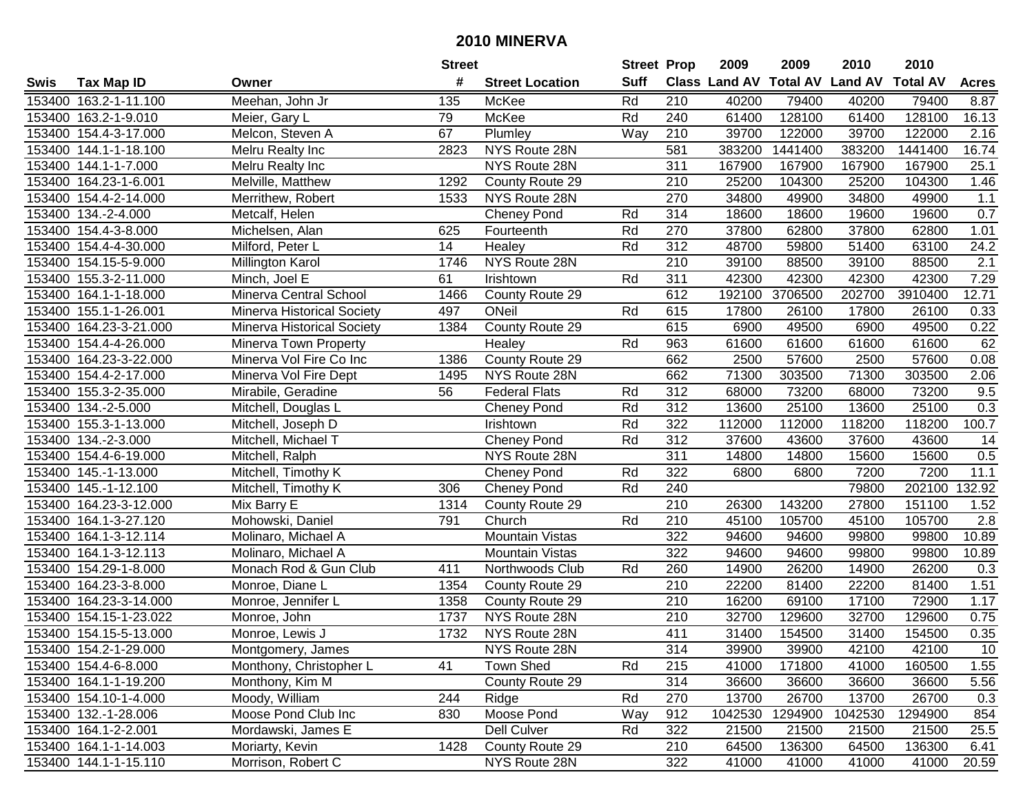|        |                        |                                   | <b>Street</b> |                        | <b>Street Prop</b> |                  | 2009    | 2009    | 2010                           | 2010            |              |
|--------|------------------------|-----------------------------------|---------------|------------------------|--------------------|------------------|---------|---------|--------------------------------|-----------------|--------------|
| Swis   | <b>Tax Map ID</b>      | Owner                             | #             | <b>Street Location</b> | <b>Suff</b>        |                  |         |         | Class Land AV Total AV Land AV | <b>Total AV</b> | <b>Acres</b> |
|        | 153400 163.2-1-11.100  | Meehan, John Jr                   | 135           | McKee                  | Rd                 | 210              | 40200   | 79400   | 40200                          | 79400           | 8.87         |
|        | 153400 163.2-1-9.010   | Meier, Gary L                     | 79            | McKee                  | Rd                 | 240              | 61400   | 128100  | 61400                          | 128100          | 16.13        |
|        | 153400 154.4-3-17.000  | Melcon, Steven A                  | 67            | Plumley                | Way                | 210              | 39700   | 122000  | 39700                          | 122000          | 2.16         |
|        | 153400 144.1-1-18.100  | Melru Realty Inc                  | 2823          | NYS Route 28N          |                    | 581              | 383200  | 1441400 | 383200                         | 1441400         | 16.74        |
|        | 153400 144.1-1-7.000   | Melru Realty Inc                  |               | NYS Route 28N          |                    | 311              | 167900  | 167900  | 167900                         | 167900          | 25.1         |
|        | 153400 164.23-1-6.001  | Melville, Matthew                 | 1292          | County Route 29        |                    | 210              | 25200   | 104300  | 25200                          | 104300          | 1.46         |
|        | 153400 154.4-2-14.000  | Merrithew, Robert                 | 1533          | NYS Route 28N          |                    | 270              | 34800   | 49900   | 34800                          | 49900           | $1.1$        |
|        | 153400 134.-2-4.000    | Metcalf, Helen                    |               | <b>Cheney Pond</b>     | Rd                 | 314              | 18600   | 18600   | 19600                          | 19600           | 0.7          |
|        | 153400 154.4-3-8.000   | Michelsen, Alan                   | 625           | Fourteenth             | Rd                 | 270              | 37800   | 62800   | 37800                          | 62800           | 1.01         |
|        | 153400 154.4-4-30.000  | Milford, Peter L                  | 14            | Healey                 | Rd                 | 312              | 48700   | 59800   | 51400                          | 63100           | 24.2         |
|        | 153400 154.15-5-9.000  | Millington Karol                  | 1746          | NYS Route 28N          |                    | 210              | 39100   | 88500   | 39100                          | 88500           | 2.1          |
|        | 153400 155.3-2-11.000  | Minch, Joel E                     | 61            | Irishtown              | Rd                 | 311              | 42300   | 42300   | 42300                          | 42300           | 7.29         |
|        | 153400 164.1-1-18.000  | Minerva Central School            | 1466          | County Route 29        |                    | 612              | 192100  | 3706500 | 202700                         | 3910400         | 12.71        |
|        | 153400 155.1-1-26.001  | Minerva Historical Society        | 497           | ONeil                  | Rd                 | 615              | 17800   | 26100   | 17800                          | 26100           | 0.33         |
|        | 153400 164.23-3-21.000 | <b>Minerva Historical Society</b> | 1384          | County Route 29        |                    | 615              | 6900    | 49500   | 6900                           | 49500           | 0.22         |
|        | 153400 154.4-4-26.000  | Minerva Town Property             |               | Healey                 | Rd                 | 963              | 61600   | 61600   | 61600                          | 61600           | 62           |
|        | 153400 164.23-3-22.000 | Minerva Vol Fire Co Inc           | 1386          | County Route 29        |                    | 662              | 2500    | 57600   | 2500                           | 57600           | 0.08         |
|        | 153400 154.4-2-17.000  | Minerva Vol Fire Dept             | 1495          | NYS Route 28N          |                    | 662              | 71300   | 303500  | 71300                          | 303500          | 2.06         |
|        | 153400 155.3-2-35.000  | Mirabile, Geradine                | 56            | <b>Federal Flats</b>   | Rd                 | 312              | 68000   | 73200   | 68000                          | 73200           | 9.5          |
|        | 153400 134.-2-5.000    | Mitchell, Douglas L               |               | <b>Cheney Pond</b>     | Rd                 | 312              | 13600   | 25100   | 13600                          | 25100           | 0.3          |
|        | 153400 155.3-1-13.000  | Mitchell, Joseph D                |               | Irishtown              | Rd                 | 322              | 112000  | 112000  | 118200                         | 118200          | 100.7        |
| 153400 | 134.-2-3.000           | Mitchell, Michael T               |               | <b>Cheney Pond</b>     | Rd                 | 312              | 37600   | 43600   | 37600                          | 43600           | 14           |
| 153400 | 154.4-6-19.000         | Mitchell, Ralph                   |               | NYS Route 28N          |                    | 311              | 14800   | 14800   | 15600                          | 15600           | 0.5          |
|        | 153400 145.-1-13.000   | Mitchell, Timothy K               |               | <b>Cheney Pond</b>     | Rd                 | 322              | 6800    | 6800    | 7200                           | 7200            | 11.1         |
|        | 153400 145.-1-12.100   | Mitchell, Timothy K               | 306           | <b>Cheney Pond</b>     | Rd                 | 240              |         |         | 79800                          | 202100          | 132.92       |
|        | 153400 164.23-3-12.000 | Mix Barry E                       | 1314          | County Route 29        |                    | 210              | 26300   | 143200  | 27800                          | 151100          | 1.52         |
|        | 153400 164.1-3-27.120  | Mohowski, Daniel                  | 791           | Church                 | Rd                 | 210              | 45100   | 105700  | 45100                          | 105700          | 2.8          |
|        | 153400 164.1-3-12.114  | Molinaro, Michael A               |               | Mountain Vistas        |                    | 322              | 94600   | 94600   | 99800                          | 99800           | 10.89        |
|        | 153400 164.1-3-12.113  | Molinaro, Michael A               |               | <b>Mountain Vistas</b> |                    | 322              | 94600   | 94600   | 99800                          | 99800           | 10.89        |
|        | 153400 154.29-1-8.000  | Monach Rod & Gun Club             | 411           | Northwoods Club        | Rd                 | 260              | 14900   | 26200   | 14900                          | 26200           | 0.3          |
|        | 153400 164.23-3-8.000  | Monroe, Diane L                   | 1354          | County Route 29        |                    | $\overline{210}$ | 22200   | 81400   | 22200                          | 81400           | 1.51         |
|        | 153400 164.23-3-14.000 | Monroe, Jennifer L                | 1358          | County Route 29        |                    | 210              | 16200   | 69100   | 17100                          | 72900           | 1.17         |
|        | 153400 154.15-1-23.022 | Monroe, John                      | 1737          | NYS Route 28N          |                    | $\overline{210}$ | 32700   | 129600  | 32700                          | 129600          | 0.75         |
|        | 153400 154.15-5-13.000 | Monroe, Lewis J                   | 1732          | NYS Route 28N          |                    | 411              | 31400   | 154500  | 31400                          | 154500          | 0.35         |
|        | 153400 154.2-1-29.000  | Montgomery, James                 |               | NYS Route 28N          |                    | 314              | 39900   | 39900   | 42100                          | 42100           | 10           |
|        | 153400 154.4-6-8.000   | Monthony, Christopher L           | 41            | <b>Town Shed</b>       | Rd                 | 215              | 41000   | 171800  | 41000                          | 160500          | 1.55         |
|        | 153400 164.1-1-19.200  | Monthony, Kim M                   |               | County Route 29        |                    | 314              | 36600   | 36600   | 36600                          | 36600           | 5.56         |
|        | 153400 154.10-1-4.000  | Moody, William                    | 244           | Ridge                  | Rd                 | 270              | 13700   | 26700   | 13700                          | 26700           | 0.3          |
|        | 153400 132.-1-28.006   | Moose Pond Club Inc               | 830           | Moose Pond             | Way                | 912              | 1042530 | 1294900 | 1042530                        | 1294900         | 854          |
|        | 153400 164.1-2-2.001   | Mordawski, James E                |               | Dell Culver            | Rd                 | 322              | 21500   | 21500   | 21500                          | 21500           | 25.5         |
|        | 153400 164.1-1-14.003  | Moriarty, Kevin                   | 1428          | County Route 29        |                    | 210              | 64500   | 136300  | 64500                          | 136300          | 6.41         |
|        | 153400 144.1-1-15.110  | Morrison, Robert C                |               | NYS Route 28N          |                    | 322              | 41000   | 41000   | 41000                          | 41000           | 20.59        |
|        |                        |                                   |               |                        |                    |                  |         |         |                                |                 |              |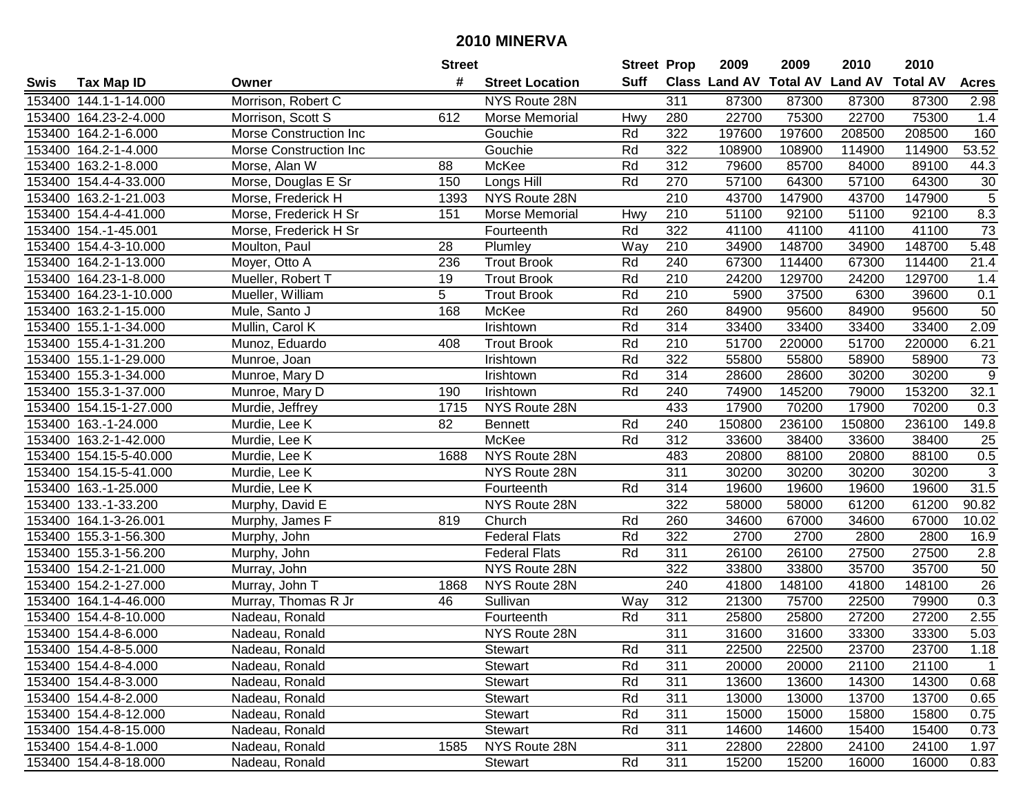| #<br><b>Suff</b><br>Class Land AV Total AV Land AV<br><b>Total AV</b><br><b>Tax Map ID</b><br><b>Street Location</b><br><b>Acres</b><br>Owner<br>Morrison, Robert C<br>153400 144.1-1-14.000<br>NYS Route 28N<br>311<br>87300<br>87300<br>87300<br>87300<br>2.98<br>22700<br>153400 164.23-2-4.000<br>612<br>Morse Memorial<br>280<br>22700<br>75300<br>75300<br>1.4<br>Morrison, Scott S<br>Hwy<br>153400 164.2-1-6.000<br>Morse Construction Inc<br>322<br>197600<br>197600<br>208500<br>208500<br>160<br>Gouchie<br>Rd<br>153400 164.2-1-4.000<br>Rd<br>322<br>114900<br>114900<br>53.52<br>Morse Construction Inc<br>Gouchie<br>108900<br>108900<br>$\overline{312}$<br>153400 163.2-1-8.000<br>88<br>McKee<br>Rd<br>79600<br>85700<br>84000<br>89100<br>44.3<br>Morse, Alan W<br>Rd<br>57100<br>30<br>153400 154.4-4-33.000<br>Morse, Douglas E Sr<br>150<br>Longs Hill<br>270<br>64300<br>57100<br>64300<br>$\overline{5}$<br>NYS Route 28N<br>210<br>43700<br>147900<br>43700<br>147900<br>153400 163.2-1-21.003<br>Morse, Frederick H<br>1393<br>210<br>8.3<br>153400 154.4-4-41.000<br>51100<br>92100<br>51100<br>92100<br>Morse, Frederick H Sr<br>151<br>Morse Memorial<br>Hwy<br>Rd<br>322<br>41100<br>41100<br>$\overline{73}$<br>153400 154.-1-45.001<br>41100<br>41100<br>Morse, Frederick H Sr<br>Fourteenth<br>34900<br>148700<br>153400 154.4-3-10.000<br>Moulton, Paul<br>28<br>Way<br>210<br>148700<br>34900<br>5.48<br>Plumley<br>Rd<br>240<br>114400<br>153400 164.2-1-13.000<br>Moyer, Otto A<br>236<br><b>Trout Brook</b><br>67300<br>114400<br>67300<br>21.4<br>153400 164.23-1-8.000<br>Mueller, Robert T<br><b>Trout Brook</b><br>Rd<br>210<br>24200<br>129700<br>24200<br>129700<br>19<br>1.4<br>5<br>210<br>153400 164.23-1-10.000<br>Rd<br>5900<br>6300<br>39600<br>0.1<br><b>Trout Brook</b><br>37500<br>Mueller, William<br>Rd<br>95600<br>153400 163.2-1-15.000<br>168<br>McKee<br>260<br>84900<br>95600<br>84900<br>50<br>Mule, Santo J<br>Rd<br>314<br>153400 155.1-1-34.000<br>33400<br>33400<br>33400<br>33400<br>2.09<br>Mullin, Carol K<br>Irishtown<br>Rd<br>210<br>51700<br>220000<br>51700<br>220000<br>6.21<br>153400 155.4-1-31.200<br>Munoz, Eduardo<br>408<br><b>Trout Brook</b><br>Rd<br>322<br>153400 155.1-1-29.000<br>55800<br>55800<br>58900<br>58900<br>73<br>Munroe, Joan<br>Irishtown<br>$\boldsymbol{9}$<br>Rd<br>314<br>153400 155.3-1-34.000<br>28600<br>30200<br>30200<br>Munroe, Mary D<br>Irishtown<br>28600<br>153400 155.3-1-37.000<br>Rd<br>240<br>74900<br>145200<br>79000<br>153200<br>32.1<br>Munroe, Mary D<br>190<br>Irishtown<br>153400 154.15-1-27.000<br>NYS Route 28N<br>433<br>17900<br>70200<br>17900<br>70200<br>0.3<br>Murdie, Jeffrey<br>1715<br>82<br>240<br>150800<br>236100<br>150800<br>236100<br>149.8<br>153400 163.-1-24.000<br>Murdie, Lee K<br><b>Bennett</b><br>Rd<br>Rd<br>312<br>153400 163.2-1-42.000<br>McKee<br>33600<br>38400<br>33600<br>38400<br>25<br>Murdie, Lee K<br>0.5<br>NYS Route 28N<br>88100<br>153400 154.15-5-40.000<br>1688<br>483<br>20800<br>88100<br>20800<br>Murdie, Lee K<br>$\sqrt{3}$<br>153400 154.15-5-41.000<br>NYS Route 28N<br>311<br>30200<br>30200<br>30200<br>30200<br>Murdie, Lee K<br>31.5<br>Rd<br>314<br>19600<br>19600<br>153400 163.-1-25.000<br>Murdie, Lee K<br>19600<br>19600<br>Fourteenth<br>322<br>58000<br>61200<br>90.82<br>153400 133.-1-33.200<br>Murphy, David E<br>NYS Route 28N<br>58000<br>61200<br>153400 164.1-3-26.001<br>Murphy, James F<br>Church<br>Rd<br>260<br>34600<br>67000<br>34600<br>67000<br>10.02<br>819<br>322<br>2700<br>153400 155.3-1-56.300<br><b>Federal Flats</b><br>Rd<br>2700<br>2800<br>2800<br>16.9<br>Murphy, John<br>311<br>153400 155.3-1-56.200<br>Rd<br>26100<br>26100<br>27500<br>27500<br>$2.8$<br>Murphy, John<br><b>Federal Flats</b><br>322<br>35700<br>35700<br>153400 154.2-1-21.000<br>NYS Route 28N<br>33800<br>33800<br>50<br>Murray, John<br>26<br>153400 154.2-1-27.000<br>NYS Route 28N<br>240<br>41800<br>148100<br>148100<br>41800<br>Murray, John T<br>1868<br>Murray, Thomas R Jr<br>0.3<br>153400 164.1-4-46.000<br>Sullivan<br>312<br>21300<br>75700<br>22500<br>79900<br>Way<br>46<br>$\overline{311}$<br>27200<br>2.55<br>153400 154.4-8-10.000<br>Rd<br>25800<br>25800<br>27200<br>Nadeau, Ronald<br>Fourteenth<br>311<br>5.03<br>153400 154.4-8-6.000<br>NYS Route 28N<br>31600<br>31600<br>33300<br>33300<br>Nadeau, Ronald<br>153400 154.4-8-5.000<br>Nadeau, Ronald<br>Stewart<br>Rd<br>311<br>22500<br>22500<br>23700<br>23700<br>1.18<br>153400 154.4-8-4.000<br>Stewart<br>Rd<br>311<br>21100<br>21100<br>Nadeau, Ronald<br>20000<br>20000<br>$\mathbf{1}$<br>311<br>153400 154.4-8-3.000<br><b>Stewart</b><br>Rd<br>13600<br>13600<br>14300<br>14300<br>0.68<br>Nadeau, Ronald<br>153400 154.4-8-2.000<br>Rd<br>311<br>13700<br>Nadeau, Ronald<br>Stewart<br>13000<br>13000<br>13700<br>0.65<br>Rd<br>311<br>153400 154.4-8-12.000<br>Nadeau, Ronald<br>Stewart<br>15000<br>15000<br>15800<br>15800<br>0.75<br>153400 154.4-8-15.000<br>Stewart<br>Rd<br>311<br>14600<br>14600<br>15400<br>15400<br>0.73<br>Nadeau, Ronald<br>NYS Route 28N<br>311<br>153400 154.4-8-1.000<br>1585<br>22800<br>22800<br>24100<br>24100<br>1.97<br>Nadeau, Ronald<br>Rd<br>153400 154.4-8-18.000<br>311<br>15200<br>Nadeau, Ronald<br>15200<br>16000<br>16000<br>0.83 |      |  | <b>Street</b> |         | <b>Street Prop</b> | 2009 | 2009 | 2010 | 2010 |  |
|-----------------------------------------------------------------------------------------------------------------------------------------------------------------------------------------------------------------------------------------------------------------------------------------------------------------------------------------------------------------------------------------------------------------------------------------------------------------------------------------------------------------------------------------------------------------------------------------------------------------------------------------------------------------------------------------------------------------------------------------------------------------------------------------------------------------------------------------------------------------------------------------------------------------------------------------------------------------------------------------------------------------------------------------------------------------------------------------------------------------------------------------------------------------------------------------------------------------------------------------------------------------------------------------------------------------------------------------------------------------------------------------------------------------------------------------------------------------------------------------------------------------------------------------------------------------------------------------------------------------------------------------------------------------------------------------------------------------------------------------------------------------------------------------------------------------------------------------------------------------------------------------------------------------------------------------------------------------------------------------------------------------------------------------------------------------------------------------------------------------------------------------------------------------------------------------------------------------------------------------------------------------------------------------------------------------------------------------------------------------------------------------------------------------------------------------------------------------------------------------------------------------------------------------------------------------------------------------------------------------------------------------------------------------------------------------------------------------------------------------------------------------------------------------------------------------------------------------------------------------------------------------------------------------------------------------------------------------------------------------------------------------------------------------------------------------------------------------------------------------------------------------------------------------------------------------------------------------------------------------------------------------------------------------------------------------------------------------------------------------------------------------------------------------------------------------------------------------------------------------------------------------------------------------------------------------------------------------------------------------------------------------------------------------------------------------------------------------------------------------------------------------------------------------------------------------------------------------------------------------------------------------------------------------------------------------------------------------------------------------------------------------------------------------------------------------------------------------------------------------------------------------------------------------------------------------------------------------------------------------------------------------------------------------------------------------------------------------------------------------------------------------------------------------------------------------------------------------------------------------------------------------------------------------------------------------------------------------------------------------------------------------------------------------------------------------------------------------------------------------------------------------------------------------------------------------------------------------------------------------------------------------------------------------------------------------------------------------------------------------------------------------------------------------------------------------------------------------------------------------------------------------------------------------------------------------------------------------------------------------------------------------------------------------------------------------------------------------------------------------|------|--|---------------|---------|--------------------|------|------|------|------|--|
|                                                                                                                                                                                                                                                                                                                                                                                                                                                                                                                                                                                                                                                                                                                                                                                                                                                                                                                                                                                                                                                                                                                                                                                                                                                                                                                                                                                                                                                                                                                                                                                                                                                                                                                                                                                                                                                                                                                                                                                                                                                                                                                                                                                                                                                                                                                                                                                                                                                                                                                                                                                                                                                                                                                                                                                                                                                                                                                                                                                                                                                                                                                                                                                                                                                                                                                                                                                                                                                                                                                                                                                                                                                                                                                                                                                                                                                                                                                                                                                                                                                                                                                                                                                                                                                                                                                                                                                                                                                                                                                                                                                                                                                                                                                                                                                                                                                                                                                                                                                                                                                                                                                                                                                                                                                                                                                                                                 | Swis |  |               |         |                    |      |      |      |      |  |
|                                                                                                                                                                                                                                                                                                                                                                                                                                                                                                                                                                                                                                                                                                                                                                                                                                                                                                                                                                                                                                                                                                                                                                                                                                                                                                                                                                                                                                                                                                                                                                                                                                                                                                                                                                                                                                                                                                                                                                                                                                                                                                                                                                                                                                                                                                                                                                                                                                                                                                                                                                                                                                                                                                                                                                                                                                                                                                                                                                                                                                                                                                                                                                                                                                                                                                                                                                                                                                                                                                                                                                                                                                                                                                                                                                                                                                                                                                                                                                                                                                                                                                                                                                                                                                                                                                                                                                                                                                                                                                                                                                                                                                                                                                                                                                                                                                                                                                                                                                                                                                                                                                                                                                                                                                                                                                                                                                 |      |  |               |         |                    |      |      |      |      |  |
|                                                                                                                                                                                                                                                                                                                                                                                                                                                                                                                                                                                                                                                                                                                                                                                                                                                                                                                                                                                                                                                                                                                                                                                                                                                                                                                                                                                                                                                                                                                                                                                                                                                                                                                                                                                                                                                                                                                                                                                                                                                                                                                                                                                                                                                                                                                                                                                                                                                                                                                                                                                                                                                                                                                                                                                                                                                                                                                                                                                                                                                                                                                                                                                                                                                                                                                                                                                                                                                                                                                                                                                                                                                                                                                                                                                                                                                                                                                                                                                                                                                                                                                                                                                                                                                                                                                                                                                                                                                                                                                                                                                                                                                                                                                                                                                                                                                                                                                                                                                                                                                                                                                                                                                                                                                                                                                                                                 |      |  |               |         |                    |      |      |      |      |  |
|                                                                                                                                                                                                                                                                                                                                                                                                                                                                                                                                                                                                                                                                                                                                                                                                                                                                                                                                                                                                                                                                                                                                                                                                                                                                                                                                                                                                                                                                                                                                                                                                                                                                                                                                                                                                                                                                                                                                                                                                                                                                                                                                                                                                                                                                                                                                                                                                                                                                                                                                                                                                                                                                                                                                                                                                                                                                                                                                                                                                                                                                                                                                                                                                                                                                                                                                                                                                                                                                                                                                                                                                                                                                                                                                                                                                                                                                                                                                                                                                                                                                                                                                                                                                                                                                                                                                                                                                                                                                                                                                                                                                                                                                                                                                                                                                                                                                                                                                                                                                                                                                                                                                                                                                                                                                                                                                                                 |      |  |               |         |                    |      |      |      |      |  |
|                                                                                                                                                                                                                                                                                                                                                                                                                                                                                                                                                                                                                                                                                                                                                                                                                                                                                                                                                                                                                                                                                                                                                                                                                                                                                                                                                                                                                                                                                                                                                                                                                                                                                                                                                                                                                                                                                                                                                                                                                                                                                                                                                                                                                                                                                                                                                                                                                                                                                                                                                                                                                                                                                                                                                                                                                                                                                                                                                                                                                                                                                                                                                                                                                                                                                                                                                                                                                                                                                                                                                                                                                                                                                                                                                                                                                                                                                                                                                                                                                                                                                                                                                                                                                                                                                                                                                                                                                                                                                                                                                                                                                                                                                                                                                                                                                                                                                                                                                                                                                                                                                                                                                                                                                                                                                                                                                                 |      |  |               |         |                    |      |      |      |      |  |
|                                                                                                                                                                                                                                                                                                                                                                                                                                                                                                                                                                                                                                                                                                                                                                                                                                                                                                                                                                                                                                                                                                                                                                                                                                                                                                                                                                                                                                                                                                                                                                                                                                                                                                                                                                                                                                                                                                                                                                                                                                                                                                                                                                                                                                                                                                                                                                                                                                                                                                                                                                                                                                                                                                                                                                                                                                                                                                                                                                                                                                                                                                                                                                                                                                                                                                                                                                                                                                                                                                                                                                                                                                                                                                                                                                                                                                                                                                                                                                                                                                                                                                                                                                                                                                                                                                                                                                                                                                                                                                                                                                                                                                                                                                                                                                                                                                                                                                                                                                                                                                                                                                                                                                                                                                                                                                                                                                 |      |  |               |         |                    |      |      |      |      |  |
|                                                                                                                                                                                                                                                                                                                                                                                                                                                                                                                                                                                                                                                                                                                                                                                                                                                                                                                                                                                                                                                                                                                                                                                                                                                                                                                                                                                                                                                                                                                                                                                                                                                                                                                                                                                                                                                                                                                                                                                                                                                                                                                                                                                                                                                                                                                                                                                                                                                                                                                                                                                                                                                                                                                                                                                                                                                                                                                                                                                                                                                                                                                                                                                                                                                                                                                                                                                                                                                                                                                                                                                                                                                                                                                                                                                                                                                                                                                                                                                                                                                                                                                                                                                                                                                                                                                                                                                                                                                                                                                                                                                                                                                                                                                                                                                                                                                                                                                                                                                                                                                                                                                                                                                                                                                                                                                                                                 |      |  |               |         |                    |      |      |      |      |  |
|                                                                                                                                                                                                                                                                                                                                                                                                                                                                                                                                                                                                                                                                                                                                                                                                                                                                                                                                                                                                                                                                                                                                                                                                                                                                                                                                                                                                                                                                                                                                                                                                                                                                                                                                                                                                                                                                                                                                                                                                                                                                                                                                                                                                                                                                                                                                                                                                                                                                                                                                                                                                                                                                                                                                                                                                                                                                                                                                                                                                                                                                                                                                                                                                                                                                                                                                                                                                                                                                                                                                                                                                                                                                                                                                                                                                                                                                                                                                                                                                                                                                                                                                                                                                                                                                                                                                                                                                                                                                                                                                                                                                                                                                                                                                                                                                                                                                                                                                                                                                                                                                                                                                                                                                                                                                                                                                                                 |      |  |               |         |                    |      |      |      |      |  |
|                                                                                                                                                                                                                                                                                                                                                                                                                                                                                                                                                                                                                                                                                                                                                                                                                                                                                                                                                                                                                                                                                                                                                                                                                                                                                                                                                                                                                                                                                                                                                                                                                                                                                                                                                                                                                                                                                                                                                                                                                                                                                                                                                                                                                                                                                                                                                                                                                                                                                                                                                                                                                                                                                                                                                                                                                                                                                                                                                                                                                                                                                                                                                                                                                                                                                                                                                                                                                                                                                                                                                                                                                                                                                                                                                                                                                                                                                                                                                                                                                                                                                                                                                                                                                                                                                                                                                                                                                                                                                                                                                                                                                                                                                                                                                                                                                                                                                                                                                                                                                                                                                                                                                                                                                                                                                                                                                                 |      |  |               |         |                    |      |      |      |      |  |
|                                                                                                                                                                                                                                                                                                                                                                                                                                                                                                                                                                                                                                                                                                                                                                                                                                                                                                                                                                                                                                                                                                                                                                                                                                                                                                                                                                                                                                                                                                                                                                                                                                                                                                                                                                                                                                                                                                                                                                                                                                                                                                                                                                                                                                                                                                                                                                                                                                                                                                                                                                                                                                                                                                                                                                                                                                                                                                                                                                                                                                                                                                                                                                                                                                                                                                                                                                                                                                                                                                                                                                                                                                                                                                                                                                                                                                                                                                                                                                                                                                                                                                                                                                                                                                                                                                                                                                                                                                                                                                                                                                                                                                                                                                                                                                                                                                                                                                                                                                                                                                                                                                                                                                                                                                                                                                                                                                 |      |  |               |         |                    |      |      |      |      |  |
|                                                                                                                                                                                                                                                                                                                                                                                                                                                                                                                                                                                                                                                                                                                                                                                                                                                                                                                                                                                                                                                                                                                                                                                                                                                                                                                                                                                                                                                                                                                                                                                                                                                                                                                                                                                                                                                                                                                                                                                                                                                                                                                                                                                                                                                                                                                                                                                                                                                                                                                                                                                                                                                                                                                                                                                                                                                                                                                                                                                                                                                                                                                                                                                                                                                                                                                                                                                                                                                                                                                                                                                                                                                                                                                                                                                                                                                                                                                                                                                                                                                                                                                                                                                                                                                                                                                                                                                                                                                                                                                                                                                                                                                                                                                                                                                                                                                                                                                                                                                                                                                                                                                                                                                                                                                                                                                                                                 |      |  |               |         |                    |      |      |      |      |  |
|                                                                                                                                                                                                                                                                                                                                                                                                                                                                                                                                                                                                                                                                                                                                                                                                                                                                                                                                                                                                                                                                                                                                                                                                                                                                                                                                                                                                                                                                                                                                                                                                                                                                                                                                                                                                                                                                                                                                                                                                                                                                                                                                                                                                                                                                                                                                                                                                                                                                                                                                                                                                                                                                                                                                                                                                                                                                                                                                                                                                                                                                                                                                                                                                                                                                                                                                                                                                                                                                                                                                                                                                                                                                                                                                                                                                                                                                                                                                                                                                                                                                                                                                                                                                                                                                                                                                                                                                                                                                                                                                                                                                                                                                                                                                                                                                                                                                                                                                                                                                                                                                                                                                                                                                                                                                                                                                                                 |      |  |               |         |                    |      |      |      |      |  |
|                                                                                                                                                                                                                                                                                                                                                                                                                                                                                                                                                                                                                                                                                                                                                                                                                                                                                                                                                                                                                                                                                                                                                                                                                                                                                                                                                                                                                                                                                                                                                                                                                                                                                                                                                                                                                                                                                                                                                                                                                                                                                                                                                                                                                                                                                                                                                                                                                                                                                                                                                                                                                                                                                                                                                                                                                                                                                                                                                                                                                                                                                                                                                                                                                                                                                                                                                                                                                                                                                                                                                                                                                                                                                                                                                                                                                                                                                                                                                                                                                                                                                                                                                                                                                                                                                                                                                                                                                                                                                                                                                                                                                                                                                                                                                                                                                                                                                                                                                                                                                                                                                                                                                                                                                                                                                                                                                                 |      |  |               |         |                    |      |      |      |      |  |
|                                                                                                                                                                                                                                                                                                                                                                                                                                                                                                                                                                                                                                                                                                                                                                                                                                                                                                                                                                                                                                                                                                                                                                                                                                                                                                                                                                                                                                                                                                                                                                                                                                                                                                                                                                                                                                                                                                                                                                                                                                                                                                                                                                                                                                                                                                                                                                                                                                                                                                                                                                                                                                                                                                                                                                                                                                                                                                                                                                                                                                                                                                                                                                                                                                                                                                                                                                                                                                                                                                                                                                                                                                                                                                                                                                                                                                                                                                                                                                                                                                                                                                                                                                                                                                                                                                                                                                                                                                                                                                                                                                                                                                                                                                                                                                                                                                                                                                                                                                                                                                                                                                                                                                                                                                                                                                                                                                 |      |  |               |         |                    |      |      |      |      |  |
|                                                                                                                                                                                                                                                                                                                                                                                                                                                                                                                                                                                                                                                                                                                                                                                                                                                                                                                                                                                                                                                                                                                                                                                                                                                                                                                                                                                                                                                                                                                                                                                                                                                                                                                                                                                                                                                                                                                                                                                                                                                                                                                                                                                                                                                                                                                                                                                                                                                                                                                                                                                                                                                                                                                                                                                                                                                                                                                                                                                                                                                                                                                                                                                                                                                                                                                                                                                                                                                                                                                                                                                                                                                                                                                                                                                                                                                                                                                                                                                                                                                                                                                                                                                                                                                                                                                                                                                                                                                                                                                                                                                                                                                                                                                                                                                                                                                                                                                                                                                                                                                                                                                                                                                                                                                                                                                                                                 |      |  |               |         |                    |      |      |      |      |  |
|                                                                                                                                                                                                                                                                                                                                                                                                                                                                                                                                                                                                                                                                                                                                                                                                                                                                                                                                                                                                                                                                                                                                                                                                                                                                                                                                                                                                                                                                                                                                                                                                                                                                                                                                                                                                                                                                                                                                                                                                                                                                                                                                                                                                                                                                                                                                                                                                                                                                                                                                                                                                                                                                                                                                                                                                                                                                                                                                                                                                                                                                                                                                                                                                                                                                                                                                                                                                                                                                                                                                                                                                                                                                                                                                                                                                                                                                                                                                                                                                                                                                                                                                                                                                                                                                                                                                                                                                                                                                                                                                                                                                                                                                                                                                                                                                                                                                                                                                                                                                                                                                                                                                                                                                                                                                                                                                                                 |      |  |               |         |                    |      |      |      |      |  |
|                                                                                                                                                                                                                                                                                                                                                                                                                                                                                                                                                                                                                                                                                                                                                                                                                                                                                                                                                                                                                                                                                                                                                                                                                                                                                                                                                                                                                                                                                                                                                                                                                                                                                                                                                                                                                                                                                                                                                                                                                                                                                                                                                                                                                                                                                                                                                                                                                                                                                                                                                                                                                                                                                                                                                                                                                                                                                                                                                                                                                                                                                                                                                                                                                                                                                                                                                                                                                                                                                                                                                                                                                                                                                                                                                                                                                                                                                                                                                                                                                                                                                                                                                                                                                                                                                                                                                                                                                                                                                                                                                                                                                                                                                                                                                                                                                                                                                                                                                                                                                                                                                                                                                                                                                                                                                                                                                                 |      |  |               |         |                    |      |      |      |      |  |
|                                                                                                                                                                                                                                                                                                                                                                                                                                                                                                                                                                                                                                                                                                                                                                                                                                                                                                                                                                                                                                                                                                                                                                                                                                                                                                                                                                                                                                                                                                                                                                                                                                                                                                                                                                                                                                                                                                                                                                                                                                                                                                                                                                                                                                                                                                                                                                                                                                                                                                                                                                                                                                                                                                                                                                                                                                                                                                                                                                                                                                                                                                                                                                                                                                                                                                                                                                                                                                                                                                                                                                                                                                                                                                                                                                                                                                                                                                                                                                                                                                                                                                                                                                                                                                                                                                                                                                                                                                                                                                                                                                                                                                                                                                                                                                                                                                                                                                                                                                                                                                                                                                                                                                                                                                                                                                                                                                 |      |  |               |         |                    |      |      |      |      |  |
|                                                                                                                                                                                                                                                                                                                                                                                                                                                                                                                                                                                                                                                                                                                                                                                                                                                                                                                                                                                                                                                                                                                                                                                                                                                                                                                                                                                                                                                                                                                                                                                                                                                                                                                                                                                                                                                                                                                                                                                                                                                                                                                                                                                                                                                                                                                                                                                                                                                                                                                                                                                                                                                                                                                                                                                                                                                                                                                                                                                                                                                                                                                                                                                                                                                                                                                                                                                                                                                                                                                                                                                                                                                                                                                                                                                                                                                                                                                                                                                                                                                                                                                                                                                                                                                                                                                                                                                                                                                                                                                                                                                                                                                                                                                                                                                                                                                                                                                                                                                                                                                                                                                                                                                                                                                                                                                                                                 |      |  |               |         |                    |      |      |      |      |  |
|                                                                                                                                                                                                                                                                                                                                                                                                                                                                                                                                                                                                                                                                                                                                                                                                                                                                                                                                                                                                                                                                                                                                                                                                                                                                                                                                                                                                                                                                                                                                                                                                                                                                                                                                                                                                                                                                                                                                                                                                                                                                                                                                                                                                                                                                                                                                                                                                                                                                                                                                                                                                                                                                                                                                                                                                                                                                                                                                                                                                                                                                                                                                                                                                                                                                                                                                                                                                                                                                                                                                                                                                                                                                                                                                                                                                                                                                                                                                                                                                                                                                                                                                                                                                                                                                                                                                                                                                                                                                                                                                                                                                                                                                                                                                                                                                                                                                                                                                                                                                                                                                                                                                                                                                                                                                                                                                                                 |      |  |               |         |                    |      |      |      |      |  |
|                                                                                                                                                                                                                                                                                                                                                                                                                                                                                                                                                                                                                                                                                                                                                                                                                                                                                                                                                                                                                                                                                                                                                                                                                                                                                                                                                                                                                                                                                                                                                                                                                                                                                                                                                                                                                                                                                                                                                                                                                                                                                                                                                                                                                                                                                                                                                                                                                                                                                                                                                                                                                                                                                                                                                                                                                                                                                                                                                                                                                                                                                                                                                                                                                                                                                                                                                                                                                                                                                                                                                                                                                                                                                                                                                                                                                                                                                                                                                                                                                                                                                                                                                                                                                                                                                                                                                                                                                                                                                                                                                                                                                                                                                                                                                                                                                                                                                                                                                                                                                                                                                                                                                                                                                                                                                                                                                                 |      |  |               |         |                    |      |      |      |      |  |
|                                                                                                                                                                                                                                                                                                                                                                                                                                                                                                                                                                                                                                                                                                                                                                                                                                                                                                                                                                                                                                                                                                                                                                                                                                                                                                                                                                                                                                                                                                                                                                                                                                                                                                                                                                                                                                                                                                                                                                                                                                                                                                                                                                                                                                                                                                                                                                                                                                                                                                                                                                                                                                                                                                                                                                                                                                                                                                                                                                                                                                                                                                                                                                                                                                                                                                                                                                                                                                                                                                                                                                                                                                                                                                                                                                                                                                                                                                                                                                                                                                                                                                                                                                                                                                                                                                                                                                                                                                                                                                                                                                                                                                                                                                                                                                                                                                                                                                                                                                                                                                                                                                                                                                                                                                                                                                                                                                 |      |  |               |         |                    |      |      |      |      |  |
|                                                                                                                                                                                                                                                                                                                                                                                                                                                                                                                                                                                                                                                                                                                                                                                                                                                                                                                                                                                                                                                                                                                                                                                                                                                                                                                                                                                                                                                                                                                                                                                                                                                                                                                                                                                                                                                                                                                                                                                                                                                                                                                                                                                                                                                                                                                                                                                                                                                                                                                                                                                                                                                                                                                                                                                                                                                                                                                                                                                                                                                                                                                                                                                                                                                                                                                                                                                                                                                                                                                                                                                                                                                                                                                                                                                                                                                                                                                                                                                                                                                                                                                                                                                                                                                                                                                                                                                                                                                                                                                                                                                                                                                                                                                                                                                                                                                                                                                                                                                                                                                                                                                                                                                                                                                                                                                                                                 |      |  |               |         |                    |      |      |      |      |  |
|                                                                                                                                                                                                                                                                                                                                                                                                                                                                                                                                                                                                                                                                                                                                                                                                                                                                                                                                                                                                                                                                                                                                                                                                                                                                                                                                                                                                                                                                                                                                                                                                                                                                                                                                                                                                                                                                                                                                                                                                                                                                                                                                                                                                                                                                                                                                                                                                                                                                                                                                                                                                                                                                                                                                                                                                                                                                                                                                                                                                                                                                                                                                                                                                                                                                                                                                                                                                                                                                                                                                                                                                                                                                                                                                                                                                                                                                                                                                                                                                                                                                                                                                                                                                                                                                                                                                                                                                                                                                                                                                                                                                                                                                                                                                                                                                                                                                                                                                                                                                                                                                                                                                                                                                                                                                                                                                                                 |      |  |               |         |                    |      |      |      |      |  |
|                                                                                                                                                                                                                                                                                                                                                                                                                                                                                                                                                                                                                                                                                                                                                                                                                                                                                                                                                                                                                                                                                                                                                                                                                                                                                                                                                                                                                                                                                                                                                                                                                                                                                                                                                                                                                                                                                                                                                                                                                                                                                                                                                                                                                                                                                                                                                                                                                                                                                                                                                                                                                                                                                                                                                                                                                                                                                                                                                                                                                                                                                                                                                                                                                                                                                                                                                                                                                                                                                                                                                                                                                                                                                                                                                                                                                                                                                                                                                                                                                                                                                                                                                                                                                                                                                                                                                                                                                                                                                                                                                                                                                                                                                                                                                                                                                                                                                                                                                                                                                                                                                                                                                                                                                                                                                                                                                                 |      |  |               |         |                    |      |      |      |      |  |
|                                                                                                                                                                                                                                                                                                                                                                                                                                                                                                                                                                                                                                                                                                                                                                                                                                                                                                                                                                                                                                                                                                                                                                                                                                                                                                                                                                                                                                                                                                                                                                                                                                                                                                                                                                                                                                                                                                                                                                                                                                                                                                                                                                                                                                                                                                                                                                                                                                                                                                                                                                                                                                                                                                                                                                                                                                                                                                                                                                                                                                                                                                                                                                                                                                                                                                                                                                                                                                                                                                                                                                                                                                                                                                                                                                                                                                                                                                                                                                                                                                                                                                                                                                                                                                                                                                                                                                                                                                                                                                                                                                                                                                                                                                                                                                                                                                                                                                                                                                                                                                                                                                                                                                                                                                                                                                                                                                 |      |  |               |         |                    |      |      |      |      |  |
|                                                                                                                                                                                                                                                                                                                                                                                                                                                                                                                                                                                                                                                                                                                                                                                                                                                                                                                                                                                                                                                                                                                                                                                                                                                                                                                                                                                                                                                                                                                                                                                                                                                                                                                                                                                                                                                                                                                                                                                                                                                                                                                                                                                                                                                                                                                                                                                                                                                                                                                                                                                                                                                                                                                                                                                                                                                                                                                                                                                                                                                                                                                                                                                                                                                                                                                                                                                                                                                                                                                                                                                                                                                                                                                                                                                                                                                                                                                                                                                                                                                                                                                                                                                                                                                                                                                                                                                                                                                                                                                                                                                                                                                                                                                                                                                                                                                                                                                                                                                                                                                                                                                                                                                                                                                                                                                                                                 |      |  |               |         |                    |      |      |      |      |  |
|                                                                                                                                                                                                                                                                                                                                                                                                                                                                                                                                                                                                                                                                                                                                                                                                                                                                                                                                                                                                                                                                                                                                                                                                                                                                                                                                                                                                                                                                                                                                                                                                                                                                                                                                                                                                                                                                                                                                                                                                                                                                                                                                                                                                                                                                                                                                                                                                                                                                                                                                                                                                                                                                                                                                                                                                                                                                                                                                                                                                                                                                                                                                                                                                                                                                                                                                                                                                                                                                                                                                                                                                                                                                                                                                                                                                                                                                                                                                                                                                                                                                                                                                                                                                                                                                                                                                                                                                                                                                                                                                                                                                                                                                                                                                                                                                                                                                                                                                                                                                                                                                                                                                                                                                                                                                                                                                                                 |      |  |               |         |                    |      |      |      |      |  |
|                                                                                                                                                                                                                                                                                                                                                                                                                                                                                                                                                                                                                                                                                                                                                                                                                                                                                                                                                                                                                                                                                                                                                                                                                                                                                                                                                                                                                                                                                                                                                                                                                                                                                                                                                                                                                                                                                                                                                                                                                                                                                                                                                                                                                                                                                                                                                                                                                                                                                                                                                                                                                                                                                                                                                                                                                                                                                                                                                                                                                                                                                                                                                                                                                                                                                                                                                                                                                                                                                                                                                                                                                                                                                                                                                                                                                                                                                                                                                                                                                                                                                                                                                                                                                                                                                                                                                                                                                                                                                                                                                                                                                                                                                                                                                                                                                                                                                                                                                                                                                                                                                                                                                                                                                                                                                                                                                                 |      |  |               |         |                    |      |      |      |      |  |
|                                                                                                                                                                                                                                                                                                                                                                                                                                                                                                                                                                                                                                                                                                                                                                                                                                                                                                                                                                                                                                                                                                                                                                                                                                                                                                                                                                                                                                                                                                                                                                                                                                                                                                                                                                                                                                                                                                                                                                                                                                                                                                                                                                                                                                                                                                                                                                                                                                                                                                                                                                                                                                                                                                                                                                                                                                                                                                                                                                                                                                                                                                                                                                                                                                                                                                                                                                                                                                                                                                                                                                                                                                                                                                                                                                                                                                                                                                                                                                                                                                                                                                                                                                                                                                                                                                                                                                                                                                                                                                                                                                                                                                                                                                                                                                                                                                                                                                                                                                                                                                                                                                                                                                                                                                                                                                                                                                 |      |  |               |         |                    |      |      |      |      |  |
|                                                                                                                                                                                                                                                                                                                                                                                                                                                                                                                                                                                                                                                                                                                                                                                                                                                                                                                                                                                                                                                                                                                                                                                                                                                                                                                                                                                                                                                                                                                                                                                                                                                                                                                                                                                                                                                                                                                                                                                                                                                                                                                                                                                                                                                                                                                                                                                                                                                                                                                                                                                                                                                                                                                                                                                                                                                                                                                                                                                                                                                                                                                                                                                                                                                                                                                                                                                                                                                                                                                                                                                                                                                                                                                                                                                                                                                                                                                                                                                                                                                                                                                                                                                                                                                                                                                                                                                                                                                                                                                                                                                                                                                                                                                                                                                                                                                                                                                                                                                                                                                                                                                                                                                                                                                                                                                                                                 |      |  |               |         |                    |      |      |      |      |  |
|                                                                                                                                                                                                                                                                                                                                                                                                                                                                                                                                                                                                                                                                                                                                                                                                                                                                                                                                                                                                                                                                                                                                                                                                                                                                                                                                                                                                                                                                                                                                                                                                                                                                                                                                                                                                                                                                                                                                                                                                                                                                                                                                                                                                                                                                                                                                                                                                                                                                                                                                                                                                                                                                                                                                                                                                                                                                                                                                                                                                                                                                                                                                                                                                                                                                                                                                                                                                                                                                                                                                                                                                                                                                                                                                                                                                                                                                                                                                                                                                                                                                                                                                                                                                                                                                                                                                                                                                                                                                                                                                                                                                                                                                                                                                                                                                                                                                                                                                                                                                                                                                                                                                                                                                                                                                                                                                                                 |      |  |               |         |                    |      |      |      |      |  |
|                                                                                                                                                                                                                                                                                                                                                                                                                                                                                                                                                                                                                                                                                                                                                                                                                                                                                                                                                                                                                                                                                                                                                                                                                                                                                                                                                                                                                                                                                                                                                                                                                                                                                                                                                                                                                                                                                                                                                                                                                                                                                                                                                                                                                                                                                                                                                                                                                                                                                                                                                                                                                                                                                                                                                                                                                                                                                                                                                                                                                                                                                                                                                                                                                                                                                                                                                                                                                                                                                                                                                                                                                                                                                                                                                                                                                                                                                                                                                                                                                                                                                                                                                                                                                                                                                                                                                                                                                                                                                                                                                                                                                                                                                                                                                                                                                                                                                                                                                                                                                                                                                                                                                                                                                                                                                                                                                                 |      |  |               |         |                    |      |      |      |      |  |
|                                                                                                                                                                                                                                                                                                                                                                                                                                                                                                                                                                                                                                                                                                                                                                                                                                                                                                                                                                                                                                                                                                                                                                                                                                                                                                                                                                                                                                                                                                                                                                                                                                                                                                                                                                                                                                                                                                                                                                                                                                                                                                                                                                                                                                                                                                                                                                                                                                                                                                                                                                                                                                                                                                                                                                                                                                                                                                                                                                                                                                                                                                                                                                                                                                                                                                                                                                                                                                                                                                                                                                                                                                                                                                                                                                                                                                                                                                                                                                                                                                                                                                                                                                                                                                                                                                                                                                                                                                                                                                                                                                                                                                                                                                                                                                                                                                                                                                                                                                                                                                                                                                                                                                                                                                                                                                                                                                 |      |  |               |         |                    |      |      |      |      |  |
|                                                                                                                                                                                                                                                                                                                                                                                                                                                                                                                                                                                                                                                                                                                                                                                                                                                                                                                                                                                                                                                                                                                                                                                                                                                                                                                                                                                                                                                                                                                                                                                                                                                                                                                                                                                                                                                                                                                                                                                                                                                                                                                                                                                                                                                                                                                                                                                                                                                                                                                                                                                                                                                                                                                                                                                                                                                                                                                                                                                                                                                                                                                                                                                                                                                                                                                                                                                                                                                                                                                                                                                                                                                                                                                                                                                                                                                                                                                                                                                                                                                                                                                                                                                                                                                                                                                                                                                                                                                                                                                                                                                                                                                                                                                                                                                                                                                                                                                                                                                                                                                                                                                                                                                                                                                                                                                                                                 |      |  |               |         |                    |      |      |      |      |  |
|                                                                                                                                                                                                                                                                                                                                                                                                                                                                                                                                                                                                                                                                                                                                                                                                                                                                                                                                                                                                                                                                                                                                                                                                                                                                                                                                                                                                                                                                                                                                                                                                                                                                                                                                                                                                                                                                                                                                                                                                                                                                                                                                                                                                                                                                                                                                                                                                                                                                                                                                                                                                                                                                                                                                                                                                                                                                                                                                                                                                                                                                                                                                                                                                                                                                                                                                                                                                                                                                                                                                                                                                                                                                                                                                                                                                                                                                                                                                                                                                                                                                                                                                                                                                                                                                                                                                                                                                                                                                                                                                                                                                                                                                                                                                                                                                                                                                                                                                                                                                                                                                                                                                                                                                                                                                                                                                                                 |      |  |               |         |                    |      |      |      |      |  |
|                                                                                                                                                                                                                                                                                                                                                                                                                                                                                                                                                                                                                                                                                                                                                                                                                                                                                                                                                                                                                                                                                                                                                                                                                                                                                                                                                                                                                                                                                                                                                                                                                                                                                                                                                                                                                                                                                                                                                                                                                                                                                                                                                                                                                                                                                                                                                                                                                                                                                                                                                                                                                                                                                                                                                                                                                                                                                                                                                                                                                                                                                                                                                                                                                                                                                                                                                                                                                                                                                                                                                                                                                                                                                                                                                                                                                                                                                                                                                                                                                                                                                                                                                                                                                                                                                                                                                                                                                                                                                                                                                                                                                                                                                                                                                                                                                                                                                                                                                                                                                                                                                                                                                                                                                                                                                                                                                                 |      |  |               |         |                    |      |      |      |      |  |
|                                                                                                                                                                                                                                                                                                                                                                                                                                                                                                                                                                                                                                                                                                                                                                                                                                                                                                                                                                                                                                                                                                                                                                                                                                                                                                                                                                                                                                                                                                                                                                                                                                                                                                                                                                                                                                                                                                                                                                                                                                                                                                                                                                                                                                                                                                                                                                                                                                                                                                                                                                                                                                                                                                                                                                                                                                                                                                                                                                                                                                                                                                                                                                                                                                                                                                                                                                                                                                                                                                                                                                                                                                                                                                                                                                                                                                                                                                                                                                                                                                                                                                                                                                                                                                                                                                                                                                                                                                                                                                                                                                                                                                                                                                                                                                                                                                                                                                                                                                                                                                                                                                                                                                                                                                                                                                                                                                 |      |  |               |         |                    |      |      |      |      |  |
|                                                                                                                                                                                                                                                                                                                                                                                                                                                                                                                                                                                                                                                                                                                                                                                                                                                                                                                                                                                                                                                                                                                                                                                                                                                                                                                                                                                                                                                                                                                                                                                                                                                                                                                                                                                                                                                                                                                                                                                                                                                                                                                                                                                                                                                                                                                                                                                                                                                                                                                                                                                                                                                                                                                                                                                                                                                                                                                                                                                                                                                                                                                                                                                                                                                                                                                                                                                                                                                                                                                                                                                                                                                                                                                                                                                                                                                                                                                                                                                                                                                                                                                                                                                                                                                                                                                                                                                                                                                                                                                                                                                                                                                                                                                                                                                                                                                                                                                                                                                                                                                                                                                                                                                                                                                                                                                                                                 |      |  |               |         |                    |      |      |      |      |  |
|                                                                                                                                                                                                                                                                                                                                                                                                                                                                                                                                                                                                                                                                                                                                                                                                                                                                                                                                                                                                                                                                                                                                                                                                                                                                                                                                                                                                                                                                                                                                                                                                                                                                                                                                                                                                                                                                                                                                                                                                                                                                                                                                                                                                                                                                                                                                                                                                                                                                                                                                                                                                                                                                                                                                                                                                                                                                                                                                                                                                                                                                                                                                                                                                                                                                                                                                                                                                                                                                                                                                                                                                                                                                                                                                                                                                                                                                                                                                                                                                                                                                                                                                                                                                                                                                                                                                                                                                                                                                                                                                                                                                                                                                                                                                                                                                                                                                                                                                                                                                                                                                                                                                                                                                                                                                                                                                                                 |      |  |               |         |                    |      |      |      |      |  |
|                                                                                                                                                                                                                                                                                                                                                                                                                                                                                                                                                                                                                                                                                                                                                                                                                                                                                                                                                                                                                                                                                                                                                                                                                                                                                                                                                                                                                                                                                                                                                                                                                                                                                                                                                                                                                                                                                                                                                                                                                                                                                                                                                                                                                                                                                                                                                                                                                                                                                                                                                                                                                                                                                                                                                                                                                                                                                                                                                                                                                                                                                                                                                                                                                                                                                                                                                                                                                                                                                                                                                                                                                                                                                                                                                                                                                                                                                                                                                                                                                                                                                                                                                                                                                                                                                                                                                                                                                                                                                                                                                                                                                                                                                                                                                                                                                                                                                                                                                                                                                                                                                                                                                                                                                                                                                                                                                                 |      |  |               |         |                    |      |      |      |      |  |
|                                                                                                                                                                                                                                                                                                                                                                                                                                                                                                                                                                                                                                                                                                                                                                                                                                                                                                                                                                                                                                                                                                                                                                                                                                                                                                                                                                                                                                                                                                                                                                                                                                                                                                                                                                                                                                                                                                                                                                                                                                                                                                                                                                                                                                                                                                                                                                                                                                                                                                                                                                                                                                                                                                                                                                                                                                                                                                                                                                                                                                                                                                                                                                                                                                                                                                                                                                                                                                                                                                                                                                                                                                                                                                                                                                                                                                                                                                                                                                                                                                                                                                                                                                                                                                                                                                                                                                                                                                                                                                                                                                                                                                                                                                                                                                                                                                                                                                                                                                                                                                                                                                                                                                                                                                                                                                                                                                 |      |  |               |         |                    |      |      |      |      |  |
|                                                                                                                                                                                                                                                                                                                                                                                                                                                                                                                                                                                                                                                                                                                                                                                                                                                                                                                                                                                                                                                                                                                                                                                                                                                                                                                                                                                                                                                                                                                                                                                                                                                                                                                                                                                                                                                                                                                                                                                                                                                                                                                                                                                                                                                                                                                                                                                                                                                                                                                                                                                                                                                                                                                                                                                                                                                                                                                                                                                                                                                                                                                                                                                                                                                                                                                                                                                                                                                                                                                                                                                                                                                                                                                                                                                                                                                                                                                                                                                                                                                                                                                                                                                                                                                                                                                                                                                                                                                                                                                                                                                                                                                                                                                                                                                                                                                                                                                                                                                                                                                                                                                                                                                                                                                                                                                                                                 |      |  |               | Stewart |                    |      |      |      |      |  |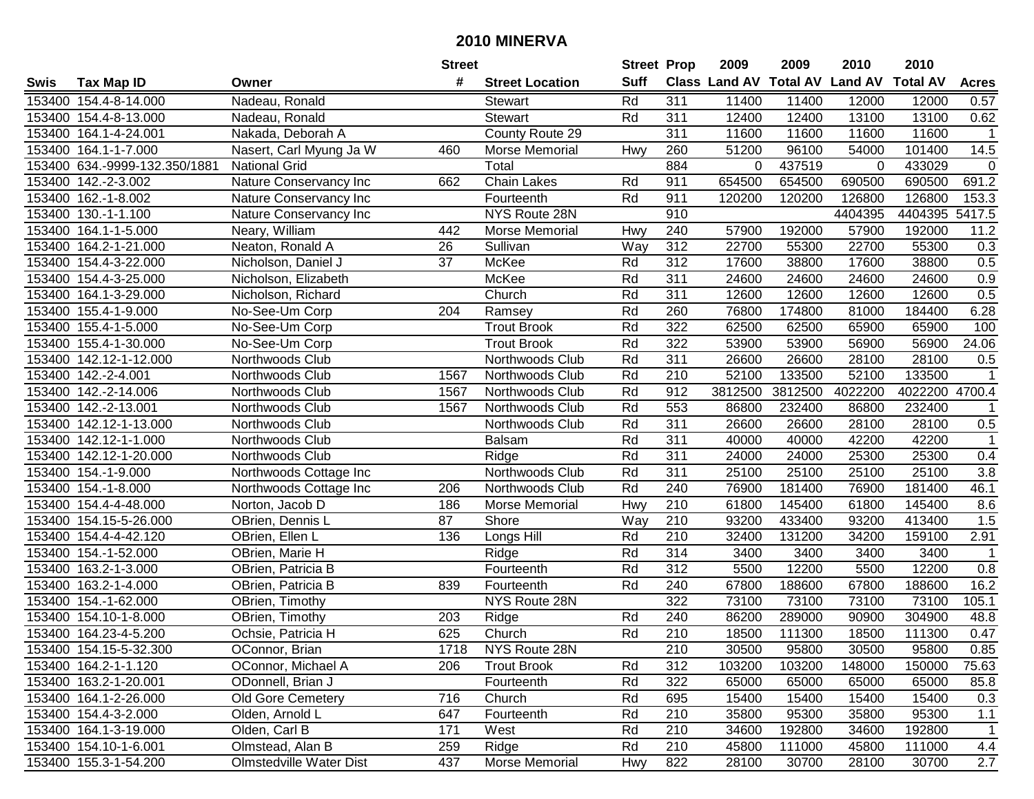|        |                               |                                | <b>Street</b> |                        | <b>Street Prop</b> |                  | 2009                          | 2009    | 2010           | 2010            |              |
|--------|-------------------------------|--------------------------------|---------------|------------------------|--------------------|------------------|-------------------------------|---------|----------------|-----------------|--------------|
| Swis   | <b>Tax Map ID</b>             | Owner                          | #             | <b>Street Location</b> | <b>Suff</b>        |                  | <b>Class Land AV Total AV</b> |         | <b>Land AV</b> | <b>Total AV</b> | <b>Acres</b> |
|        | 153400 154.4-8-14.000         | Nadeau, Ronald                 |               | <b>Stewart</b>         | Rd                 | 311              | 11400                         | 11400   | 12000          | 12000           | 0.57         |
|        | 153400 154.4-8-13.000         | Nadeau, Ronald                 |               | <b>Stewart</b>         | Rd                 | 311              | 12400                         | 12400   | 13100          | 13100           | 0.62         |
|        | 153400 164.1-4-24.001         | Nakada, Deborah A              |               | County Route 29        |                    | 311              | 11600                         | 11600   | 11600          | 11600           | $\mathbf{1}$ |
|        | 153400 164.1-1-7.000          | Nasert, Carl Myung Ja W        | 460           | Morse Memorial         | Hwy                | 260              | 51200                         | 96100   | 54000          | 101400          | 14.5         |
|        | 153400 634.-9999-132.350/1881 | <b>National Grid</b>           |               | Total                  |                    | 884              | $\mathbf{0}$                  | 437519  | 0              | 433029          | 0            |
|        | 153400 142.-2-3.002           | Nature Conservancy Inc         | 662           | Chain Lakes            | Rd                 | 911              | 654500                        | 654500  | 690500         | 690500          | 691.2        |
|        | 153400 162.-1-8.002           | Nature Conservancy Inc         |               | Fourteenth             | Rd                 | 911              | 120200                        | 120200  | 126800         | 126800          | 153.3        |
| 153400 | 130.-1-1.100                  | Nature Conservancy Inc         |               | NYS Route 28N          |                    | 910              |                               |         | 4404395        | 4404395         | 5417.5       |
|        | 153400 164.1-1-5.000          | Neary, William                 | 442           | Morse Memorial         | Hwy                | 240              | 57900                         | 192000  | 57900          | 192000          | 11.2         |
|        | 153400 164.2-1-21.000         | Neaton, Ronald A               | 26            | Sullivan               | Way                | 312              | 22700                         | 55300   | 22700          | 55300           | 0.3          |
|        | 153400 154.4-3-22.000         | Nicholson, Daniel J            | 37            | McKee                  | Rd                 | 312              | 17600                         | 38800   | 17600          | 38800           | 0.5          |
|        | 153400 154.4-3-25.000         | Nicholson, Elizabeth           |               | McKee                  | Rd                 | 311              | 24600                         | 24600   | 24600          | 24600           | 0.9          |
|        | 153400 164.1-3-29.000         | Nicholson, Richard             |               | Church                 | Rd                 | 311              | 12600                         | 12600   | 12600          | 12600           | 0.5          |
| 153400 | 155.4-1-9.000                 | No-See-Um Corp                 | 204           | Ramsey                 | Rd                 | 260              | 76800                         | 174800  | 81000          | 184400          | 6.28         |
| 153400 | 155.4-1-5.000                 | No-See-Um Corp                 |               | <b>Trout Brook</b>     | Rd                 | 322              | 62500                         | 62500   | 65900          | 65900           | 100          |
|        | 153400 155.4-1-30.000         | No-See-Um Corp                 |               | <b>Trout Brook</b>     | Rd                 | 322              | 53900                         | 53900   | 56900          | 56900           | 24.06        |
| 153400 | 142.12-1-12.000               | Northwoods Club                |               | Northwoods Club        | Rd                 | 311              | 26600                         | 26600   | 28100          | 28100           | 0.5          |
| 153400 | 142.-2-4.001                  | Northwoods Club                | 1567          | Northwoods Club        | Rd                 | 210              | 52100                         | 133500  | 52100          | 133500          | $\mathbf 1$  |
|        | 153400 142.-2-14.006          | Northwoods Club                | 1567          | Northwoods Club        | Rd                 | 912              | 3812500                       | 3812500 | 4022200        | 4022200 4700.4  |              |
|        | 153400 142.-2-13.001          | Northwoods Club                | 1567          | Northwoods Club        | Rd                 | 553              | 86800                         | 232400  | 86800          | 232400          | 1            |
|        | 153400 142.12-1-13.000        | Northwoods Club                |               | Northwoods Club        | Rd                 | 311              | 26600                         | 26600   | 28100          | 28100           | 0.5          |
|        | 153400 142.12-1-1.000         | Northwoods Club                |               | <b>Balsam</b>          | Rd                 | 311              | 40000                         | 40000   | 42200          | 42200           | $\mathbf{1}$ |
| 153400 | 142.12-1-20.000               | Northwoods Club                |               | Ridge                  | Rd                 | 311              | 24000                         | 24000   | 25300          | 25300           | 0.4          |
| 153400 | 154.-1-9.000                  | Northwoods Cottage Inc         |               | Northwoods Club        | Rd                 | 311              | 25100                         | 25100   | 25100          | 25100           | 3.8          |
| 153400 | 154.-1-8.000                  | Northwoods Cottage Inc         | 206           | Northwoods Club        | Rd                 | 240              | 76900                         | 181400  | 76900          | 181400          | 46.1         |
| 153400 | 154.4-4-48.000                | Norton, Jacob D                | 186           | Morse Memorial         | Hwy                | 210              | 61800                         | 145400  | 61800          | 145400          | 8.6          |
|        | 153400 154.15-5-26.000        | OBrien, Dennis L               | 87            | Shore                  | Way                | 210              | 93200                         | 433400  | 93200          | 413400          | 1.5          |
|        | 153400 154.4-4-42.120         | OBrien, Ellen L                | 136           | Longs Hill             | Rd                 | 210              | 32400                         | 131200  | 34200          | 159100          | 2.91         |
|        | 153400 154.-1-52.000          | OBrien, Marie H                |               | Ridge                  | Rd                 | 314              | 3400                          | 3400    | 3400           | 3400            |              |
|        | 153400 163.2-1-3.000          | OBrien, Patricia B             |               | Fourteenth             | Rd                 | $\overline{312}$ | 5500                          | 12200   | 5500           | 12200           | 0.8          |
|        | 153400 163.2-1-4.000          | OBrien, Patricia B             | 839           | Fourteenth             | Rd                 | 240              | 67800                         | 188600  | 67800          | 188600          | 16.2         |
|        | 153400 154.-1-62.000          | OBrien, Timothy                |               | NYS Route 28N          |                    | 322              | 73100                         | 73100   | 73100          | 73100           | 105.1        |
|        | 153400 154.10-1-8.000         | OBrien, Timothy                | 203           | Ridge                  | Rd                 | 240              | 86200                         | 289000  | 90900          | 304900          | 48.8         |
|        | 153400 164.23-4-5.200         | Ochsie, Patricia H             | 625           | Church                 | Rd                 | $\overline{210}$ | 18500                         | 111300  | 18500          | 111300          | 0.47         |
|        | 153400 154.15-5-32.300        | OConnor, Brian                 | 1718          | NYS Route 28N          |                    | 210              | 30500                         | 95800   | 30500          | 95800           | 0.85         |
|        | 153400 164.2-1-1.120          | OConnor, Michael A             | 206           | <b>Trout Brook</b>     | Rd                 | 312              | 103200                        | 103200  | 148000         | 150000          | 75.63        |
|        | 153400 163.2-1-20.001         | ODonnell, Brian J              |               | Fourteenth             | Rd                 | 322              | 65000                         | 65000   | 65000          | 65000           | 85.8         |
|        | 153400 164.1-2-26.000         | <b>Old Gore Cemetery</b>       | 716           | Church                 | Rd                 | 695              | 15400                         | 15400   | 15400          | 15400           | 0.3          |
|        | 153400 154.4-3-2.000          | Olden, Arnold L                | 647           | Fourteenth             | Rd                 | 210              | 35800                         | 95300   | 35800          | 95300           | 1.1          |
|        | 153400 164.1-3-19.000         | Olden, Carl B                  | 171           | West                   | Rd                 | 210              | 34600                         | 192800  | 34600          | 192800          | $\mathbf{1}$ |
|        | 153400 154.10-1-6.001         | Olmstead, Alan B               | 259           | Ridge                  | Rd                 | 210              | 45800                         | 111000  | 45800          | 111000          | 4.4          |
|        | 153400 155.3-1-54.200         | <b>Olmstedville Water Dist</b> | 437           | Morse Memorial         | <b>Hwy</b>         | 822              | 28100                         | 30700   | 28100          | 30700           | 2.7          |
|        |                               |                                |               |                        |                    |                  |                               |         |                |                 |              |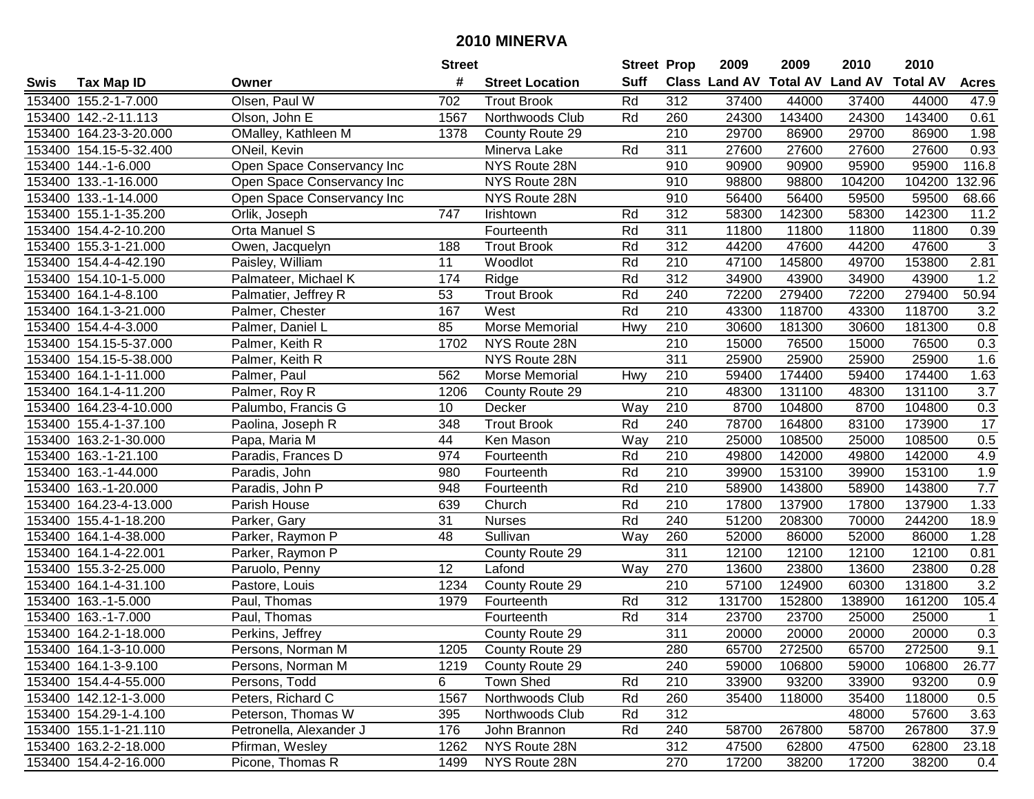|        |                        |                            | <b>Street</b>    |                        | <b>Street Prop</b> |                  | 2009   | 2009   | 2010                           | 2010            |                  |
|--------|------------------------|----------------------------|------------------|------------------------|--------------------|------------------|--------|--------|--------------------------------|-----------------|------------------|
| Swis   | <b>Tax Map ID</b>      | Owner                      | #                | <b>Street Location</b> | <b>Suff</b>        |                  |        |        | Class Land AV Total AV Land AV | <b>Total AV</b> | <b>Acres</b>     |
|        | 153400 155.2-1-7.000   | Olsen, Paul W              | 702              | <b>Trout Brook</b>     | Rd                 | 312              | 37400  | 44000  | 37400                          | 44000           | 47.9             |
|        | 153400 142.-2-11.113   | Olson, John E              | 1567             | Northwoods Club        | Rd                 | 260              | 24300  | 143400 | 24300                          | 143400          | 0.61             |
|        | 153400 164.23-3-20.000 | OMalley, Kathleen M        | 1378             | County Route 29        |                    | 210              | 29700  | 86900  | 29700                          | 86900           | 1.98             |
|        | 153400 154.15-5-32.400 | ONeil, Kevin               |                  | Minerva Lake           | Rd                 | 311              | 27600  | 27600  | 27600                          | 27600           | 0.93             |
|        | 153400 144.-1-6.000    | Open Space Conservancy Inc |                  | NYS Route 28N          |                    | 910              | 90900  | 90900  | 95900                          | 95900           | 116.8            |
|        | 153400 133.-1-16.000   | Open Space Conservancy Inc |                  | NYS Route 28N          |                    | 910              | 98800  | 98800  | 104200                         | 104200          | 132.96           |
| 153400 | 133.-1-14.000          | Open Space Conservancy Inc |                  | NYS Route 28N          |                    | 910              | 56400  | 56400  | 59500                          | 59500           | 68.66            |
| 153400 | 155.1-1-35.200         | Orlik, Joseph              | $\overline{747}$ | Irishtown              | Rd                 | 312              | 58300  | 142300 | 58300                          | 142300          | 11.2             |
|        | 153400 154.4-2-10.200  | Orta Manuel S              |                  | Fourteenth             | Rd                 | 311              | 11800  | 11800  | 11800                          | 11800           | 0.39             |
|        | 153400 155.3-1-21.000  | Owen, Jacquelyn            | 188              | <b>Trout Brook</b>     | Rd                 | 312              | 44200  | 47600  | 44200                          | 47600           | $\sqrt{3}$       |
|        | 153400 154.4-4-42.190  | Paisley, William           | 11               | Woodlot                | Rd                 | 210              | 47100  | 145800 | 49700                          | 153800          | 2.81             |
|        | 153400 154.10-1-5.000  | Palmateer, Michael K       | 174              | Ridge                  | Rd                 | 312              | 34900  | 43900  | 34900                          | 43900           | 1.2              |
|        | 153400 164.1-4-8.100   | Palmatier, Jeffrey R       | 53               | <b>Trout Brook</b>     | Rd                 | 240              | 72200  | 279400 | 72200                          | 279400          | 50.94            |
|        | 153400 164.1-3-21.000  | Palmer, Chester            | 167              | West                   | Rd                 | 210              | 43300  | 118700 | 43300                          | 118700          | 3.2              |
|        | 153400 154.4-4-3.000   | Palmer, Daniel L           | 85               | Morse Memorial         | Hwy                | 210              | 30600  | 181300 | 30600                          | 181300          | 0.8              |
|        | 153400 154.15-5-37.000 | Palmer, Keith R            | 1702             | NYS Route 28N          |                    | 210              | 15000  | 76500  | 15000                          | 76500           | 0.3              |
|        | 153400 154.15-5-38.000 | Palmer, Keith R            |                  | NYS Route 28N          |                    | 311              | 25900  | 25900  | 25900                          | 25900           | 1.6              |
| 153400 | 164.1-1-11.000         | Palmer, Paul               | 562              | Morse Memorial         | Hwy                | 210              | 59400  | 174400 | 59400                          | 174400          | 1.63             |
|        | 153400 164.1-4-11.200  | Palmer, Roy R              | 1206             | County Route 29        |                    | 210              | 48300  | 131100 | 48300                          | 131100          | 3.7              |
|        | 153400 164.23-4-10.000 | Palumbo, Francis G         | 10               | Decker                 | Way                | 210              | 8700   | 104800 | 8700                           | 104800          | $0.3\,$          |
|        | 153400 155.4-1-37.100  | Paolina, Joseph R          | 348              | <b>Trout Brook</b>     | Rd                 | 240              | 78700  | 164800 | 83100                          | 173900          | 17               |
| 153400 | 163.2-1-30.000         | Papa, Maria M              | 44               | Ken Mason              | Way                | 210              | 25000  | 108500 | 25000                          | 108500          | $0.5\,$          |
| 153400 | 163.-1-21.100          | Paradis, Frances D         | 974              | Fourteenth             | Rd                 | 210              | 49800  | 142000 | 49800                          | 142000          | 4.9              |
| 153400 | 163.-1-44.000          | Paradis, John              | 980              | Fourteenth             | Rd                 | 210              | 39900  | 153100 | 39900                          | 153100          | 1.9              |
| 153400 | 163.-1-20.000          | Paradis, John P            | 948              | Fourteenth             | Rd                 | 210              | 58900  | 143800 | 58900                          | 143800          | 7.7              |
| 153400 | 164.23-4-13.000        | Parish House               | 639              | Church                 | Rd                 | 210              | 17800  | 137900 | 17800                          | 137900          | 1.33             |
| 153400 | 155.4-1-18.200         | Parker, Gary               | 31               | <b>Nurses</b>          | Rd                 | 240              | 51200  | 208300 | 70000                          | 244200          | 18.9             |
|        | 153400 164.1-4-38.000  | Parker, Raymon P           | 48               | Sullivan               | Way                | 260              | 52000  | 86000  | 52000                          | 86000           | 1.28             |
|        | 153400 164.1-4-22.001  | Parker, Raymon P           |                  | County Route 29        |                    | 311              | 12100  | 12100  | 12100                          | 12100           | 0.81             |
|        | 153400 155.3-2-25.000  | Paruolo, Penny             | $\overline{12}$  | Lafond                 | Way                | 270              | 13600  | 23800  | 13600                          | 23800           | 0.28             |
|        | 153400 164.1-4-31.100  | Pastore, Louis             | 1234             | County Route 29        |                    | $\overline{210}$ | 57100  | 124900 | 60300                          | 131800          | $\overline{3.2}$ |
|        | 153400 163.-1-5.000    | Paul, Thomas               | 1979             | Fourteenth             | Rd                 | 312              | 131700 | 152800 | 138900                         | 161200          | 105.4            |
|        | 153400 163.-1-7.000    | Paul, Thomas               |                  | Fourteenth             | Rd                 | $\overline{314}$ | 23700  | 23700  | 25000                          | 25000           | $\mathbf 1$      |
|        | 153400 164.2-1-18.000  | Perkins, Jeffrey           |                  | County Route 29        |                    | 311              | 20000  | 20000  | 20000                          | 20000           | 0.3              |
|        | 153400 164.1-3-10.000  | Persons, Norman M          | 1205             | County Route 29        |                    | 280              | 65700  | 272500 | 65700                          | 272500          | 9.1              |
|        | 153400 164.1-3-9.100   | Persons, Norman M          | 1219             | County Route 29        |                    | 240              | 59000  | 106800 | 59000                          | 106800          | 26.77            |
|        | 153400 154.4-4-55.000  | Persons, Todd              | 6                | Town Shed              | Rd                 | 210              | 33900  | 93200  | 33900                          | 93200           | 0.9              |
|        | 153400 142.12-1-3.000  | Peters, Richard C          | 1567             | Northwoods Club        | Rd                 | 260              | 35400  | 118000 | 35400                          | 118000          | 0.5              |
|        | 153400 154.29-1-4.100  | Peterson, Thomas W         | 395              | Northwoods Club        | Rd                 | 312              |        |        | 48000                          | 57600           | 3.63             |
|        | 153400 155.1-1-21.110  | Petronella, Alexander J    | 176              | John Brannon           | Rd                 | 240              | 58700  | 267800 | 58700                          | 267800          | 37.9             |
|        | 153400 163.2-2-18.000  | Pfirman, Wesley            | 1262             | NYS Route 28N          |                    | 312              | 47500  | 62800  | 47500                          | 62800           | 23.18            |
|        | 153400 154.4-2-16.000  | Picone, Thomas R           | 1499             | NYS Route 28N          |                    | 270              | 17200  | 38200  | 17200                          | 38200           | 0.4              |
|        |                        |                            |                  |                        |                    |                  |        |        |                                |                 |                  |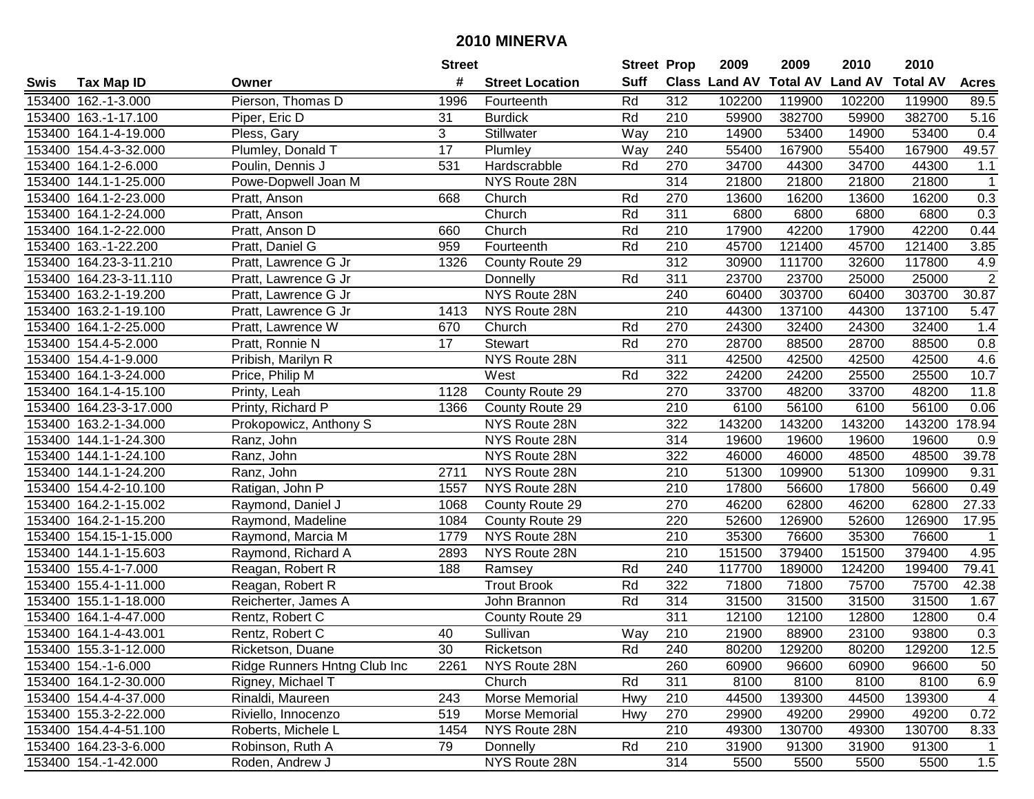|        |                        |                              | <b>Street</b>   |                        | <b>Street Prop</b> |                  | 2009                          | 2009   | 2010           | 2010            |                |
|--------|------------------------|------------------------------|-----------------|------------------------|--------------------|------------------|-------------------------------|--------|----------------|-----------------|----------------|
| Swis   | <b>Tax Map ID</b>      | Owner                        | #               | <b>Street Location</b> | <b>Suff</b>        |                  | <b>Class Land AV Total AV</b> |        | <b>Land AV</b> | <b>Total AV</b> | <b>Acres</b>   |
|        | 153400 162.-1-3.000    | Pierson, Thomas D            | 1996            | Fourteenth             | Rd                 | 312              | 102200                        | 119900 | 102200         | 119900          | 89.5           |
|        | 153400 163.-1-17.100   | Piper, Eric D                | 31              | <b>Burdick</b>         | Rd                 | 210              | 59900                         | 382700 | 59900          | 382700          | 5.16           |
|        | 153400 164.1-4-19.000  | Pless, Gary                  | 3               | Stillwater             | Way                | 210              | 14900                         | 53400  | 14900          | 53400           | 0.4            |
|        | 153400 154.4-3-32.000  | Plumley, Donald T            | $\overline{17}$ | Plumley                | Way                | 240              | 55400                         | 167900 | 55400          | 167900          | 49.57          |
|        | 153400 164.1-2-6.000   | Poulin, Dennis J             | 531             | Hardscrabble           | Rd                 | 270              | 34700                         | 44300  | 34700          | 44300           | 1.1            |
|        | 153400 144.1-1-25.000  | Powe-Dopwell Joan M          |                 | NYS Route 28N          |                    | 314              | 21800                         | 21800  | 21800          | 21800           | $\mathbf{1}$   |
|        | 153400 164.1-2-23.000  | Pratt, Anson                 | 668             | Church                 | Rd                 | 270              | 13600                         | 16200  | 13600          | 16200           | 0.3            |
|        | 153400 164.1-2-24.000  | Pratt, Anson                 |                 | Church                 | Rd                 | 311              | 6800                          | 6800   | 6800           | 6800            | 0.3            |
|        | 153400 164.1-2-22.000  | Pratt, Anson D               | 660             | Church                 | Rd                 | $\overline{210}$ | 17900                         | 42200  | 17900          | 42200           | 0.44           |
|        | 153400 163.-1-22.200   | Pratt, Daniel G              | 959             | Fourteenth             | Rd                 | 210              | 45700                         | 121400 | 45700          | 121400          | 3.85           |
|        | 153400 164.23-3-11.210 | Pratt, Lawrence G Jr         | 1326            | County Route 29        |                    | $\overline{312}$ | 30900                         | 111700 | 32600          | 117800          | 4.9            |
|        | 153400 164.23-3-11.110 | Pratt, Lawrence G Jr         |                 | Donnelly               | Rd                 | 311              | 23700                         | 23700  | 25000          | 25000           | $\overline{2}$ |
|        | 153400 163.2-1-19.200  | Pratt, Lawrence G Jr         |                 | NYS Route 28N          |                    | 240              | 60400                         | 303700 | 60400          | 303700          | 30.87          |
| 153400 | 163.2-1-19.100         | Pratt, Lawrence G Jr         | 1413            | NYS Route 28N          |                    | 210              | 44300                         | 137100 | 44300          | 137100          | 5.47           |
|        | 153400 164.1-2-25.000  | Pratt, Lawrence W            | 670             | Church                 | Rd                 | 270              | 24300                         | 32400  | 24300          | 32400           | 1.4            |
|        | 153400 154.4-5-2.000   | Pratt, Ronnie N              | 17              | Stewart                | Rd                 | 270              | 28700                         | 88500  | 28700          | 88500           | 0.8            |
|        | 153400 154.4-1-9.000   | Pribish, Marilyn R           |                 | NYS Route 28N          |                    | $\overline{311}$ | 42500                         | 42500  | 42500          | 42500           | 4.6            |
| 153400 | 164.1-3-24.000         | Price, Philip M              |                 | West                   | Rd                 | 322              | 24200                         | 24200  | 25500          | 25500           | 10.7           |
|        | 153400 164.1-4-15.100  | Printy, Leah                 | 1128            | County Route 29        |                    | 270              | 33700                         | 48200  | 33700          | 48200           | 11.8           |
|        | 153400 164.23-3-17.000 | Printy, Richard P            | 1366            | County Route 29        |                    | 210              | 6100                          | 56100  | 6100           | 56100           | 0.06           |
|        | 153400 163.2-1-34.000  | Prokopowicz, Anthony S       |                 | NYS Route 28N          |                    | 322              | 143200                        | 143200 | 143200         | 143200          | 178.94         |
| 153400 | 144.1-1-24.300         | Ranz, John                   |                 | NYS Route 28N          |                    | 314              | 19600                         | 19600  | 19600          | 19600           | 0.9            |
| 153400 | 144.1-1-24.100         | Ranz, John                   |                 | NYS Route 28N          |                    | 322              | 46000                         | 46000  | 48500          | 48500           | 39.78          |
| 153400 | 144.1-1-24.200         | Ranz, John                   | 2711            | NYS Route 28N          |                    | 210              | 51300                         | 109900 | 51300          | 109900          | 9.31           |
| 153400 | 154.4-2-10.100         | Ratigan, John P              | 1557            | NYS Route 28N          |                    | 210              | 17800                         | 56600  | 17800          | 56600           | 0.49           |
|        | 153400 164.2-1-15.002  | Raymond, Daniel J            | 1068            | County Route 29        |                    | 270              | 46200                         | 62800  | 46200          | 62800           | 27.33          |
|        | 153400 164.2-1-15.200  | Raymond, Madeline            | 1084            | County Route 29        |                    | 220              | 52600                         | 126900 | 52600          | 126900          | 17.95          |
|        | 153400 154.15-1-15.000 | Raymond, Marcia M            | 1779            | NYS Route 28N          |                    | 210              | 35300                         | 76600  | 35300          | 76600           |                |
|        | 153400 144.1-1-15.603  | Raymond, Richard A           | 2893            | NYS Route 28N          |                    | $\overline{210}$ | 151500                        | 379400 | 151500         | 379400          | 4.95           |
|        | 153400 155.4-1-7.000   | Reagan, Robert R             | 188             | Ramsey                 | Rd                 | 240              | 117700                        | 189000 | 124200         | 199400          | 79.41          |
|        | 153400 155.4-1-11.000  | Reagan, Robert R             |                 | <b>Trout Brook</b>     | Rd                 | 322              | 71800                         | 71800  | 75700          | 75700           | 42.38          |
|        | 153400 155.1-1-18.000  | Reicherter, James A          |                 | John Brannon           | Rd                 | 314              | 31500                         | 31500  | 31500          | 31500           | 1.67           |
|        | 153400 164.1-4-47.000  | Rentz, Robert C              |                 | County Route 29        |                    | 311              | 12100                         | 12100  | 12800          | 12800           | 0.4            |
|        | 153400 164.1-4-43.001  | Rentz, Robert C              | 40              | Sullivan               | <b>Way</b>         | 210              | 21900                         | 88900  | 23100          | 93800           | 0.3            |
|        | 153400 155.3-1-12.000  | Ricketson, Duane             | 30              | Ricketson              | Rd                 | 240              | 80200                         | 129200 | 80200          | 129200          | 12.5           |
|        | 153400 154.-1-6.000    | Ridge Runners Hntng Club Inc | 2261            | NYS Route 28N          |                    | 260              | 60900                         | 96600  | 60900          | 96600           | 50             |
|        | 153400 164.1-2-30.000  | Rigney, Michael T            |                 | Church                 | Rd                 | 311              | 8100                          | 8100   | 8100           | 8100            | 6.9            |
|        | 153400 154.4-4-37.000  | Rinaldi, Maureen             | 243             | Morse Memorial         | Hwy                | 210              | 44500                         | 139300 | 44500          | 139300          | $\overline{4}$ |
|        | 153400 155.3-2-22.000  | Riviello, Innocenzo          | 519             | Morse Memorial         | Hwy                | 270              | 29900                         | 49200  | 29900          | 49200           | 0.72           |
|        | 153400 154.4-4-51.100  | Roberts, Michele L           | 1454            | NYS Route 28N          |                    | 210              | 49300                         | 130700 | 49300          | 130700          | 8.33           |
|        | 153400 164.23-3-6.000  | Robinson, Ruth A             | 79              | Donnelly               | Rd                 | 210              | 31900                         | 91300  | 31900          | 91300           |                |
|        | 153400 154.-1-42.000   | Roden, Andrew J              |                 | NYS Route 28N          |                    | 314              | 5500                          | 5500   | 5500           | 5500            | 1.5            |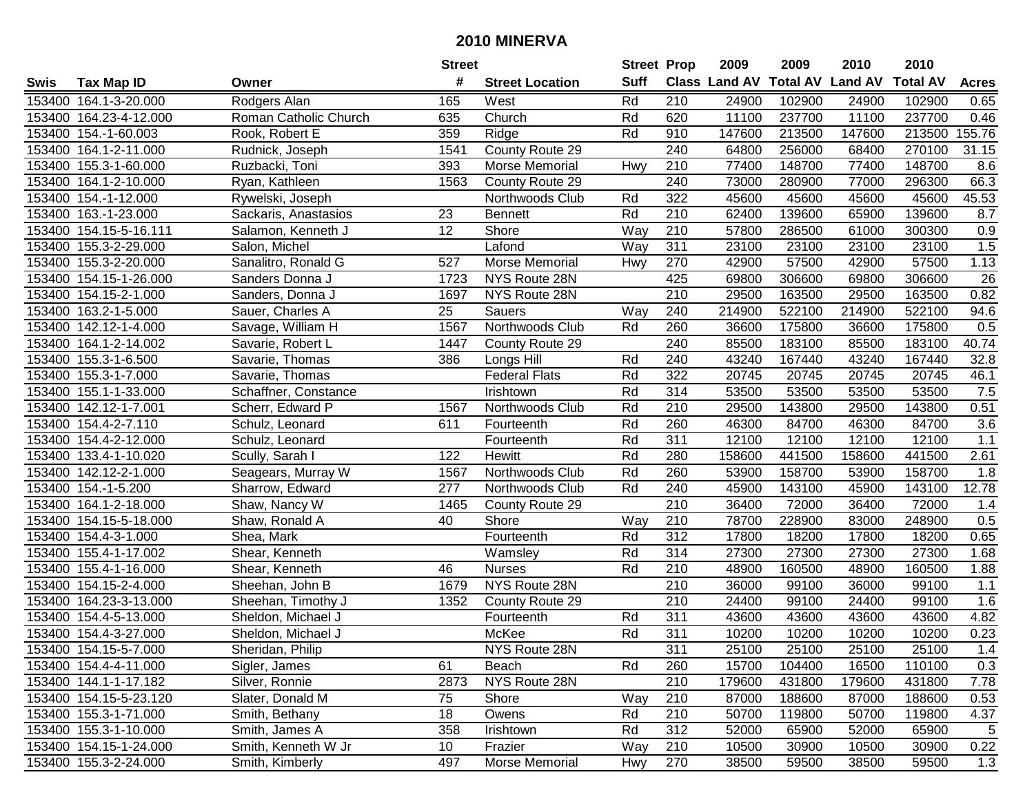|        |                        |                       | <b>Street</b>   |                        | <b>Street Prop</b> |                  | 2009                 | 2009            | 2010           | 2010            |              |
|--------|------------------------|-----------------------|-----------------|------------------------|--------------------|------------------|----------------------|-----------------|----------------|-----------------|--------------|
| Swis   | <b>Tax Map ID</b>      | Owner                 | #               | <b>Street Location</b> | <b>Suff</b>        |                  | <b>Class Land AV</b> | <b>Total AV</b> | <b>Land AV</b> | <b>Total AV</b> | <b>Acres</b> |
|        | 153400 164.1-3-20.000  | Rodgers Alan          | 165             | West                   | Rd                 | 210              | 24900                | 102900          | 24900          | 102900          | 0.65         |
|        | 153400 164.23-4-12.000 | Roman Catholic Church | 635             | Church                 | Rd                 | 620              | 11100                | 237700          | 11100          | 237700          | 0.46         |
|        | 153400 154.-1-60.003   | Rook, Robert E        | 359             | Ridge                  | Rd                 | 910              | 147600               | 213500          | 147600         | 213500          | 155.76       |
|        | 153400 164.1-2-11.000  | Rudnick, Joseph       | 1541            | County Route 29        |                    | 240              | 64800                | 256000          | 68400          | 270100          | 31.15        |
|        | 153400 155.3-1-60.000  | Ruzbacki, Toni        | 393             | Morse Memorial         | Hwy                | 210              | 77400                | 148700          | 77400          | 148700          | 8.6          |
|        | 153400 164.1-2-10.000  | Ryan, Kathleen        | 1563            | County Route 29        |                    | 240              | 73000                | 280900          | 77000          | 296300          | 66.3         |
|        | 153400 154.-1-12.000   | Rywelski, Joseph      |                 | Northwoods Club        | Rd                 | 322              | 45600                | 45600           | 45600          | 45600           | 45.53        |
|        | 153400 163.-1-23.000   | Sackaris, Anastasios  | $\overline{23}$ | <b>Bennett</b>         | Rd                 | 210              | 62400                | 139600          | 65900          | 139600          | 8.7          |
|        | 153400 154.15-5-16.111 | Salamon, Kenneth J    | $\overline{12}$ | Shore                  | Way                | $\overline{210}$ | 57800                | 286500          | 61000          | 300300          | 0.9          |
|        | 153400 155.3-2-29.000  | Salon, Michel         |                 | Lafond                 | Way                | 311              | 23100                | 23100           | 23100          | 23100           | 1.5          |
|        | 153400 155.3-2-20.000  | Sanalitro, Ronald G   | 527             | Morse Memorial         | Hwy                | 270              | 42900                | 57500           | 42900          | 57500           | 1.13         |
|        | 153400 154.15-1-26.000 | Sanders Donna J       | 1723            | NYS Route 28N          |                    | 425              | 69800                | 306600          | 69800          | 306600          | 26           |
|        | 153400 154.15-2-1.000  | Sanders, Donna J      | 1697            | NYS Route 28N          |                    | $\overline{210}$ | 29500                | 163500          | 29500          | 163500          | 0.82         |
|        | 153400 163.2-1-5.000   | Sauer, Charles A      | 25              | Sauers                 | Way                | 240              | 214900               | 522100          | 214900         | 522100          | 94.6         |
| 153400 | 142.12-1-4.000         | Savage, William H     | 1567            | Northwoods Club        | Rd                 | 260              | 36600                | 175800          | 36600          | 175800          | 0.5          |
|        | 153400 164.1-2-14.002  | Savarie, Robert L     | 1447            | County Route 29        |                    | 240              | 85500                | 183100          | 85500          | 183100          | 40.74        |
|        | 153400 155.3-1-6.500   | Savarie, Thomas       | 386             | Longs Hill             | Rd                 | 240              | 43240                | 167440          | 43240          | 167440          | 32.8         |
|        | 153400 155.3-1-7.000   | Savarie, Thomas       |                 | <b>Federal Flats</b>   | Rd                 | 322              | 20745                | 20745           | 20745          | 20745           | 46.1         |
|        | 153400 155.1-1-33.000  | Schaffner, Constance  |                 | Irishtown              | Rd                 | 314              | 53500                | 53500           | 53500          | 53500           | 7.5          |
|        | 153400 142.12-1-7.001  | Scherr, Edward P      | 1567            | Northwoods Club        | Rd                 | 210              | 29500                | 143800          | 29500          | 143800          | 0.51         |
|        | 153400 154.4-2-7.110   | Schulz, Leonard       | 611             | Fourteenth             | Rd                 | 260              | 46300                | 84700           | 46300          | 84700           | 3.6          |
|        | 153400 154.4-2-12.000  | Schulz, Leonard       |                 | Fourteenth             | Rd                 | 311              | 12100                | 12100           | 12100          | 12100           | $1.1$        |
| 153400 | 133.4-1-10.020         | Scully, Sarah I       | 122             | <b>Hewitt</b>          | Rd                 | 280              | 158600               | 441500          | 158600         | 441500          | 2.61         |
| 153400 | 142.12-2-1.000         | Seagears, Murray W    | 1567            | Northwoods Club        | Rd                 | 260              | 53900                | 158700          | 53900          | 158700          | 1.8          |
|        | 153400 154.-1-5.200    | Sharrow, Edward       | 277             | Northwoods Club        | Rd                 | 240              | 45900                | 143100          | 45900          | 143100          | 12.78        |
|        | 153400 164.1-2-18.000  | Shaw, Nancy W         | 1465            | County Route 29        |                    | 210              | 36400                | 72000           | 36400          | 72000           | 1.4          |
|        | 153400 154.15-5-18.000 | Shaw, Ronald A        | 40              | Shore                  | Way                | 210              | 78700                | 228900          | 83000          | 248900          | 0.5          |
|        | 153400 154.4-3-1.000   | Shea, Mark            |                 | Fourteenth             | Rd                 | 312              | 17800                | 18200           | 17800          | 18200           | 0.65         |
|        | 153400 155.4-1-17.002  | Shear, Kenneth        |                 | Wamsley                | Rd                 | 314              | 27300                | 27300           | 27300          | 27300           | 1.68         |
|        | 153400 155.4-1-16.000  | Shear, Kenneth        | 46              | <b>Nurses</b>          | Rd                 | $\overline{210}$ | 48900                | 160500          | 48900          | 160500          | 1.88         |
|        | 153400 154.15-2-4.000  | Sheehan, John B       | 1679            | NYS Route 28N          |                    | $\overline{210}$ | 36000                | 99100           | 36000          | 99100           | 1.1          |
|        | 153400 164.23-3-13.000 | Sheehan, Timothy J    | 1352            | County Route 29        |                    | 210              | 24400                | 99100           | 24400          | 99100           | 1.6          |
|        | 153400 154.4-5-13.000  | Sheldon, Michael J    |                 | Fourteenth             | Rd                 | 311              | 43600                | 43600           | 43600          | 43600           | 4.82         |
|        | 153400 154.4-3-27.000  | Sheldon, Michael J    |                 | McKee                  | Rd                 | 311              | 10200                | 10200           | 10200          | 10200           | 0.23         |
|        | 153400 154.15-5-7.000  | Sheridan, Philip      |                 | NYS Route 28N          |                    | 311              | 25100                | 25100           | 25100          | 25100           | 1.4          |
|        | 153400 154.4-4-11.000  | Sigler, James         | 61              | Beach                  | Rd                 | 260              | 15700                | 104400          | 16500          | 110100          | 0.3          |
|        | 153400 144.1-1-17.182  | Silver, Ronnie        | 2873            | NYS Route 28N          |                    | 210              | 179600               | 431800          | 179600         | 431800          | 7.78         |
|        | 153400 154.15-5-23.120 | Slater, Donald M      | 75              | Shore                  | Way                | 210              | 87000                | 188600          | 87000          | 188600          | 0.53         |
|        | 153400 155.3-1-71.000  | Smith, Bethany        | 18              | Owens                  | Rd                 | 210              | 50700                | 119800          | 50700          | 119800          | 4.37         |
|        | 153400 155.3-1-10.000  | Smith, James A        | 358             | Irishtown              | Rd                 | 312              | 52000                | 65900           | 52000          | 65900           | 5            |
|        | 153400 154.15-1-24.000 | Smith, Kenneth W Jr   | 10              | Frazier                | Way                | 210              | 10500                | 30900           | 10500          | 30900           | 0.22         |
|        | 153400 155.3-2-24.000  | Smith, Kimberly       | 497             | Morse Memorial         | Hwy                | 270              | 38500                | 59500           | 38500          | 59500           | 1.3          |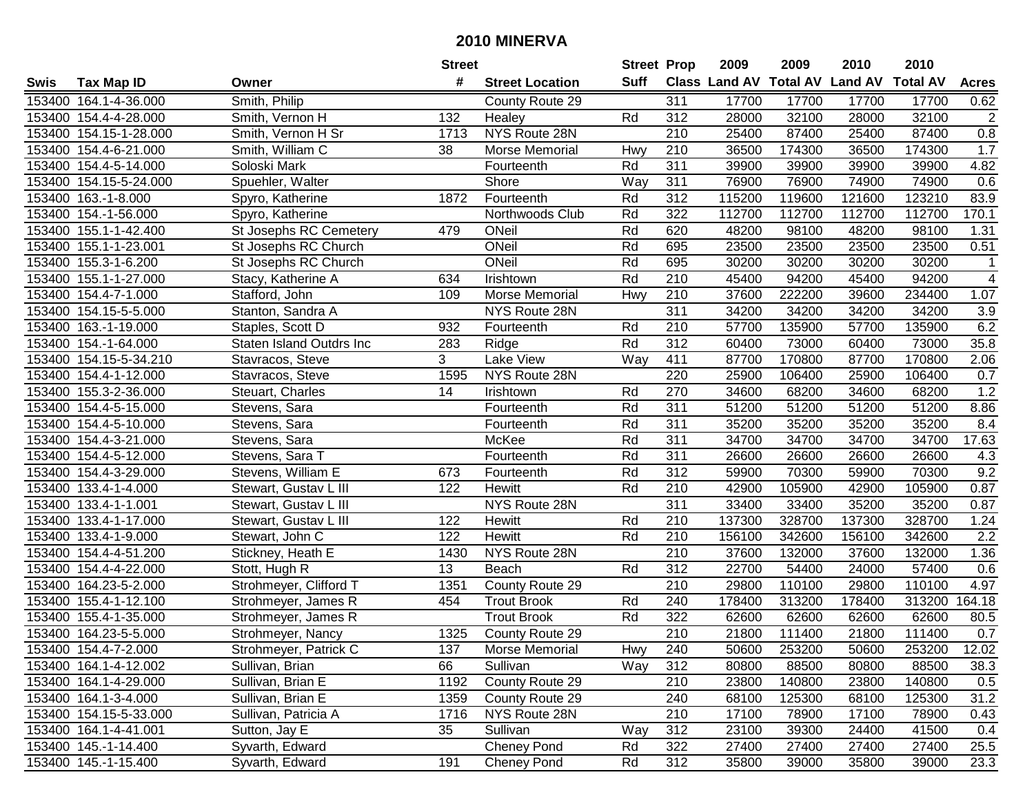|        |                        |                               | <b>Street</b> |                        | <b>Street Prop</b> |                  | 2009                          | 2009   | 2010           | 2010            |                |
|--------|------------------------|-------------------------------|---------------|------------------------|--------------------|------------------|-------------------------------|--------|----------------|-----------------|----------------|
| Swis   | <b>Tax Map ID</b>      | Owner                         | #             | <b>Street Location</b> | <b>Suff</b>        |                  | <b>Class Land AV Total AV</b> |        | <b>Land AV</b> | <b>Total AV</b> | <b>Acres</b>   |
|        | 153400 164.1-4-36.000  | Smith, Philip                 |               | County Route 29        |                    | 311              | 17700                         | 17700  | 17700          | 17700           | 0.62           |
|        | 153400 154.4-4-28.000  | Smith, Vernon H               | 132           | Healey                 | Rd                 | 312              | 28000                         | 32100  | 28000          | 32100           | $\sqrt{2}$     |
|        | 153400 154.15-1-28.000 | Smith, Vernon H Sr            | 1713          | NYS Route 28N          |                    | 210              | 25400                         | 87400  | 25400          | 87400           | $0.8\,$        |
|        | 153400 154.4-6-21.000  | Smith, William C              | 38            | Morse Memorial         | Hwy                | 210              | 36500                         | 174300 | 36500          | 174300          | 1.7            |
|        | 153400 154.4-5-14.000  | Soloski Mark                  |               | Fourteenth             | Rd                 | 311              | 39900                         | 39900  | 39900          | 39900           | 4.82           |
|        | 153400 154.15-5-24.000 | Spuehler, Walter              |               | Shore                  | Way                | 311              | 76900                         | 76900  | 74900          | 74900           | 0.6            |
|        | 153400 163.-1-8.000    | Spyro, Katherine              | 1872          | Fourteenth             | Rd                 | 312              | 115200                        | 119600 | 121600         | 123210          | 83.9           |
| 153400 | 154.-1-56.000          | Spyro, Katherine              |               | Northwoods Club        | Rd                 | 322              | 112700                        | 112700 | 112700         | 112700          | 170.1          |
|        | 153400 155.1-1-42.400  | <b>St Josephs RC Cemetery</b> | 479           | ONeil                  | Rd                 | 620              | 48200                         | 98100  | 48200          | 98100           | 1.31           |
|        | 153400 155.1-1-23.001  | St Josephs RC Church          |               | ONeil                  | Rd                 | 695              | 23500                         | 23500  | 23500          | 23500           | 0.51           |
|        | 153400 155.3-1-6.200   | St Josephs RC Church          |               | ONeil                  | Rd                 | 695              | 30200                         | 30200  | 30200          | 30200           | 1              |
|        | 153400 155.1-1-27.000  | Stacy, Katherine A            | 634           | Irishtown              | Rd                 | 210              | 45400                         | 94200  | 45400          | 94200           | $\overline{4}$ |
|        | 153400 154.4-7-1.000   | Stafford, John                | 109           | Morse Memorial         | Hwy                | 210              | 37600                         | 222200 | 39600          | 234400          | 1.07           |
|        | 153400 154.15-5-5.000  | Stanton, Sandra A             |               | NYS Route 28N          |                    | 311              | 34200                         | 34200  | 34200          | 34200           | 3.9            |
|        | 153400 163.-1-19.000   | Staples, Scott D              | 932           | Fourteenth             | Rd                 | 210              | 57700                         | 135900 | 57700          | 135900          | 6.2            |
|        | 153400 154.-1-64.000   | Staten Island Outdrs Inc      | 283           | Ridge                  | Rd                 | 312              | 60400                         | 73000  | 60400          | 73000           | 35.8           |
|        | 153400 154.15-5-34.210 | Stavracos, Steve              | 3             | <b>Lake View</b>       | $\overline{W}$ ay  | 411              | 87700                         | 170800 | 87700          | 170800          | 2.06           |
| 153400 | 154.4-1-12.000         | Stavracos, Steve              | 1595          | NYS Route 28N          |                    | 220              | 25900                         | 106400 | 25900          | 106400          | 0.7            |
|        | 153400 155.3-2-36.000  | Steuart, Charles              | 14            | Irishtown              | Rd                 | 270              | 34600                         | 68200  | 34600          | 68200           | 1.2            |
|        | 153400 154.4-5-15.000  | Stevens, Sara                 |               | Fourteenth             | Rd                 | 311              | 51200                         | 51200  | 51200          | 51200           | 8.86           |
|        | 153400 154.4-5-10.000  | Stevens, Sara                 |               | Fourteenth             | Rd                 | 311              | 35200                         | 35200  | 35200          | 35200           | 8.4            |
|        | 153400 154.4-3-21.000  | Stevens, Sara                 |               | McKee                  | Rd                 | 311              | 34700                         | 34700  | 34700          | 34700           | 17.63          |
| 153400 | 154.4-5-12.000         | Stevens, Sara T               |               | Fourteenth             | Rd                 | 311              | 26600                         | 26600  | 26600          | 26600           | 4.3            |
| 153400 | 154.4-3-29.000         | Stevens, William E            | 673           | Fourteenth             | Rd                 | 312              | 59900                         | 70300  | 59900          | 70300           | 9.2            |
| 153400 | 133.4-1-4.000          | Stewart, Gustav L III         | 122           | Hewitt                 | Rd                 | 210              | 42900                         | 105900 | 42900          | 105900          | 0.87           |
| 153400 | 133.4-1-1.001          | Stewart, Gustav L III         |               | NYS Route 28N          |                    | 311              | 33400                         | 33400  | 35200          | 35200           | 0.87           |
| 153400 | 133.4-1-17.000         | Stewart, Gustav L III         | 122           | Hewitt                 | Rd                 | 210              | 137300                        | 328700 | 137300         | 328700          | 1.24           |
|        | 153400 133.4-1-9.000   | Stewart, John C               | 122           | Hewitt                 | Rd                 | 210              | 156100                        | 342600 | 156100         | 342600          | 2.2            |
|        | 153400 154.4-4-51.200  | Stickney, Heath E             | 1430          | NYS Route 28N          |                    | 210              | 37600                         | 132000 | 37600          | 132000          | 1.36           |
|        | 153400 154.4-4-22.000  | Stott, Hugh R                 | 13            | Beach                  | Rd                 | 312              | 22700                         | 54400  | 24000          | 57400           | 0.6            |
|        | 153400 164.23-5-2.000  | Strohmeyer, Clifford T        | 1351          | County Route 29        |                    | 210              | 29800                         | 110100 | 29800          | 110100          | 4.97           |
|        | 153400 155.4-1-12.100  | Strohmeyer, James R           | 454           | <b>Trout Brook</b>     | Rd                 | 240              | 178400                        | 313200 | 178400         | 313200          | 164.18         |
|        | 153400 155.4-1-35.000  | Strohmeyer, James R           |               | <b>Trout Brook</b>     | Rd                 | 322              | 62600                         | 62600  | 62600          | 62600           | 80.5           |
|        | 153400 164.23-5-5.000  | Strohmeyer, Nancy             | 1325          | County Route 29        |                    | $\overline{210}$ | 21800                         | 111400 | 21800          | 111400          | 0.7            |
|        | 153400 154.4-7-2.000   | Strohmeyer, Patrick C         | 137           | Morse Memorial         | Hwy                | 240              | 50600                         | 253200 | 50600          | 253200          | 12.02          |
|        | 153400 164.1-4-12.002  | Sullivan, Brian               | 66            | Sullivan               | Way                | 312              | 80800                         | 88500  | 80800          | 88500           | 38.3           |
|        | 153400 164.1-4-29.000  | Sullivan, Brian E             | 1192          | County Route 29        |                    | 210              | 23800                         | 140800 | 23800          | 140800          | 0.5            |
|        | 153400 164.1-3-4.000   | Sullivan, Brian E             | 1359          | County Route 29        |                    | 240              | 68100                         | 125300 | 68100          | 125300          | 31.2           |
|        | 153400 154.15-5-33.000 | Sullivan, Patricia A          | 1716          | NYS Route 28N          |                    | 210              | 17100                         | 78900  | 17100          | 78900           | 0.43           |
|        | 153400 164.1-4-41.001  | Sutton, Jay E                 | 35            | Sullivan               | Way                | 312              | 23100                         | 39300  | 24400          | 41500           | 0.4            |
|        | 153400 145.-1-14.400   | Syvarth, Edward               |               | <b>Cheney Pond</b>     | Rd                 | 322              | 27400                         | 27400  | 27400          | 27400           | 25.5           |
|        | 153400 145.-1-15.400   | Syvarth, Edward               | 191           | <b>Cheney Pond</b>     | Rd                 | 312              | 35800                         | 39000  | 35800          | 39000           | 23.3           |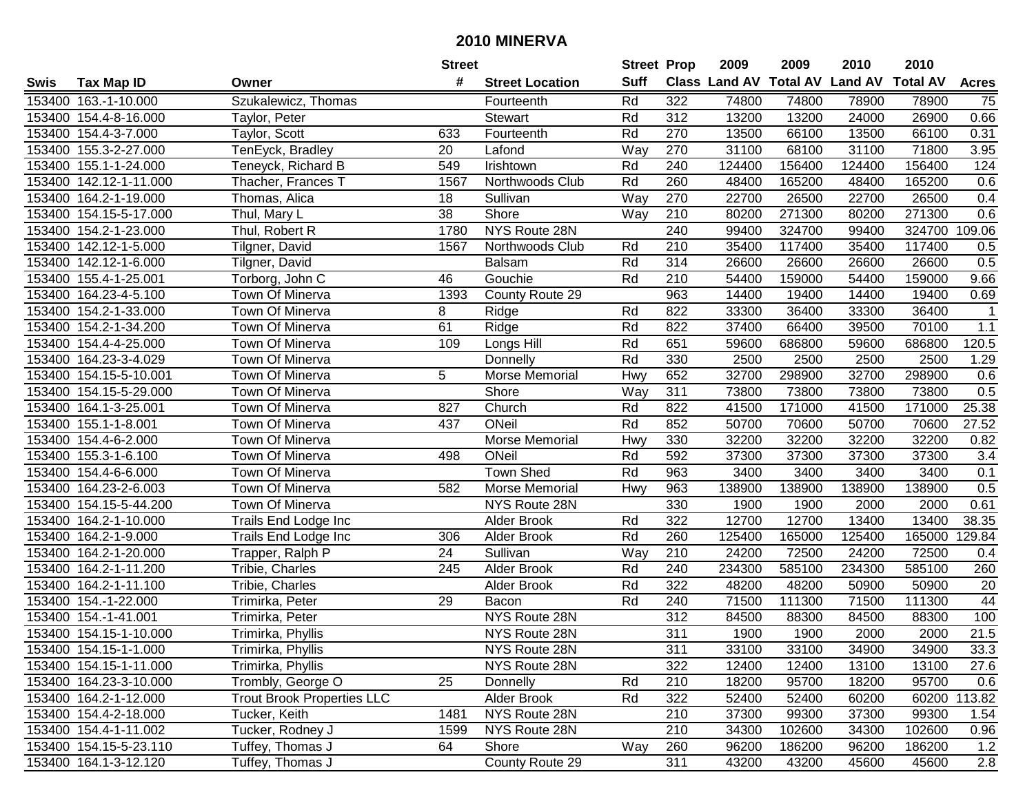|        |                        |                                   | <b>Street</b>   |                        | <b>Street Prop</b> |     | 2009                          | 2009   | 2010           | 2010            |                  |
|--------|------------------------|-----------------------------------|-----------------|------------------------|--------------------|-----|-------------------------------|--------|----------------|-----------------|------------------|
| Swis   | <b>Tax Map ID</b>      | Owner                             | #               | <b>Street Location</b> | <b>Suff</b>        |     | <b>Class Land AV Total AV</b> |        | <b>Land AV</b> | <b>Total AV</b> | <b>Acres</b>     |
|        | 153400 163.-1-10.000   | Szukalewicz, Thomas               |                 | Fourteenth             | Rd                 | 322 | 74800                         | 74800  | 78900          | 78900           | 75               |
|        | 153400 154.4-8-16.000  | Taylor, Peter                     |                 | <b>Stewart</b>         | Rd                 | 312 | 13200                         | 13200  | 24000          | 26900           | 0.66             |
|        | 153400 154.4-3-7.000   | Taylor, Scott                     | 633             | Fourteenth             | Rd                 | 270 | 13500                         | 66100  | 13500          | 66100           | 0.31             |
|        | 153400 155.3-2-27.000  | TenEyck, Bradley                  | 20              | Lafond                 | Way                | 270 | 31100                         | 68100  | 31100          | 71800           | 3.95             |
|        | 153400 155.1-1-24.000  | Teneyck, Richard B                | 549             | Irishtown              | Rd                 | 240 | 124400                        | 156400 | 124400         | 156400          | 124              |
|        | 153400 142.12-1-11.000 | Thacher, Frances T                | 1567            | Northwoods Club        | Rd                 | 260 | 48400                         | 165200 | 48400          | 165200          | 0.6              |
|        | 153400 164.2-1-19.000  | Thomas, Alica                     | 18              | Sullivan               | Way                | 270 | 22700                         | 26500  | 22700          | 26500           | 0.4              |
| 153400 | 154.15-5-17.000        | Thul, Mary L                      | $\overline{38}$ | <b>Shore</b>           | Way                | 210 | 80200                         | 271300 | 80200          | 271300          | 0.6              |
|        | 153400 154.2-1-23.000  | Thul, Robert R                    | 1780            | NYS Route 28N          |                    | 240 | 99400                         | 324700 | 99400          | 324700          | 109.06           |
|        | 153400 142.12-1-5.000  | Tilgner, David                    | 1567            | Northwoods Club        | Rd                 | 210 | 35400                         | 117400 | 35400          | 117400          | 0.5              |
|        | 153400 142.12-1-6.000  | Tilgner, David                    |                 | <b>Balsam</b>          | Rd                 | 314 | 26600                         | 26600  | 26600          | 26600           | 0.5              |
|        | 153400 155.4-1-25.001  | Torborg, John C                   | 46              | Gouchie                | Rd                 | 210 | 54400                         | 159000 | 54400          | 159000          | 9.66             |
|        | 153400 164.23-4-5.100  | Town Of Minerva                   | 1393            | County Route 29        |                    | 963 | 14400                         | 19400  | 14400          | 19400           | 0.69             |
| 153400 | 154.2-1-33.000         | Town Of Minerva                   | 8               | Ridge                  | Rd                 | 822 | 33300                         | 36400  | 33300          | 36400           | $\mathbf 1$      |
| 153400 | 154.2-1-34.200         | Town Of Minerva                   | 61              | Ridge                  | Rd                 | 822 | 37400                         | 66400  | 39500          | 70100           | 1.1              |
|        | 153400 154.4-4-25.000  | Town Of Minerva                   | 109             | Longs Hill             | Rd                 | 651 | 59600                         | 686800 | 59600          | 686800          | 120.5            |
|        | 153400 164.23-3-4.029  | Town Of Minerva                   |                 | Donnelly               | Rd                 | 330 | 2500                          | 2500   | 2500           | 2500            | 1.29             |
| 153400 | 154.15-5-10.001        | Town Of Minerva                   | 5               | Morse Memorial         | Hwy                | 652 | 32700                         | 298900 | 32700          | 298900          | 0.6              |
|        | 153400 154.15-5-29.000 | Town Of Minerva                   |                 | Shore                  | Way                | 311 | 73800                         | 73800  | 73800          | 73800           | 0.5              |
|        | 153400 164.1-3-25.001  | Town Of Minerva                   | 827             | Church                 | Rd                 | 822 | 41500                         | 171000 | 41500          | 171000          | 25.38            |
|        | 153400 155.1-1-8.001   | Town Of Minerva                   | 437             | ONeil                  | Rd                 | 852 | 50700                         | 70600  | 50700          | 70600           | 27.52            |
| 153400 | 154.4-6-2.000          | Town Of Minerva                   |                 | Morse Memorial         | Hwy                | 330 | 32200                         | 32200  | 32200          | 32200           | 0.82             |
| 153400 | 155.3-1-6.100          | Town Of Minerva                   | 498             | ONeil                  | Rd                 | 592 | 37300                         | 37300  | 37300          | 37300           | 3.4              |
| 153400 | 154.4-6-6.000          | Town Of Minerva                   |                 | <b>Town Shed</b>       | Rd                 | 963 | 3400                          | 3400   | 3400           | 3400            | 0.1              |
| 153400 | 164.23-2-6.003         | Town Of Minerva                   | 582             | Morse Memorial         | Hwy                | 963 | 138900                        | 138900 | 138900         | 138900          | 0.5              |
|        | 153400 154.15-5-44.200 | Town Of Minerva                   |                 | NYS Route 28N          |                    | 330 | 1900                          | 1900   | 2000           | 2000            | 0.61             |
|        | 153400 164.2-1-10.000  | Trails End Lodge Inc              |                 | Alder Brook            | Rd                 | 322 | 12700                         | 12700  | 13400          | 13400           | 38.35            |
|        | 153400 164.2-1-9.000   | Trails End Lodge Inc              | 306             | Alder Brook            | Rd                 | 260 | 125400                        | 165000 | 125400         | 165000          | 129.84           |
|        | 153400 164.2-1-20.000  | Trapper, Ralph P                  | 24              | Sullivan               | Way                | 210 | 24200                         | 72500  | 24200          | 72500           | 0.4              |
|        | 153400 164.2-1-11.200  | Tribie, Charles                   | 245             | Alder Brook            | Rd                 | 240 | 234300                        | 585100 | 234300         | 585100          | 260              |
|        | 153400 164.2-1-11.100  | Tribie, Charles                   |                 | Alder Brook            | Rd                 | 322 | 48200                         | 48200  | 50900          | 50900           | $\overline{20}$  |
|        | 153400 154.-1-22.000   | Trimirka, Peter                   | 29              | Bacon                  | Rd                 | 240 | 71500                         | 111300 | 71500          | 111300          | 44               |
|        | 153400 154.-1-41.001   | Trimirka, Peter                   |                 | NYS Route 28N          |                    | 312 | 84500                         | 88300  | 84500          | 88300           | 100              |
|        | 153400 154.15-1-10.000 | Trimirka, Phyllis                 |                 | NYS Route 28N          |                    | 311 | 1900                          | 1900   | 2000           | 2000            | 21.5             |
|        | 153400 154.15-1-1.000  | Trimirka, Phyllis                 |                 | NYS Route 28N          |                    | 311 | 33100                         | 33100  | 34900          | 34900           | 33.3             |
|        | 153400 154.15-1-11.000 | Trimirka, Phyllis                 |                 | NYS Route 28N          |                    | 322 | 12400                         | 12400  | 13100          | 13100           | 27.6             |
|        | 153400 164.23-3-10.000 | Trombly, George O                 | 25              | Donnelly               | Rd                 | 210 | 18200                         | 95700  | 18200          | 95700           | 0.6              |
|        | 153400 164.2-1-12.000  | <b>Trout Brook Properties LLC</b> |                 | Alder Brook            | Rd                 | 322 | 52400                         | 52400  | 60200          |                 | 60200 113.82     |
|        | 153400 154.4-2-18.000  | Tucker, Keith                     | 1481            | NYS Route 28N          |                    | 210 | 37300                         | 99300  | 37300          | 99300           | 1.54             |
|        | 153400 154.4-1-11.002  | Tucker, Rodney J                  | 1599            | NYS Route 28N          |                    | 210 | 34300                         | 102600 | 34300          | 102600          | 0.96             |
|        | 153400 154.15-5-23.110 | Tuffey, Thomas J                  | 64              | Shore                  | Way                | 260 | 96200                         | 186200 | 96200          | 186200          | 1.2              |
|        | 153400 164.1-3-12.120  | Tuffey, Thomas J                  |                 | County Route 29        |                    | 311 | 43200                         | 43200  | 45600          | 45600           | $\overline{2.8}$ |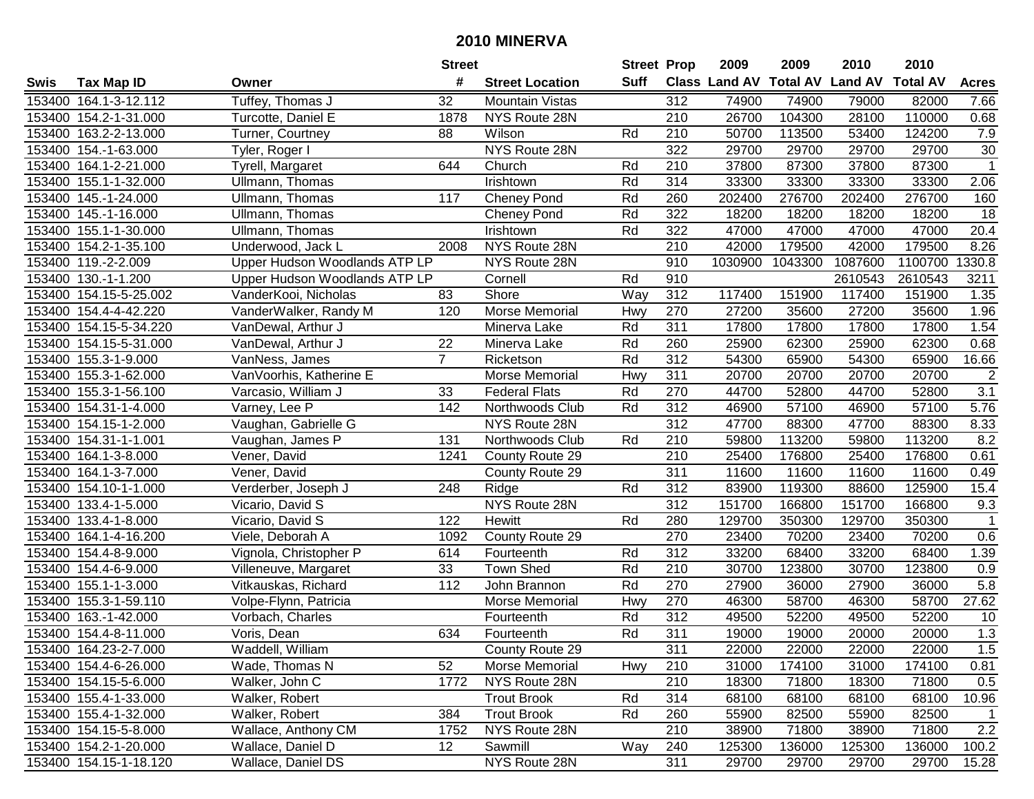|        |                        |                               | <b>Street</b>  |                        | <b>Street Prop</b> |                  | 2009                          | 2009    | 2010           | 2010            |                 |
|--------|------------------------|-------------------------------|----------------|------------------------|--------------------|------------------|-------------------------------|---------|----------------|-----------------|-----------------|
| Swis   | <b>Tax Map ID</b>      | Owner                         | #              | <b>Street Location</b> | Suff               |                  | <b>Class Land AV Total AV</b> |         | <b>Land AV</b> | <b>Total AV</b> | <b>Acres</b>    |
|        | 153400 164.1-3-12.112  | Tuffey, Thomas J              | 32             | <b>Mountain Vistas</b> |                    | 312              | 74900                         | 74900   | 79000          | 82000           | 7.66            |
|        | 153400 154.2-1-31.000  | Turcotte, Daniel E            | 1878           | NYS Route 28N          |                    | 210              | 26700                         | 104300  | 28100          | 110000          | 0.68            |
|        | 153400 163.2-2-13.000  | Turner, Courtney              | 88             | Wilson                 | Rd                 | 210              | 50700                         | 113500  | 53400          | 124200          | 7.9             |
|        | 153400 154.-1-63.000   | Tyler, Roger I                |                | NYS Route 28N          |                    | 322              | 29700                         | 29700   | 29700          | 29700           | 30              |
|        | 153400 164.1-2-21.000  | Tyrell, Margaret              | 644            | Church                 | Rd                 | 210              | 37800                         | 87300   | 37800          | 87300           | $\mathbf{1}$    |
|        | 153400 155.1-1-32.000  | Ullmann, Thomas               |                | Irishtown              | Rd                 | 314              | 33300                         | 33300   | 33300          | 33300           | 2.06            |
| 153400 | 145.-1-24.000          | Ullmann, Thomas               | 117            | <b>Cheney Pond</b>     | Rd                 | 260              | 202400                        | 276700  | 202400         | 276700          | 160             |
| 153400 | 145.-1-16.000          | Ullmann, Thomas               |                | <b>Cheney Pond</b>     | Rd                 | 322              | 18200                         | 18200   | 18200          | 18200           | $\overline{18}$ |
|        | 153400 155.1-1-30.000  | Ullmann, Thomas               |                | Irishtown              | Rd                 | 322              | 47000                         | 47000   | 47000          | 47000           | 20.4            |
|        | 153400 154.2-1-35.100  | Underwood, Jack L             | 2008           | NYS Route 28N          |                    | 210              | 42000                         | 179500  | 42000          | 179500          | 8.26            |
|        | 153400 119.-2-2.009    | Upper Hudson Woodlands ATP LP |                | NYS Route 28N          |                    | 910              | 1030900                       | 1043300 | 1087600        | 1100700         | 1330.8          |
|        | 153400 130.-1-1.200    | Upper Hudson Woodlands ATP LP |                | Cornell                | Rd                 | 910              |                               |         | 2610543        | 2610543         | 3211            |
|        | 153400 154.15-5-25.002 | VanderKooi, Nicholas          | 83             | Shore                  | Way                | 312              | 117400                        | 151900  | 117400         | 151900          | 1.35            |
|        | 153400 154.4-4-42.220  | VanderWalker, Randy M         | 120            | Morse Memorial         | Hwy                | 270              | 27200                         | 35600   | 27200          | 35600           | 1.96            |
|        | 153400 154.15-5-34.220 | VanDewal, Arthur J            |                | Minerva Lake           | Rd                 | 311              | 17800                         | 17800   | 17800          | 17800           | 1.54            |
|        | 153400 154.15-5-31.000 | VanDewal, Arthur J            | 22             | Minerva Lake           | Rd                 | 260              | 25900                         | 62300   | 25900          | 62300           | 0.68            |
| 153400 | 155.3-1-9.000          | VanNess, James                | $\overline{7}$ | Ricketson              | Rd                 | 312              | 54300                         | 65900   | 54300          | 65900           | 16.66           |
| 153400 | 155.3-1-62.000         | VanVoorhis, Katherine E       |                | Morse Memorial         | Hwy                | 311              | 20700                         | 20700   | 20700          | 20700           | $\overline{2}$  |
| 153400 | 155.3-1-56.100         | Varcasio, William J           | 33             | <b>Federal Flats</b>   | Rd                 | 270              | 44700                         | 52800   | 44700          | 52800           | 3.1             |
|        | 153400 154.31-1-4.000  | Varney, Lee P                 | 142            | Northwoods Club        | Rd                 | 312              | 46900                         | 57100   | 46900          | 57100           | 5.76            |
|        | 153400 154.15-1-2.000  | Vaughan, Gabrielle G          |                | NYS Route 28N          |                    | 312              | 47700                         | 88300   | 47700          | 88300           | 8.33            |
| 153400 | 154.31-1-1.001         | Vaughan, James P              | 131            | Northwoods Club        | Rd                 | 210              | 59800                         | 113200  | 59800          | 113200          | 8.2             |
| 153400 | 164.1-3-8.000          | Vener, David                  | 1241           | County Route 29        |                    | 210              | 25400                         | 176800  | 25400          | 176800          | 0.61            |
| 153400 | 164.1-3-7.000          | Vener, David                  |                | County Route 29        |                    | 311              | 11600                         | 11600   | 11600          | 11600           | 0.49            |
|        | 153400 154.10-1-1.000  | Verderber, Joseph J           | 248            | Ridge                  | Rd                 | 312              | 83900                         | 119300  | 88600          | 125900          | 15.4            |
| 153400 | 133.4-1-5.000          | Vicario, David S              |                | NYS Route 28N          |                    | $\overline{312}$ | 151700                        | 166800  | 151700         | 166800          | 9.3             |
| 153400 | 133.4-1-8.000          | Vicario, David S              | 122            | Hewitt                 | Rd                 | 280              | 129700                        | 350300  | 129700         | 350300          | 1               |
|        | 153400 164.1-4-16.200  | Viele, Deborah A              | 1092           | County Route 29        |                    | 270              | 23400                         | 70200   | 23400          | 70200           | 0.6             |
|        | 153400 154.4-8-9.000   | Vignola, Christopher P        | 614            | Fourteenth             | Rd                 | 312              | 33200                         | 68400   | 33200          | 68400           | 1.39            |
|        | 153400 154.4-6-9.000   | Villeneuve, Margaret          | 33             | <b>Town Shed</b>       | Rd                 | $\overline{210}$ | 30700                         | 123800  | 30700          | 123800          | 0.9             |
|        | 153400 155.1-1-3.000   | Vitkauskas, Richard           | 112            | John Brannon           | Rd                 | 270              | 27900                         | 36000   | 27900          | 36000           | 5.8             |
|        | 153400 155.3-1-59.110  | Volpe-Flynn, Patricia         |                | Morse Memorial         | Hwy                | 270              | 46300                         | 58700   | 46300          | 58700           | 27.62           |
|        | 153400 163.-1-42.000   | Vorbach, Charles              |                | Fourteenth             | Rd                 | 312              | 49500                         | 52200   | 49500          | 52200           | 10              |
|        | 153400 154.4-8-11.000  | Voris, Dean                   | 634            | Fourteenth             | Rd                 | 311              | 19000                         | 19000   | 20000          | 20000           | 1.3             |
|        | 153400 164.23-2-7.000  | Waddell, William              |                | County Route 29        |                    | 311              | 22000                         | 22000   | 22000          | 22000           | 1.5             |
|        | 153400 154.4-6-26.000  | Wade, Thomas N                | 52             | Morse Memorial         | Hwy                | 210              | 31000                         | 174100  | 31000          | 174100          | 0.81            |
|        | 153400 154.15-5-6.000  | Walker, John C                | 1772           | NYS Route 28N          |                    | 210              | 18300                         | 71800   | 18300          | 71800           | 0.5             |
|        | 153400 155.4-1-33.000  | Walker, Robert                |                | <b>Trout Brook</b>     | Rd                 | 314              | 68100                         | 68100   | 68100          | 68100           | 10.96           |
|        | 153400 155.4-1-32.000  | Walker, Robert                | 384            | <b>Trout Brook</b>     | Rd                 | 260              | 55900                         | 82500   | 55900          | 82500           | $\overline{1}$  |
|        | 153400 154.15-5-8.000  | Wallace, Anthony CM           | 1752           | NYS Route 28N          |                    | 210              | 38900                         | 71800   | 38900          | 71800           | 2.2             |
|        | 153400 154.2-1-20.000  | Wallace, Daniel D             | 12             | Sawmill                | Way                | 240              | 125300                        | 136000  | 125300         | 136000          | 100.2           |
|        | 153400 154.15-1-18.120 | Wallace, Daniel DS            |                | NYS Route 28N          |                    | 311              | 29700                         | 29700   | 29700          | 29700           | 15.28           |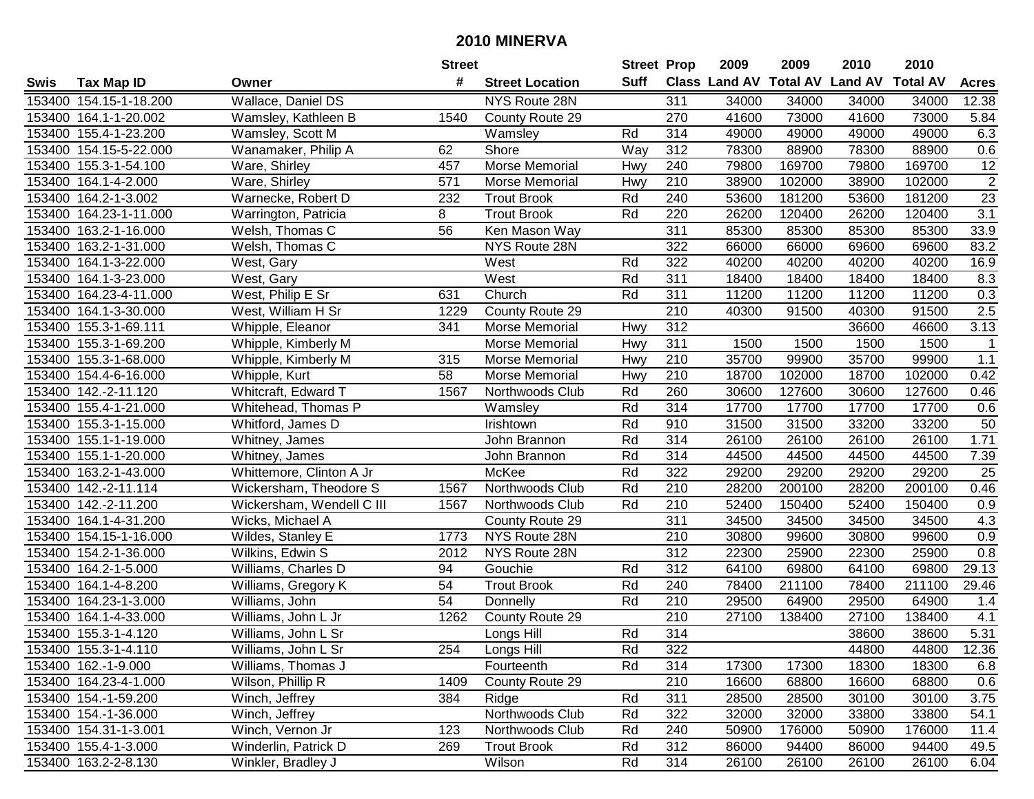|        |                        |                           | <b>Street</b>   |                        | <b>Street Prop</b> |                  | 2009  | 2009   | 2010                           | 2010            |                  |
|--------|------------------------|---------------------------|-----------------|------------------------|--------------------|------------------|-------|--------|--------------------------------|-----------------|------------------|
| Swis   | <b>Tax Map ID</b>      | Owner                     | #               | <b>Street Location</b> | Suff               |                  |       |        | Class Land AV Total AV Land AV | <b>Total AV</b> | <b>Acres</b>     |
|        | 153400 154.15-1-18.200 | Wallace, Daniel DS        |                 | NYS Route 28N          |                    | 311              | 34000 | 34000  | 34000                          | 34000           | 12.38            |
|        | 153400 164.1-1-20.002  | Wamsley, Kathleen B       | 1540            | County Route 29        |                    | 270              | 41600 | 73000  | 41600                          | 73000           | 5.84             |
|        | 153400 155.4-1-23.200  | Wamsley, Scott M          |                 | Wamsley                | Rd                 | 314              | 49000 | 49000  | 49000                          | 49000           | 6.3              |
|        | 153400 154.15-5-22.000 | Wanamaker, Philip A       | 62              | Shore                  | Way                | 312              | 78300 | 88900  | 78300                          | 88900           | 0.6              |
|        | 153400 155.3-1-54.100  | Ware, Shirley             | 457             | <b>Morse Memorial</b>  | Hwy                | 240              | 79800 | 169700 | 79800                          | 169700          | $\overline{12}$  |
|        | 153400 164.1-4-2.000   | Ware, Shirley             | 571             | Morse Memorial         | Hwy                | 210              | 38900 | 102000 | 38900                          | 102000          | $\overline{2}$   |
|        | 153400 164.2-1-3.002   | Warnecke, Robert D        | 232             | <b>Trout Brook</b>     | Rd                 | 240              | 53600 | 181200 | 53600                          | 181200          | $\overline{23}$  |
|        | 153400 164.23-1-11.000 | Warrington, Patricia      | 8               | <b>Trout Brook</b>     | Rd                 | 220              | 26200 | 120400 | 26200                          | 120400          | $\overline{3.1}$ |
|        | 153400 163.2-1-16.000  | Welsh, Thomas C           | $\overline{56}$ | Ken Mason Way          |                    | $\overline{311}$ | 85300 | 85300  | 85300                          | 85300           | 33.9             |
|        | 153400 163.2-1-31.000  | Welsh, Thomas C           |                 | NYS Route 28N          |                    | 322              | 66000 | 66000  | 69600                          | 69600           | 83.2             |
|        | 153400 164.1-3-22.000  | West, Gary                |                 | West                   | Rd                 | 322              | 40200 | 40200  | 40200                          | 40200           | 16.9             |
|        | 153400 164.1-3-23.000  | West, Gary                |                 | West                   | Rd                 | 311              | 18400 | 18400  | 18400                          | 18400           | 8.3              |
|        | 153400 164.23-4-11.000 | West, Philip E Sr         | 631             | Church                 | Rd                 | 311              | 11200 | 11200  | 11200                          | 11200           | 0.3              |
|        | 153400 164.1-3-30.000  | West, William H Sr        | 1229            | County Route 29        |                    | 210              | 40300 | 91500  | 40300                          | 91500           | 2.5              |
|        | 153400 155.3-1-69.111  | Whipple, Eleanor          | 341             | Morse Memorial         | Hwy                | 312              |       |        | 36600                          | 46600           | 3.13             |
|        | 153400 155.3-1-69.200  | Whipple, Kimberly M       |                 | Morse Memorial         | Hwy                | 311              | 1500  | 1500   | 1500                           | 1500            | $\mathbf 1$      |
|        | 153400 155.3-1-68.000  | Whipple, Kimberly M       | 315             | Morse Memorial         | Hwy                | 210              | 35700 | 99900  | 35700                          | 99900           | 1.1              |
|        | 153400 154.4-6-16.000  | Whipple, Kurt             | 58              | Morse Memorial         | Hwy                | 210              | 18700 | 102000 | 18700                          | 102000          | 0.42             |
|        | 153400 142.-2-11.120   | Whitcraft, Edward T       | 1567            | Northwoods Club        | Rd                 | 260              | 30600 | 127600 | 30600                          | 127600          | 0.46             |
|        | 153400 155.4-1-21.000  | Whitehead, Thomas P       |                 | Wamsley                | Rd                 | 314              | 17700 | 17700  | 17700                          | 17700           | 0.6              |
|        | 153400 155.3-1-15.000  | Whitford, James D         |                 | Irishtown              | Rd                 | 910              | 31500 | 31500  | 33200                          | 33200           | 50               |
|        | 153400 155.1-1-19.000  | Whitney, James            |                 | John Brannon           | Rd                 | 314              | 26100 | 26100  | 26100                          | 26100           | 1.71             |
| 153400 | 155.1-1-20.000         | Whitney, James            |                 | John Brannon           | Rd                 | 314              | 44500 | 44500  | 44500                          | 44500           | 7.39             |
| 153400 | 163.2-1-43.000         | Whittemore, Clinton A Jr  |                 | McKee                  | Rd                 | 322              | 29200 | 29200  | 29200                          | 29200           | 25               |
|        | 153400 142.-2-11.114   | Wickersham, Theodore S    | 1567            | Northwoods Club        | Rd                 | $\overline{210}$ | 28200 | 200100 | 28200                          | 200100          | 0.46             |
|        | 153400 142.-2-11.200   | Wickersham, Wendell C III | 1567            | Northwoods Club        | Rd                 | 210              | 52400 | 150400 | 52400                          | 150400          | 0.9              |
|        | 153400 164.1-4-31.200  | Wicks, Michael A          |                 | County Route 29        |                    | 311              | 34500 | 34500  | 34500                          | 34500           | 4.3              |
|        | 153400 154.15-1-16.000 | Wildes, Stanley E         | 1773            | NYS Route 28N          |                    | 210              | 30800 | 99600  | 30800                          | 99600           | 0.9              |
|        | 153400 154.2-1-36.000  | Wilkins, Edwin S          | 2012            | NYS Route 28N          |                    | 312              | 22300 | 25900  | 22300                          | 25900           | 0.8              |
|        | 153400 164.2-1-5.000   | Williams, Charles D       | 94              | Gouchie                | Rd                 | $\overline{312}$ | 64100 | 69800  | 64100                          | 69800           | 29.13            |
|        | 153400 164.1-4-8.200   | Williams, Gregory K       | $\overline{54}$ | <b>Trout Brook</b>     | Rd                 | 240              | 78400 | 211100 | 78400                          | 211100          | 29.46            |
|        | 153400 164.23-1-3.000  | Williams, John            | $\overline{54}$ | Donnelly               | Rd                 | 210              | 29500 | 64900  | 29500                          | 64900           | 1.4              |
|        | 153400 164.1-4-33.000  | Williams, John L Jr       | 1262            | County Route 29        |                    | 210              | 27100 | 138400 | 27100                          | 138400          | 4.1              |
|        | 153400 155.3-1-4.120   | Williams, John L Sr       |                 | Longs Hill             | Rd                 | $\overline{314}$ |       |        | 38600                          | 38600           | 5.31             |
|        | 153400 155.3-1-4.110   | Williams, John L Sr       | 254             | Longs Hill             | Rd                 | 322              |       |        | 44800                          | 44800           | 12.36            |
|        | 153400 162.-1-9.000    | Williams, Thomas J        |                 | Fourteenth             | Rd                 | 314              | 17300 | 17300  | 18300                          | 18300           | 6.8              |
|        | 153400 164.23-4-1.000  | Wilson, Phillip R         | 1409            | County Route 29        |                    | 210              | 16600 | 68800  | 16600                          | 68800           | 0.6              |
|        | 153400 154.-1-59.200   | Winch, Jeffrey            | 384             | Ridge                  | Rd                 | 311              | 28500 | 28500  | 30100                          | 30100           | 3.75             |
|        | 153400 154.-1-36.000   | Winch, Jeffrey            |                 | Northwoods Club        | Rd                 | 322              | 32000 | 32000  | 33800                          | 33800           | 54.1             |
|        | 153400 154.31-1-3.001  | Winch, Vernon Jr          | 123             | Northwoods Club        | Rd                 | 240              | 50900 | 176000 | 50900                          | 176000          | 11.4             |
|        | 153400 155.4-1-3.000   | Winderlin, Patrick D      | 269             | <b>Trout Brook</b>     | Rd                 | 312              | 86000 | 94400  | 86000                          | 94400           | 49.5             |
|        | 153400 163.2-2-8.130   | Winkler, Bradley J        |                 | Wilson                 | Rd                 | 314              | 26100 | 26100  | 26100                          | 26100           | 6.04             |